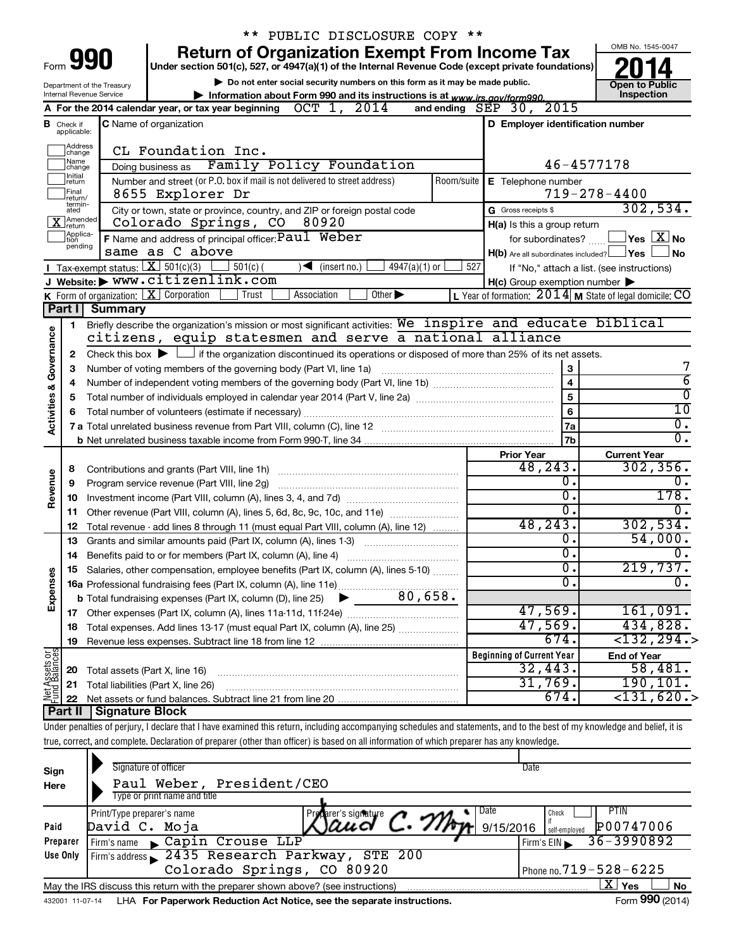|                         |                                                                                                                                                                                                                         |                                                                                    | ** PUBLIC DISCLOSURE COPY **                                                                                                                                               |                              |                                                                             |  |  |  |  |  |
|-------------------------|-------------------------------------------------------------------------------------------------------------------------------------------------------------------------------------------------------------------------|------------------------------------------------------------------------------------|----------------------------------------------------------------------------------------------------------------------------------------------------------------------------|------------------------------|-----------------------------------------------------------------------------|--|--|--|--|--|
|                         |                                                                                                                                                                                                                         |                                                                                    | <b>Return of Organization Exempt From Income Tax</b>                                                                                                                       |                              | OMB No. 1545-0047                                                           |  |  |  |  |  |
|                         | Form <b>990</b><br>Under section 501(c), 527, or 4947(a)(1) of the Internal Revenue Code (except private foundations)                                                                                                   |                                                                                    |                                                                                                                                                                            |                              |                                                                             |  |  |  |  |  |
|                         |                                                                                                                                                                                                                         | Department of the Treasury                                                         | Do not enter social security numbers on this form as it may be made public.                                                                                                |                              | <b>Open to Public</b>                                                       |  |  |  |  |  |
|                         | Inspection<br>Internal Revenue Service<br>Information about Form 990 and its instructions is at www.irs.gov/form990.<br>A For the 2014 calendar year, or tax year beginning OCT 1, 2014<br>2015<br>and ending $SEP$ 30, |                                                                                    |                                                                                                                                                                            |                              |                                                                             |  |  |  |  |  |
|                         |                                                                                                                                                                                                                         |                                                                                    |                                                                                                                                                                            |                              |                                                                             |  |  |  |  |  |
|                         | <b>B</b> Check if applicable:                                                                                                                                                                                           |                                                                                    | D Employer identification number<br><b>C</b> Name of organization                                                                                                          |                              |                                                                             |  |  |  |  |  |
|                         | Address<br>change                                                                                                                                                                                                       |                                                                                    | CL Foundation Inc.                                                                                                                                                         |                              |                                                                             |  |  |  |  |  |
|                         | 1Name<br>change                                                                                                                                                                                                         |                                                                                    | Doing business as Family Policy Foundation                                                                                                                                 |                              | $46 - 4577178$                                                              |  |  |  |  |  |
|                         | 1 Initial<br>return                                                                                                                                                                                                     |                                                                                    | Number and street (or P.O. box if mail is not delivered to street address)<br>Room/suite<br>E Telephone number                                                             |                              |                                                                             |  |  |  |  |  |
|                         | Final<br>return/                                                                                                                                                                                                        |                                                                                    | 8655 Explorer Dr                                                                                                                                                           |                              | $719 - 278 - 4400$                                                          |  |  |  |  |  |
|                         | termin-<br>ated                                                                                                                                                                                                         |                                                                                    | City or town, state or province, country, and ZIP or foreign postal code<br>G Gross receipts \$                                                                            |                              | 302,534.                                                                    |  |  |  |  |  |
|                         | $\overline{\mathbf{X}}$ Amended                                                                                                                                                                                         |                                                                                    | Colorado Springs, CO<br>80920<br>H(a) Is this a group return                                                                                                               |                              |                                                                             |  |  |  |  |  |
|                         | Applica-<br>tion<br>pending                                                                                                                                                                                             |                                                                                    | <b>F</b> Name and address of principal officer: $Pauli$ Weber<br>for subordinates?                                                                                         |                              | $\mathsf{\rfloor\mathsf{Yes}}\mathsf{\rfloor X}\mathsf{\rfloor\mathsf{No}}$ |  |  |  |  |  |
|                         |                                                                                                                                                                                                                         |                                                                                    | same as C above<br>$H(b)$ Are all subordinates included? $\Box$ Yes $\Box$                                                                                                 |                              | ∫ No                                                                        |  |  |  |  |  |
|                         |                                                                                                                                                                                                                         |                                                                                    | Tax-exempt status: $X \over 301(c)(3)$<br>$501(c)$ (<br>$4947(a)(1)$ or<br>527<br>$\sqrt{\bullet}$ (insert no.)                                                            |                              | If "No," attach a list. (see instructions)                                  |  |  |  |  |  |
|                         |                                                                                                                                                                                                                         |                                                                                    | J Website: WWW.citizenlink.com<br>$H(c)$ Group exemption number $\blacktriangleright$                                                                                      |                              |                                                                             |  |  |  |  |  |
|                         |                                                                                                                                                                                                                         |                                                                                    | K Form of organization:   X Corporation<br>L Year of formation: $2014$ M State of legal domicile: CO<br>Association<br>Other $\blacktriangleright$<br>Trust                |                              |                                                                             |  |  |  |  |  |
|                         | Part I                                                                                                                                                                                                                  | Summary                                                                            |                                                                                                                                                                            |                              |                                                                             |  |  |  |  |  |
|                         | 1                                                                                                                                                                                                                       |                                                                                    | Briefly describe the organization's mission or most significant activities: We inspire and educate biblical<br>citizens, equip statesmen and serve a national alliance     |                              |                                                                             |  |  |  |  |  |
|                         |                                                                                                                                                                                                                         |                                                                                    |                                                                                                                                                                            |                              |                                                                             |  |  |  |  |  |
| Activities & Governance | $\mathbf{2}$                                                                                                                                                                                                            |                                                                                    | Check this box $\blacktriangleright$ $\Box$ if the organization discontinued its operations or disposed of more than 25% of its net assets.                                |                              | 7                                                                           |  |  |  |  |  |
|                         | 3                                                                                                                                                                                                                       |                                                                                    | Number of voting members of the governing body (Part VI, line 1a)                                                                                                          | 3<br>$\overline{\mathbf{4}}$ | $\overline{6}$                                                              |  |  |  |  |  |
|                         | 4<br>5                                                                                                                                                                                                                  |                                                                                    | $\overline{\mathbf{5}}$                                                                                                                                                    | $\overline{0}$               |                                                                             |  |  |  |  |  |
|                         | 6                                                                                                                                                                                                                       |                                                                                    | Total number of volunteers (estimate if necessary)                                                                                                                         | 6                            | 10                                                                          |  |  |  |  |  |
|                         |                                                                                                                                                                                                                         |                                                                                    |                                                                                                                                                                            | 7a                           | $0$ .                                                                       |  |  |  |  |  |
|                         |                                                                                                                                                                                                                         |                                                                                    |                                                                                                                                                                            | 7b                           | $\overline{0}$ .                                                            |  |  |  |  |  |
|                         |                                                                                                                                                                                                                         |                                                                                    | <b>Prior Year</b>                                                                                                                                                          |                              | <b>Current Year</b>                                                         |  |  |  |  |  |
|                         | 8                                                                                                                                                                                                                       |                                                                                    | 48,243.                                                                                                                                                                    |                              | 302, 356.                                                                   |  |  |  |  |  |
| Revenue                 | 9                                                                                                                                                                                                                       |                                                                                    | Program service revenue (Part VIII, line 2g)                                                                                                                               | $\overline{0}$ .             | 0.                                                                          |  |  |  |  |  |
|                         | 10                                                                                                                                                                                                                      |                                                                                    |                                                                                                                                                                            | $\overline{0}$ .             | 178.                                                                        |  |  |  |  |  |
|                         | 11                                                                                                                                                                                                                      |                                                                                    | Other revenue (Part VIII, column (A), lines 5, 6d, 8c, 9c, 10c, and 11e)                                                                                                   | $\overline{0}$ .             | $\overline{0}$ .                                                            |  |  |  |  |  |
|                         | 12                                                                                                                                                                                                                      | Total revenue - add lines 8 through 11 (must equal Part VIII, column (A), line 12) | 48, 243.                                                                                                                                                                   | 302,534.                     |                                                                             |  |  |  |  |  |
|                         | 13                                                                                                                                                                                                                      |                                                                                    | Grants and similar amounts paid (Part IX, column (A), lines 1-3) <i></i>                                                                                                   | $\overline{0}$ .             | 54,000.                                                                     |  |  |  |  |  |
|                         |                                                                                                                                                                                                                         |                                                                                    |                                                                                                                                                                            | σ.                           | 0.                                                                          |  |  |  |  |  |
|                         |                                                                                                                                                                                                                         |                                                                                    | Salaries, other compensation, employee benefits (Part IX, column (A), lines 5-10)                                                                                          | $\overline{0}$ .             | 219,737.                                                                    |  |  |  |  |  |
| Expenses                |                                                                                                                                                                                                                         |                                                                                    |                                                                                                                                                                            | σ.                           | $\overline{0}$ .                                                            |  |  |  |  |  |
|                         |                                                                                                                                                                                                                         |                                                                                    |                                                                                                                                                                            |                              |                                                                             |  |  |  |  |  |
|                         |                                                                                                                                                                                                                         |                                                                                    | 47,569.                                                                                                                                                                    |                              | 161,091.                                                                    |  |  |  |  |  |
|                         | 18                                                                                                                                                                                                                      |                                                                                    | 47,569.<br>Total expenses. Add lines 13-17 (must equal Part IX, column (A), line 25) <i></i>                                                                               |                              | 434,828.                                                                    |  |  |  |  |  |
|                         | 19                                                                                                                                                                                                                      |                                                                                    | 674.                                                                                                                                                                       |                              | $<$ 132,294.>                                                               |  |  |  |  |  |
| Net Assets or           |                                                                                                                                                                                                                         |                                                                                    | <b>Beginning of Current Year</b><br>32,443.                                                                                                                                |                              | <b>End of Year</b><br>58,481.                                               |  |  |  |  |  |
|                         | 20                                                                                                                                                                                                                      | Total assets (Part X, line 16)                                                     | 31,769.                                                                                                                                                                    |                              | 190, 101.                                                                   |  |  |  |  |  |
|                         | 21                                                                                                                                                                                                                      |                                                                                    | Total liabilities (Part X, line 26)<br>674.                                                                                                                                |                              | $<$ 131,620.>                                                               |  |  |  |  |  |
|                         | 22<br><b>Part II</b>                                                                                                                                                                                                    | Signature Block                                                                    |                                                                                                                                                                            |                              |                                                                             |  |  |  |  |  |
|                         |                                                                                                                                                                                                                         |                                                                                    | Under penalties of perjury, I declare that I have examined this return, including accompanying schedules and statements, and to the best of my knowledge and belief, it is |                              |                                                                             |  |  |  |  |  |
|                         |                                                                                                                                                                                                                         |                                                                                    | true, correct, and complete. Declaration of preparer (other than officer) is based on all information of which preparer has any knowledge.                                 |                              |                                                                             |  |  |  |  |  |

| Sign<br>Here | Signature of officer<br>Paul Weber, President/CEO<br>Type or print name and title                            | Date                                        |  |  |  |  |  |  |
|--------------|--------------------------------------------------------------------------------------------------------------|---------------------------------------------|--|--|--|--|--|--|
| Paid         | Date<br>Print/Type preparer's name<br>Proparer's signature<br>David C. Moja<br>9/15/2016                     | PTIN<br>Check<br>P00747006<br>self-employed |  |  |  |  |  |  |
| Preparer     | Capin Crouse LLP<br>Firm's name                                                                              | $36 - 3990892$<br>Firm's $EIN$              |  |  |  |  |  |  |
| Use Only     | Firm's address 2435 Research Parkway, STE 200                                                                |                                             |  |  |  |  |  |  |
|              | Colorado Springs, CO 80920                                                                                   | Phone no. 719 - 528 - 6225                  |  |  |  |  |  |  |
|              | ΧI<br>Yes<br>No<br>May the IRS discuss this return with the preparer shown above? (see instructions)         |                                             |  |  |  |  |  |  |
|              | Form 990 (2014)<br>LHA For Paperwork Reduction Act Notice, see the separate instructions.<br>432001 11-07-14 |                                             |  |  |  |  |  |  |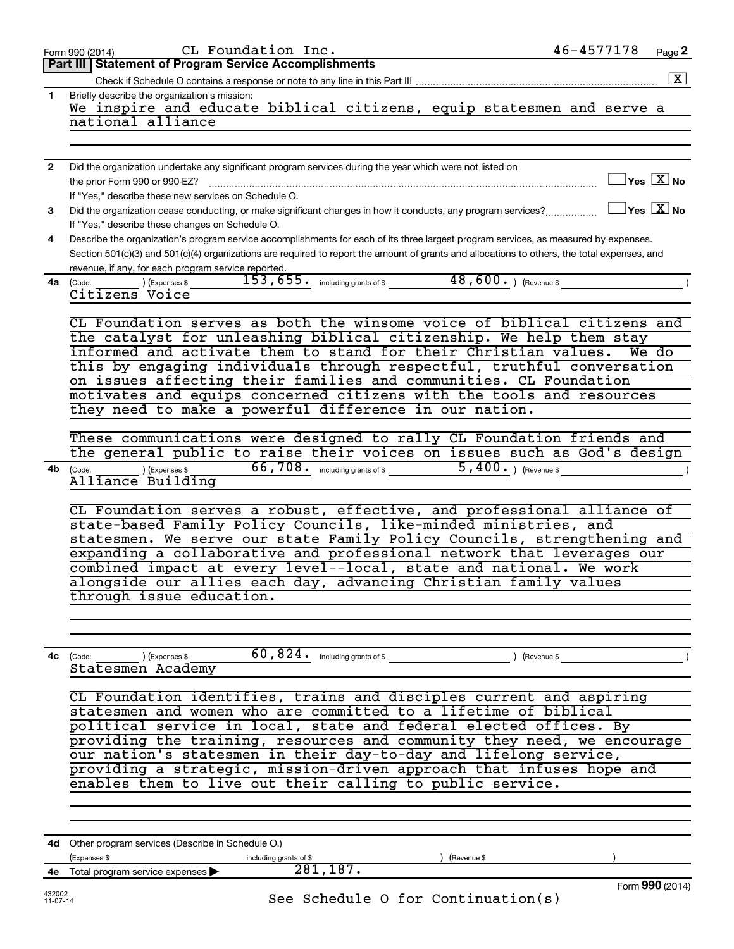|                    | CL Foundation Inc.<br>Form 990 (2014)                                                                                                        | $46 - 4577178$ | Page 2                                      |
|--------------------|----------------------------------------------------------------------------------------------------------------------------------------------|----------------|---------------------------------------------|
|                    | <b>Part III   Statement of Program Service Accomplishments</b>                                                                               |                |                                             |
|                    |                                                                                                                                              |                | $\boxed{\textbf{X}}$                        |
| 1.                 | Briefly describe the organization's mission:                                                                                                 |                |                                             |
|                    | We inspire and educate biblical citizens, equip statesmen and serve a                                                                        |                |                                             |
|                    | national alliance                                                                                                                            |                |                                             |
|                    |                                                                                                                                              |                |                                             |
|                    |                                                                                                                                              |                |                                             |
| $\mathbf{2}$       | Did the organization undertake any significant program services during the year which were not listed on                                     |                |                                             |
|                    | the prior Form 990 or 990-EZ?                                                                                                                |                | $\overline{\ }$ Yes $\overline{\rm \ }X$ No |
|                    | If "Yes," describe these new services on Schedule O.                                                                                         |                |                                             |
| 3                  | Did the organization cease conducting, or make significant changes in how it conducts, any program services?                                 |                | $\Box$ Yes $[\overline{\mathrm{X}}]$ No     |
|                    | If "Yes," describe these changes on Schedule O.                                                                                              |                |                                             |
| 4                  | Describe the organization's program service accomplishments for each of its three largest program services, as measured by expenses.         |                |                                             |
|                    | Section 501(c)(3) and 501(c)(4) organizations are required to report the amount of grants and allocations to others, the total expenses, and |                |                                             |
|                    | revenue, if any, for each program service reported.                                                                                          |                |                                             |
|                    | $(153, 655)$ including grants of \$ 48,600. (Revenue \$ 153,655.)<br>4a (Code:                                                               |                |                                             |
|                    | Citizens Voice                                                                                                                               |                |                                             |
|                    |                                                                                                                                              |                |                                             |
|                    | CL Foundation serves as both the winsome voice of biblical citizens and                                                                      |                |                                             |
|                    | the catalyst for unleashing biblical citizenship. We help them stay<br>informed and activate them to stand for their Christian values.       |                |                                             |
|                    | this by engaging individuals through respectful, truthful conversation                                                                       |                | We do                                       |
|                    | on issues affecting their families and communities. CL Foundation                                                                            |                |                                             |
|                    | motivates and equips concerned citizens with the tools and resources                                                                         |                |                                             |
|                    | they need to make a powerful difference in our nation.                                                                                       |                |                                             |
|                    |                                                                                                                                              |                |                                             |
|                    | These communications were designed to rally CL Foundation friends and                                                                        |                |                                             |
|                    | the general public to raise their voices on issues such as God's design                                                                      |                |                                             |
| 4b                 | $(1.5)$ (Expenses \$ 66,708. including grants of \$ 5,400.) (Revenue \$<br>(Code:                                                            |                | $\rightarrow$                               |
|                    | Alliance Building                                                                                                                            |                |                                             |
|                    |                                                                                                                                              |                |                                             |
|                    | CL Foundation serves a robust, effective, and professional alliance of                                                                       |                |                                             |
|                    | state-based Family Policy Councils, like-minded ministries, and                                                                              |                |                                             |
|                    | statesmen. We serve our state Family Policy Councils, strengthening and                                                                      |                |                                             |
|                    | expanding a collaborative and professional network that leverages our                                                                        |                |                                             |
|                    | combined impact at every level--local, state and national. We work                                                                           |                |                                             |
|                    | alongside our allies each day, advancing Christian family values                                                                             |                |                                             |
|                    | through issue education.                                                                                                                     |                |                                             |
|                    |                                                                                                                                              |                |                                             |
|                    |                                                                                                                                              |                |                                             |
|                    |                                                                                                                                              |                |                                             |
| 4с                 | 60,824. $int$ including grants of \$<br>(Code:<br>) (Expenses \$<br>) (Revenue \$                                                            |                |                                             |
|                    | Statesmen Academy                                                                                                                            |                |                                             |
|                    |                                                                                                                                              |                |                                             |
|                    | CL Foundation identifies, trains and disciples current and aspiring                                                                          |                |                                             |
|                    | statesmen and women who are committed to a lifetime of biblical                                                                              |                |                                             |
|                    | political service in local, state and federal elected offices. By                                                                            |                |                                             |
|                    | providing the training, resources and community they need, we encourage                                                                      |                |                                             |
|                    | our nation's statesmen in their day-to-day and lifelong service,<br>providing a strategic, mission-driven approach that infuses hope and     |                |                                             |
|                    | enables them to live out their calling to public service.                                                                                    |                |                                             |
|                    |                                                                                                                                              |                |                                             |
|                    |                                                                                                                                              |                |                                             |
|                    |                                                                                                                                              |                |                                             |
|                    |                                                                                                                                              |                |                                             |
|                    | 4d Other program services (Describe in Schedule O.)                                                                                          |                |                                             |
|                    | (Expenses \$<br>including grants of \$<br>(Revenue \$<br>281, 187.<br>4e Total program service expenses $\blacktriangleright$                |                |                                             |
|                    |                                                                                                                                              |                | Form 990 (2014)                             |
| 432002<br>11-07-14 | See Schedule 0 for Continuation(s)                                                                                                           |                |                                             |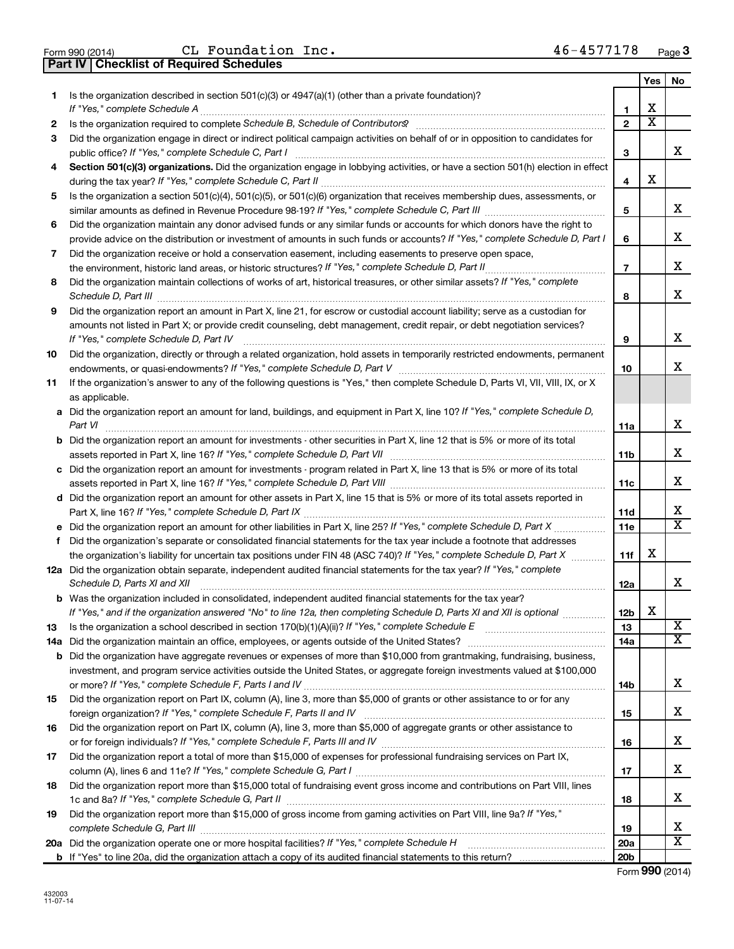Part IV | Checklist of Required Schedules

CL Foundation Inc.  $46-4577178$ 

|    |                                                                                                                                                                                                                                                                                                      |                 | Yes                     | No.                          |  |
|----|------------------------------------------------------------------------------------------------------------------------------------------------------------------------------------------------------------------------------------------------------------------------------------------------------|-----------------|-------------------------|------------------------------|--|
| 1. | Is the organization described in section 501(c)(3) or 4947(a)(1) (other than a private foundation)?                                                                                                                                                                                                  | 1               | х                       |                              |  |
| 2  |                                                                                                                                                                                                                                                                                                      | $\overline{2}$  | $\overline{\mathbf{X}}$ |                              |  |
| 3  | Did the organization engage in direct or indirect political campaign activities on behalf of or in opposition to candidates for                                                                                                                                                                      |                 |                         |                              |  |
|    | public office? If "Yes," complete Schedule C, Part I                                                                                                                                                                                                                                                 | З               |                         | x                            |  |
| 4  | Section 501(c)(3) organizations. Did the organization engage in lobbying activities, or have a section 501(h) election in effect                                                                                                                                                                     |                 |                         |                              |  |
|    |                                                                                                                                                                                                                                                                                                      | 4               | X                       |                              |  |
| 5  | Is the organization a section 501(c)(4), 501(c)(5), or 501(c)(6) organization that receives membership dues, assessments, or                                                                                                                                                                         |                 |                         |                              |  |
|    |                                                                                                                                                                                                                                                                                                      | 5               |                         | х                            |  |
| 6  | Did the organization maintain any donor advised funds or any similar funds or accounts for which donors have the right to                                                                                                                                                                            |                 |                         |                              |  |
|    | provide advice on the distribution or investment of amounts in such funds or accounts? If "Yes," complete Schedule D, Part I                                                                                                                                                                         | 6               |                         | х                            |  |
| 7  | Did the organization receive or hold a conservation easement, including easements to preserve open space,                                                                                                                                                                                            |                 |                         |                              |  |
|    |                                                                                                                                                                                                                                                                                                      | $\overline{7}$  |                         | х                            |  |
| 8  | Did the organization maintain collections of works of art, historical treasures, or other similar assets? If "Yes," complete                                                                                                                                                                         |                 |                         |                              |  |
|    | Schedule D, Part III <b>Entertainment and Constantino Constantino Constantino Constantino Constantino Constantino Constantino Constantino Constantino Constantino Constantino Constantino Constantino Constantino Constantino Co</b>                                                                 | 8               |                         | х                            |  |
| 9  | Did the organization report an amount in Part X, line 21, for escrow or custodial account liability; serve as a custodian for<br>amounts not listed in Part X; or provide credit counseling, debt management, credit repair, or debt negotiation services?<br>If "Yes," complete Schedule D, Part IV | 9               |                         | X                            |  |
| 10 | Did the organization, directly or through a related organization, hold assets in temporarily restricted endowments, permanent                                                                                                                                                                        | 10              |                         | х                            |  |
| 11 | If the organization's answer to any of the following questions is "Yes," then complete Schedule D, Parts VI, VII, VIII, IX, or X<br>as applicable.                                                                                                                                                   |                 |                         |                              |  |
|    | a Did the organization report an amount for land, buildings, and equipment in Part X, line 10? If "Yes," complete Schedule D,<br>Part VI                                                                                                                                                             | 11a             |                         | х                            |  |
|    | <b>b</b> Did the organization report an amount for investments - other securities in Part X, line 12 that is 5% or more of its total                                                                                                                                                                 | 11b             |                         | х                            |  |
|    | c Did the organization report an amount for investments - program related in Part X, line 13 that is 5% or more of its total                                                                                                                                                                         |                 |                         |                              |  |
|    |                                                                                                                                                                                                                                                                                                      |                 |                         | х                            |  |
|    | d Did the organization report an amount for other assets in Part X, line 15 that is 5% or more of its total assets reported in                                                                                                                                                                       |                 |                         |                              |  |
|    |                                                                                                                                                                                                                                                                                                      | 11d             |                         | x<br>$\overline{\textbf{x}}$ |  |
|    |                                                                                                                                                                                                                                                                                                      | 11e             |                         |                              |  |
| f  | Did the organization's separate or consolidated financial statements for the tax year include a footnote that addresses                                                                                                                                                                              |                 |                         |                              |  |
|    | the organization's liability for uncertain tax positions under FIN 48 (ASC 740)? If "Yes," complete Schedule D, Part X                                                                                                                                                                               | 11f             | х                       |                              |  |
|    | 12a Did the organization obtain separate, independent audited financial statements for the tax year? If "Yes," complete                                                                                                                                                                              |                 |                         | x                            |  |
|    | Schedule D, Parts XI and XII                                                                                                                                                                                                                                                                         | 12a             |                         |                              |  |
|    | <b>b</b> Was the organization included in consolidated, independent audited financial statements for the tax year?<br>If "Yes," and if the organization answered "No" to line 12a, then completing Schedule D, Parts XI and XII is optional                                                          | 12 <sub>b</sub> | х                       |                              |  |
|    | Is the organization a school described in section 170(b)(1)(A)(ii)? If "Yes," complete Schedule E manufaction and school described in section 170(b)(1)(A)(ii)? If "Yes," complete Schedule E                                                                                                        | 13              |                         | $\overline{\mathbf{X}}$      |  |
| 13 |                                                                                                                                                                                                                                                                                                      | 14a             |                         | x                            |  |
|    | <b>b</b> Did the organization have aggregate revenues or expenses of more than \$10,000 from grantmaking, fundraising, business,                                                                                                                                                                     |                 |                         |                              |  |
|    | investment, and program service activities outside the United States, or aggregate foreign investments valued at \$100,000                                                                                                                                                                           |                 |                         |                              |  |
|    |                                                                                                                                                                                                                                                                                                      | 14b             |                         | х                            |  |
| 15 | Did the organization report on Part IX, column (A), line 3, more than \$5,000 of grants or other assistance to or for any                                                                                                                                                                            |                 |                         |                              |  |
|    |                                                                                                                                                                                                                                                                                                      | 15              |                         | х                            |  |
| 16 | Did the organization report on Part IX, column (A), line 3, more than \$5,000 of aggregate grants or other assistance to                                                                                                                                                                             |                 |                         |                              |  |
|    | or for foreign individuals? If "Yes," complete Schedule F, Parts III and IV [11] content to the intermediate in                                                                                                                                                                                      | 16              |                         | х                            |  |
| 17 | Did the organization report a total of more than \$15,000 of expenses for professional fundraising services on Part IX,                                                                                                                                                                              |                 |                         |                              |  |
|    |                                                                                                                                                                                                                                                                                                      | 17              |                         | х                            |  |
| 18 | Did the organization report more than \$15,000 total of fundraising event gross income and contributions on Part VIII, lines                                                                                                                                                                         |                 |                         |                              |  |
|    |                                                                                                                                                                                                                                                                                                      | 18              |                         | х                            |  |
| 19 | Did the organization report more than \$15,000 of gross income from gaming activities on Part VIII, line 9a? If "Yes,"                                                                                                                                                                               |                 |                         |                              |  |
|    |                                                                                                                                                                                                                                                                                                      | 19              |                         | х                            |  |
|    |                                                                                                                                                                                                                                                                                                      | 20a             |                         | х                            |  |
|    |                                                                                                                                                                                                                                                                                                      | 20 <sub>b</sub> |                         |                              |  |

Form 990 (2014)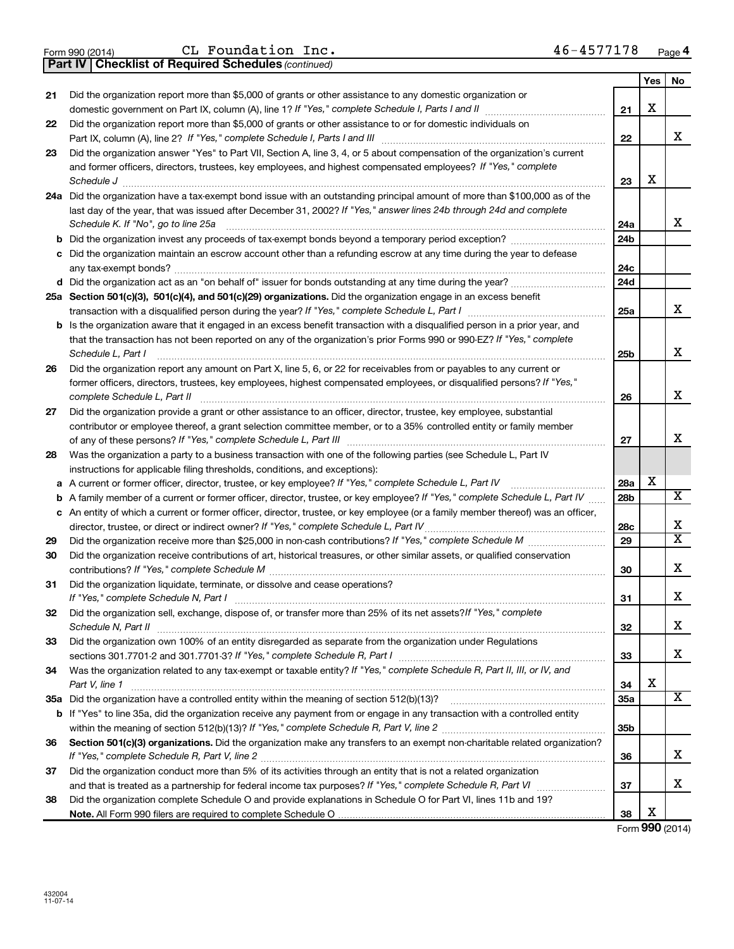|  | Form 990 (2014) |
|--|-----------------|
|  |                 |

Part IV | Checklist of Required Schedules

CL Foundation Inc.  $46-4577178$ 

(continued)

|          |                                                                                                                                                                                             |                 | Yes | No                      |  |
|----------|---------------------------------------------------------------------------------------------------------------------------------------------------------------------------------------------|-----------------|-----|-------------------------|--|
| 21       | Did the organization report more than \$5,000 of grants or other assistance to any domestic organization or                                                                                 |                 |     |                         |  |
|          | domestic government on Part IX, column (A), line 1? If "Yes," complete Schedule I, Parts I and II                                                                                           | 21              | х   |                         |  |
| 22       | Did the organization report more than \$5,000 of grants or other assistance to or for domestic individuals on                                                                               |                 |     |                         |  |
|          |                                                                                                                                                                                             | 22              |     | x                       |  |
| 23       | Did the organization answer "Yes" to Part VII, Section A, line 3, 4, or 5 about compensation of the organization's current                                                                  |                 |     |                         |  |
|          | and former officers, directors, trustees, key employees, and highest compensated employees? If "Yes," complete                                                                              |                 |     |                         |  |
|          | Schedule J                                                                                                                                                                                  | 23              | х   |                         |  |
|          | 24a Did the organization have a tax-exempt bond issue with an outstanding principal amount of more than \$100,000 as of the                                                                 |                 |     |                         |  |
|          | last day of the year, that was issued after December 31, 2002? If "Yes," answer lines 24b through 24d and complete                                                                          |                 |     |                         |  |
|          | Schedule K. If "No", go to line 25a                                                                                                                                                         | 24a             |     | x                       |  |
|          |                                                                                                                                                                                             | 24b             |     |                         |  |
|          | c Did the organization maintain an escrow account other than a refunding escrow at any time during the year to defease                                                                      |                 |     |                         |  |
|          |                                                                                                                                                                                             | 24с             |     |                         |  |
|          |                                                                                                                                                                                             | 24d             |     |                         |  |
|          | 25a Section 501(c)(3), 501(c)(4), and 501(c)(29) organizations. Did the organization engage in an excess benefit                                                                            |                 |     |                         |  |
|          | transaction with a disqualified person during the year? If "Yes," complete Schedule L, Part I manufaction with a disqualified person during the year? If "Yes," complete Schedule L, Part I | 25a             |     | x                       |  |
|          | <b>b</b> Is the organization aware that it engaged in an excess benefit transaction with a disqualified person in a prior year, and                                                         |                 |     |                         |  |
|          | that the transaction has not been reported on any of the organization's prior Forms 990 or 990-EZ? If "Yes," complete                                                                       |                 |     |                         |  |
|          | Schedule L, Part I                                                                                                                                                                          | 25b             |     | x                       |  |
| 26       | Did the organization report any amount on Part X, line 5, 6, or 22 for receivables from or payables to any current or                                                                       |                 |     |                         |  |
|          | former officers, directors, trustees, key employees, highest compensated employees, or disqualified persons? If "Yes,"                                                                      |                 |     |                         |  |
|          | complete Schedule L, Part II                                                                                                                                                                | 26              |     | x                       |  |
| 27       | Did the organization provide a grant or other assistance to an officer, director, trustee, key employee, substantial                                                                        |                 |     |                         |  |
|          | contributor or employee thereof, a grant selection committee member, or to a 35% controlled entity or family member                                                                         |                 |     | x                       |  |
|          |                                                                                                                                                                                             | 27              |     |                         |  |
| 28       | Was the organization a party to a business transaction with one of the following parties (see Schedule L, Part IV                                                                           |                 |     |                         |  |
|          | instructions for applicable filing thresholds, conditions, and exceptions):                                                                                                                 |                 | х   |                         |  |
| a        | A current or former officer, director, trustee, or key employee? If "Yes," complete Schedule L, Part IV                                                                                     | 28a             |     | $\overline{\mathbf{x}}$ |  |
| b        | A family member of a current or former officer, director, trustee, or key employee? If "Yes," complete Schedule L, Part IV                                                                  | 28b             |     |                         |  |
|          | c An entity of which a current or former officer, director, trustee, or key employee (or a family member thereof) was an officer,                                                           |                 |     | x                       |  |
|          |                                                                                                                                                                                             | 28c<br>29       |     | $\overline{\text{x}}$   |  |
| 29<br>30 | Did the organization receive contributions of art, historical treasures, or other similar assets, or qualified conservation                                                                 |                 |     |                         |  |
|          |                                                                                                                                                                                             | 30              |     | x                       |  |
| 31       | Did the organization liquidate, terminate, or dissolve and cease operations?                                                                                                                |                 |     |                         |  |
|          |                                                                                                                                                                                             | 31              |     | х                       |  |
| 32       | Did the organization sell, exchange, dispose of, or transfer more than 25% of its net assets? If "Yes," complete                                                                            |                 |     |                         |  |
|          | Schedule N, Part II                                                                                                                                                                         | 32              |     | х                       |  |
| 33       | Did the organization own 100% of an entity disregarded as separate from the organization under Regulations                                                                                  |                 |     |                         |  |
|          | sections 301.7701-2 and 301.7701-3? If "Yes," complete Schedule R, Part I [11] [12] [2010] [2010] [3011.7701-2 and 301.7701-3? If "Yes," complete Schedule R, Part I                        | 33              |     | x                       |  |
| 34       | Was the organization related to any tax-exempt or taxable entity? If "Yes," complete Schedule R, Part II, III, or IV, and                                                                   |                 |     |                         |  |
|          | Part V, line 1                                                                                                                                                                              | 34              | х   |                         |  |
|          |                                                                                                                                                                                             | 35a             |     | $\overline{\mathbf{X}}$ |  |
|          | b If "Yes" to line 35a, did the organization receive any payment from or engage in any transaction with a controlled entity                                                                 |                 |     |                         |  |
|          |                                                                                                                                                                                             | 35 <sub>b</sub> |     |                         |  |
| 36       | Section 501(c)(3) organizations. Did the organization make any transfers to an exempt non-charitable related organization?                                                                  |                 |     |                         |  |
|          |                                                                                                                                                                                             | 36              |     | x                       |  |
| 37       | Did the organization conduct more than 5% of its activities through an entity that is not a related organization                                                                            |                 |     |                         |  |
|          |                                                                                                                                                                                             | 37              |     | x                       |  |
| 38       | Did the organization complete Schedule O and provide explanations in Schedule O for Part VI, lines 11b and 19?                                                                              |                 |     |                         |  |
|          |                                                                                                                                                                                             | 38              | х   |                         |  |

Form 990 (2014)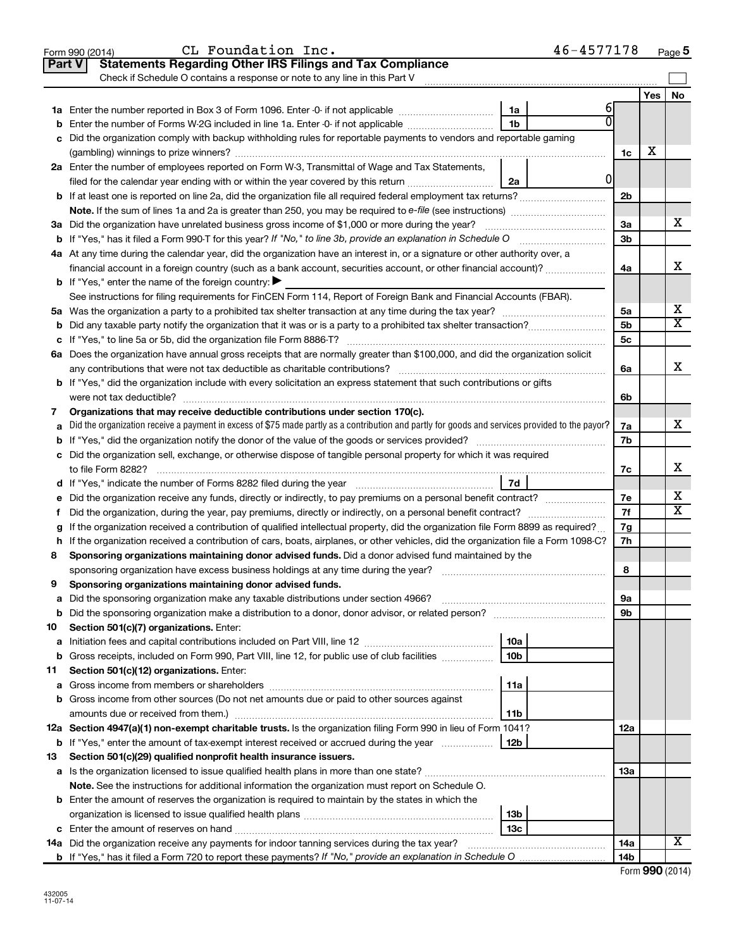|    | CL Foundation Inc.<br>Form 990 (2014)                                                                                                           |                 | 46-4577178 |                 |     | Page 5                |
|----|-------------------------------------------------------------------------------------------------------------------------------------------------|-----------------|------------|-----------------|-----|-----------------------|
|    | <b>Statements Regarding Other IRS Filings and Tax Compliance</b><br><b>Part V</b>                                                               |                 |            |                 |     |                       |
|    | Check if Schedule O contains a response or note to any line in this Part V                                                                      |                 |            |                 |     |                       |
|    |                                                                                                                                                 |                 |            |                 | Yes | No                    |
|    |                                                                                                                                                 | 1a              | 6          |                 |     |                       |
| b  | Enter the number of Forms W-2G included in line 1a. Enter -0- if not applicable                                                                 | 1 <sub>b</sub>  |            |                 |     |                       |
| с  | Did the organization comply with backup withholding rules for reportable payments to vendors and reportable gaming                              |                 |            |                 |     |                       |
|    |                                                                                                                                                 |                 |            | 1c              | х   |                       |
|    | 2a Enter the number of employees reported on Form W-3, Transmittal of Wage and Tax Statements,                                                  |                 |            |                 |     |                       |
|    | filed for the calendar year ending with or within the year covered by this return                                                               | 2a              | 0          |                 |     |                       |
|    | <b>b</b> If at least one is reported on line 2a, did the organization file all required federal employment tax returns?                         |                 |            | 2b              |     |                       |
|    |                                                                                                                                                 |                 |            |                 |     |                       |
|    | 3a Did the organization have unrelated business gross income of \$1,000 or more during the year?                                                |                 |            | 3a              |     | х                     |
|    | <b>b</b> If "Yes," has it filed a Form 990-T for this year? If "No," to line 3b, provide an explanation in Schedule O                           |                 |            | 3b              |     |                       |
|    | 4a At any time during the calendar year, did the organization have an interest in, or a signature or other authority over, a                    |                 |            |                 |     |                       |
|    |                                                                                                                                                 |                 |            | 4a              |     | x                     |
|    | <b>b</b> If "Yes," enter the name of the foreign country: $\blacktriangleright$                                                                 |                 |            |                 |     |                       |
|    | See instructions for filing requirements for FinCEN Form 114, Report of Foreign Bank and Financial Accounts (FBAR).                             |                 |            |                 |     |                       |
|    |                                                                                                                                                 |                 |            | 5a              |     | х                     |
| b  |                                                                                                                                                 |                 |            | 5b              |     | $\overline{\text{X}}$ |
| c  |                                                                                                                                                 |                 |            | 5 <sub>c</sub>  |     |                       |
|    | 6a Does the organization have annual gross receipts that are normally greater than \$100,000, and did the organization solicit                  |                 |            |                 |     |                       |
|    |                                                                                                                                                 |                 |            | 6a              |     | X                     |
|    | <b>b</b> If "Yes," did the organization include with every solicitation an express statement that such contributions or gifts                   |                 |            |                 |     |                       |
|    | were not tax deductible?                                                                                                                        |                 |            | 6b              |     |                       |
| 7  | Organizations that may receive deductible contributions under section 170(c).                                                                   |                 |            |                 |     |                       |
| a  | Did the organization receive a payment in excess of \$75 made partly as a contribution and partly for goods and services provided to the payor? |                 |            | 7a              |     | X                     |
| b  |                                                                                                                                                 |                 |            | 7b              |     |                       |
|    | c Did the organization sell, exchange, or otherwise dispose of tangible personal property for which it was required                             |                 |            |                 |     |                       |
|    |                                                                                                                                                 |                 |            | 7c              |     | X                     |
|    |                                                                                                                                                 |                 |            |                 |     |                       |
| е  |                                                                                                                                                 |                 |            | 7е              |     | х                     |
| f  | Did the organization, during the year, pay premiums, directly or indirectly, on a personal benefit contract?                                    |                 |            | 7f              |     | $\overline{\text{X}}$ |
| g  | If the organization received a contribution of qualified intellectual property, did the organization file Form 8899 as required?                |                 |            | 7g              |     |                       |
|    | h If the organization received a contribution of cars, boats, airplanes, or other vehicles, did the organization file a Form 1098-C?            |                 |            | 7h              |     |                       |
| 8  | Sponsoring organizations maintaining donor advised funds. Did a donor advised fund maintained by the                                            |                 |            |                 |     |                       |
|    |                                                                                                                                                 |                 |            | 8               |     |                       |
|    | Sponsoring organizations maintaining donor advised funds.                                                                                       |                 |            |                 |     |                       |
| а  | Did the sponsoring organization make any taxable distributions under section 4966?                                                              |                 |            | 9а              |     |                       |
| b  | Did the sponsoring organization make a distribution to a donor, donor advisor, or related person?                                               |                 |            | 9b              |     |                       |
| 10 | Section 501(c)(7) organizations. Enter:                                                                                                         |                 |            |                 |     |                       |
| а  |                                                                                                                                                 | 10a             |            |                 |     |                       |
| b  | Gross receipts, included on Form 990, Part VIII, line 12, for public use of club facilities                                                     | 10 <sub>b</sub> |            |                 |     |                       |
| 11 | Section 501(c)(12) organizations. Enter:                                                                                                        |                 |            |                 |     |                       |
| а  |                                                                                                                                                 | 11a             |            |                 |     |                       |
| b  | Gross income from other sources (Do not net amounts due or paid to other sources against                                                        |                 |            |                 |     |                       |
|    | amounts due or received from them.)                                                                                                             | 11b             |            |                 |     |                       |
|    | 12a Section 4947(a)(1) non-exempt charitable trusts. Is the organization filing Form 990 in lieu of Form 1041?                                  |                 |            | 12a             |     |                       |
|    | <b>b</b> If "Yes," enter the amount of tax-exempt interest received or accrued during the year <i>maching</i> the year <b>hollogies</b>         | 12b             |            |                 |     |                       |
| 13 | Section 501(c)(29) qualified nonprofit health insurance issuers.                                                                                |                 |            |                 |     |                       |
|    |                                                                                                                                                 |                 |            | 13a             |     |                       |
|    | Note. See the instructions for additional information the organization must report on Schedule O.                                               |                 |            |                 |     |                       |
|    | <b>b</b> Enter the amount of reserves the organization is required to maintain by the states in which the                                       |                 |            |                 |     |                       |
|    |                                                                                                                                                 | 13b             |            |                 |     |                       |
|    | <b>c</b> Enter the amount of reserves on hand                                                                                                   | 13 <sub>c</sub> |            |                 |     |                       |
|    | 14a Did the organization receive any payments for indoor tanning services during the tax year?                                                  |                 |            | <b>14a</b>      |     | X                     |
|    |                                                                                                                                                 |                 |            | 14 <sub>b</sub> |     |                       |

|  |  | Form 990 (2014) |
|--|--|-----------------|
|--|--|-----------------|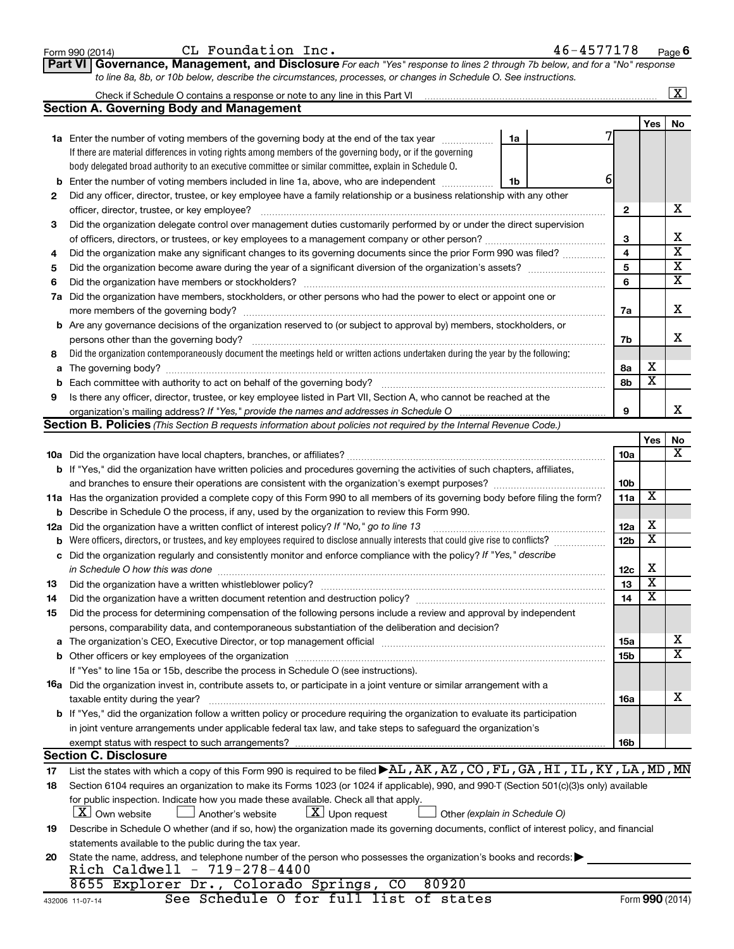| Form 990 (2014) |  |  |
|-----------------|--|--|
|-----------------|--|--|

432006 11-07-14

c VVM EOMNQF m~ `i c~ fK QSJQRTTNTU

Part VI | Governance, Management, and Disclosure For each "Yes" response to lines 2 through 7b below, and for a "No" response to line 8a, 8b, or 10b below, describe the circumstances, processes, or changes in Schedule O. See instructions.

|                                                                                                                                                 | Check if Schedule O contains a response or note to any line in this Part VI                                                                                                                                                    |                 |                         | $\mathbf{X}$                 |  |  |  |  |  |
|-------------------------------------------------------------------------------------------------------------------------------------------------|--------------------------------------------------------------------------------------------------------------------------------------------------------------------------------------------------------------------------------|-----------------|-------------------------|------------------------------|--|--|--|--|--|
|                                                                                                                                                 | <b>Section A. Governing Body and Management</b>                                                                                                                                                                                |                 |                         |                              |  |  |  |  |  |
|                                                                                                                                                 |                                                                                                                                                                                                                                |                 | Yes                     | No                           |  |  |  |  |  |
|                                                                                                                                                 | <b>1a</b> Enter the number of voting members of the governing body at the end of the tax year<br>1a                                                                                                                            |                 |                         |                              |  |  |  |  |  |
|                                                                                                                                                 | If there are material differences in voting rights among members of the governing body, or if the governing                                                                                                                    |                 |                         |                              |  |  |  |  |  |
|                                                                                                                                                 | body delegated broad authority to an executive committee or similar committee, explain in Schedule O.                                                                                                                          |                 |                         |                              |  |  |  |  |  |
| b                                                                                                                                               | 6<br>Enter the number of voting members included in line 1a, above, who are independent<br>1b                                                                                                                                  |                 |                         |                              |  |  |  |  |  |
| 2                                                                                                                                               | Did any officer, director, trustee, or key employee have a family relationship or a business relationship with any other                                                                                                       |                 |                         |                              |  |  |  |  |  |
|                                                                                                                                                 | officer, director, trustee, or key employee?                                                                                                                                                                                   | 2               |                         | х                            |  |  |  |  |  |
| 3                                                                                                                                               | Did the organization delegate control over management duties customarily performed by or under the direct supervision                                                                                                          |                 |                         |                              |  |  |  |  |  |
|                                                                                                                                                 |                                                                                                                                                                                                                                | З               |                         | х<br>$\overline{\textbf{x}}$ |  |  |  |  |  |
| 4                                                                                                                                               | Did the organization make any significant changes to its governing documents since the prior Form 990 was filed?                                                                                                               |                 |                         |                              |  |  |  |  |  |
| 5                                                                                                                                               |                                                                                                                                                                                                                                | 5               |                         | $\overline{\mathbf{X}}$      |  |  |  |  |  |
| 6                                                                                                                                               | 6                                                                                                                                                                                                                              |                 | $\overline{\mathbf{X}}$ |                              |  |  |  |  |  |
| 7a                                                                                                                                              | Did the organization have members, stockholders, or other persons who had the power to elect or appoint one or                                                                                                                 |                 |                         |                              |  |  |  |  |  |
|                                                                                                                                                 | more members of the governing body?                                                                                                                                                                                            | 7a              |                         | x                            |  |  |  |  |  |
|                                                                                                                                                 | <b>b</b> Are any governance decisions of the organization reserved to (or subject to approval by) members, stockholders, or                                                                                                    |                 |                         |                              |  |  |  |  |  |
|                                                                                                                                                 | persons other than the governing body?                                                                                                                                                                                         | 7b              |                         | x                            |  |  |  |  |  |
| 8                                                                                                                                               | Did the organization contemporaneously document the meetings held or written actions undertaken during the year by the following:                                                                                              |                 |                         |                              |  |  |  |  |  |
| a                                                                                                                                               | The governing body?                                                                                                                                                                                                            | 8а              | х                       |                              |  |  |  |  |  |
| b                                                                                                                                               | Each committee with authority to act on behalf of the governing body?                                                                                                                                                          | 8b              | $\overline{\mathbf{x}}$ |                              |  |  |  |  |  |
| 9                                                                                                                                               | Is there any officer, director, trustee, or key employee listed in Part VII, Section A, who cannot be reached at the                                                                                                           |                 |                         |                              |  |  |  |  |  |
|                                                                                                                                                 |                                                                                                                                                                                                                                | 9               |                         | x                            |  |  |  |  |  |
|                                                                                                                                                 | Section B. Policies (This Section B requests information about policies not required by the Internal Revenue Code.)                                                                                                            |                 |                         |                              |  |  |  |  |  |
|                                                                                                                                                 |                                                                                                                                                                                                                                |                 | Yes                     | No                           |  |  |  |  |  |
|                                                                                                                                                 |                                                                                                                                                                                                                                | 10a             |                         | х                            |  |  |  |  |  |
|                                                                                                                                                 | <b>b</b> If "Yes," did the organization have written policies and procedures governing the activities of such chapters, affiliates,                                                                                            |                 |                         |                              |  |  |  |  |  |
|                                                                                                                                                 |                                                                                                                                                                                                                                |                 |                         |                              |  |  |  |  |  |
|                                                                                                                                                 | 11a Has the organization provided a complete copy of this Form 990 to all members of its governing body before filing the form?                                                                                                |                 |                         |                              |  |  |  |  |  |
| b                                                                                                                                               | Describe in Schedule O the process, if any, used by the organization to review this Form 990.                                                                                                                                  |                 |                         |                              |  |  |  |  |  |
| 12a                                                                                                                                             | Did the organization have a written conflict of interest policy? If "No," go to line 13                                                                                                                                        |                 |                         |                              |  |  |  |  |  |
| b                                                                                                                                               | Were officers, directors, or trustees, and key employees required to disclose annually interests that could give rise to conflicts?                                                                                            | 12 <sub>b</sub> | $\overline{\textbf{x}}$ |                              |  |  |  |  |  |
| с                                                                                                                                               | Did the organization regularly and consistently monitor and enforce compliance with the policy? If "Yes," describe                                                                                                             |                 |                         |                              |  |  |  |  |  |
|                                                                                                                                                 | in Schedule O how this was done                                                                                                                                                                                                | 12c             | х                       |                              |  |  |  |  |  |
| 13                                                                                                                                              | Did the organization have a written whistleblower policy?                                                                                                                                                                      | 13              | $\overline{\textbf{x}}$ |                              |  |  |  |  |  |
| 14                                                                                                                                              |                                                                                                                                                                                                                                | 14              | $\overline{\mathbf{X}}$ |                              |  |  |  |  |  |
| 15                                                                                                                                              | Did the process for determining compensation of the following persons include a review and approval by independent                                                                                                             |                 |                         |                              |  |  |  |  |  |
|                                                                                                                                                 | persons, comparability data, and contemporaneous substantiation of the deliberation and decision?                                                                                                                              |                 |                         |                              |  |  |  |  |  |
| а                                                                                                                                               | The organization's CEO, Executive Director, or top management official manufactured content of the organization's CEO, Executive Director, or top management official manufactured and the organization's CEO, and the Directo | 15a             |                         | х                            |  |  |  |  |  |
|                                                                                                                                                 | Other officers or key employees of the organization                                                                                                                                                                            | 15b             |                         | $\overline{\text{X}}$        |  |  |  |  |  |
|                                                                                                                                                 | If "Yes" to line 15a or 15b, describe the process in Schedule O (see instructions).                                                                                                                                            |                 |                         |                              |  |  |  |  |  |
|                                                                                                                                                 | 16a Did the organization invest in, contribute assets to, or participate in a joint venture or similar arrangement with a                                                                                                      |                 |                         |                              |  |  |  |  |  |
|                                                                                                                                                 | taxable entity during the year?                                                                                                                                                                                                | 16a             |                         | х                            |  |  |  |  |  |
|                                                                                                                                                 | b If "Yes," did the organization follow a written policy or procedure requiring the organization to evaluate its participation                                                                                                 |                 |                         |                              |  |  |  |  |  |
|                                                                                                                                                 | in joint venture arrangements under applicable federal tax law, and take steps to safeguard the organization's                                                                                                                 |                 |                         |                              |  |  |  |  |  |
|                                                                                                                                                 | exempt status with respect to such arrangements?                                                                                                                                                                               | 16b             |                         |                              |  |  |  |  |  |
|                                                                                                                                                 | <b>Section C. Disclosure</b>                                                                                                                                                                                                   |                 |                         |                              |  |  |  |  |  |
| 17                                                                                                                                              | List the states with which a copy of this Form 990 is required to be filed $\blacktriangleright$ AL, AK, AZ, CO, FL, GA, HI, IL, KY, LA, MD, MN                                                                                |                 |                         |                              |  |  |  |  |  |
| 18                                                                                                                                              | Section 6104 requires an organization to make its Forms 1023 (or 1024 if applicable), 990, and 990-T (Section 501(c)(3)s only) available                                                                                       |                 |                         |                              |  |  |  |  |  |
|                                                                                                                                                 | for public inspection. Indicate how you made these available. Check all that apply.                                                                                                                                            |                 |                         |                              |  |  |  |  |  |
|                                                                                                                                                 | $ \underline{X} $ Own website<br>$\lfloor \underline{X} \rfloor$ Upon request<br>Another's website<br>Other (explain in Schedule O)                                                                                            |                 |                         |                              |  |  |  |  |  |
| Describe in Schedule O whether (and if so, how) the organization made its governing documents, conflict of interest policy, and financial<br>19 |                                                                                                                                                                                                                                |                 |                         |                              |  |  |  |  |  |
|                                                                                                                                                 | statements available to the public during the tax year.                                                                                                                                                                        |                 |                         |                              |  |  |  |  |  |
| 20                                                                                                                                              | State the name, address, and telephone number of the person who possesses the organization's books and records:<br>Rich Caldwell - 719-278-4400                                                                                |                 |                         |                              |  |  |  |  |  |
|                                                                                                                                                 | 8655 Explorer Dr., Colorado Springs,<br>80920<br>CO                                                                                                                                                                            |                 |                         |                              |  |  |  |  |  |
|                                                                                                                                                 |                                                                                                                                                                                                                                |                 |                         |                              |  |  |  |  |  |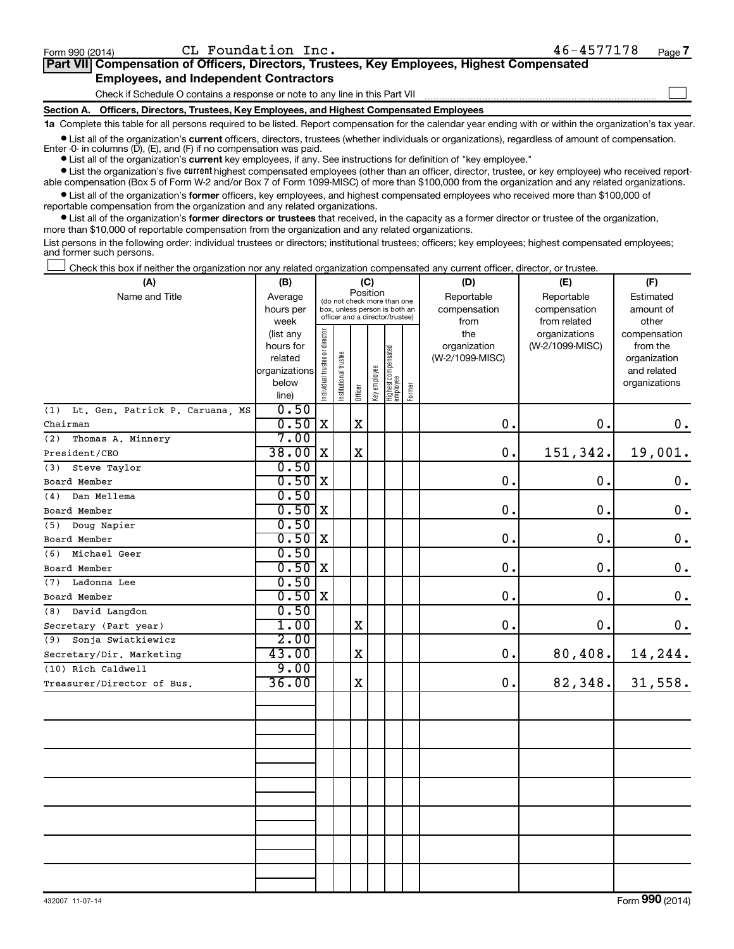$\Box$ 

| Part VII Compensation of Officers, Directors, Trustees, Key Employees, Highest Compensated |  |  |
|--------------------------------------------------------------------------------------------|--|--|
| <b>Employees, and Independent Contractors</b>                                              |  |  |

Check if Schedule O contains a response or note to any line in this Part VII

Section A. Officers, Directors, Trustees, Key Employees, and Highest Compensated Employees

1a Complete this table for all persons required to be listed. Report compensation for the calendar year ending with or within the organization's tax year.

 $\bullet$  List all of the organization's current officers, directors, trustees (whether individuals or organizations), regardless of amount of compensation. Enter  $-0$  in columns (D), (E), and (F) if no compensation was paid.

• List all of the organization's current key employees, if any. See instructions for definition of "key employee."

Eist the organization's five current highest compensated employees (other than an officer, director, trustee, or key employee) who received reportable compensation (Box 5 of Form W-2 and/or Box 7 of Form 1099-MISC) of more than \$100,000 from the organization and any related organizations.

 $\bullet$  List all of the organization's former officers, key employees, and highest compensated employees who received more than \$100,000 of reportable compensation from the organization and any related organizations.

 $\bullet$  List all of the organization's former directors or trustees that received, in the capacity as a former director or trustee of the organization, more than \$10,000 of reportable compensation from the organization and any related organizations.

List persons in the following order: individual trustees or directors; institutional trustees; officers; key employees; highest compensated employees; and former such persons.

Check this box if neither the organization nor any related organization compensated any current officer, director, or trustee.  $\begin{array}{c} \hline \end{array}$ 

| (A)                                    | (B)            |                                |                                 | (C)         |              |                                   |        | (D)             | (E)             | (F)                |
|----------------------------------------|----------------|--------------------------------|---------------------------------|-------------|--------------|-----------------------------------|--------|-----------------|-----------------|--------------------|
| Name and Title                         | Average        |                                | (do not check more than one     | Position    |              |                                   |        | Reportable      | Reportable      | Estimated          |
|                                        | hours per      |                                | box, unless person is both an   |             |              |                                   |        | compensation    | compensation    | amount of          |
|                                        | week           |                                | officer and a director/trustee) |             |              |                                   |        | from            | from related    | other              |
|                                        | (list any      |                                |                                 |             |              |                                   |        | the             | organizations   | compensation       |
|                                        | hours for      |                                |                                 |             |              |                                   |        | organization    | (W-2/1099-MISC) | from the           |
|                                        | related        |                                |                                 |             |              |                                   |        | (W-2/1099-MISC) |                 | organization       |
|                                        | organizations  |                                |                                 |             |              |                                   |        |                 |                 | and related        |
|                                        | below<br>line) | Individual trustee or director | nstitutional trustee            | Officer     | Key employee | Highest compensated<br>  employee | Former |                 |                 | organizations      |
| Lt. Gen. Patrick P. Caruana, MS<br>(1) | 0.50           |                                |                                 |             |              |                                   |        |                 |                 |                    |
| Chairman                               | 0.50           | $\mathbf X$                    |                                 | $\mathbf X$ |              |                                   |        | 0.              | 0.              | 0.                 |
| (2)                                    | 7.00           |                                |                                 |             |              |                                   |        |                 |                 |                    |
| Thomas A. Minnery                      | $38.00$ X      |                                |                                 |             |              |                                   |        |                 |                 |                    |
| President/CEO                          |                |                                |                                 | X           |              |                                   |        | 0.              | 151,342.        | 19,001.            |
| Steve Taylor<br>(3)                    | 0.50           |                                |                                 |             |              |                                   |        |                 |                 |                    |
| Board Member                           | 0.50           | $\mathbf X$                    |                                 |             |              |                                   |        | 0.              | 0.              | $\boldsymbol{0}$ . |
| Dan Mellema<br>(4)                     | 0.50           |                                |                                 |             |              |                                   |        |                 |                 |                    |
| Board Member                           | 0.50           | X                              |                                 |             |              |                                   |        | 0.              | 0.              | 0.                 |
| Doug Napier<br>(5)                     | 0.50           |                                |                                 |             |              |                                   |        |                 |                 |                    |
| Board Member                           | 0.50           | X                              |                                 |             |              |                                   |        | 0.              | 0.              | $0$ .              |
| Michael Geer<br>(6)                    | 0.50           |                                |                                 |             |              |                                   |        |                 |                 |                    |
| Board Member                           | 0.50           | $\mathbf X$                    |                                 |             |              |                                   |        | $\mathbf 0$ .   | 0.              | $\mathbf 0$ .      |
| Ladonna Lee<br>(7)                     | 0.50           |                                |                                 |             |              |                                   |        |                 |                 |                    |
| Board Member                           | 0.50           | l x                            |                                 |             |              |                                   |        | $\mathbf 0$ .   | 0.              | $\boldsymbol{0}$ . |
| (8)<br>David Langdon                   | 0.50           |                                |                                 |             |              |                                   |        |                 |                 |                    |
| Secretary (Part year)                  | 1.00           |                                |                                 | X           |              |                                   |        | 0.              | 0.              | 0.                 |
| Sonja Swiatkiewicz<br>(9)              | 2.00           |                                |                                 |             |              |                                   |        |                 |                 |                    |
| Secretary/Dir. Marketing               | 43.00          |                                |                                 | $\mathbf X$ |              |                                   |        | 0.              | 80,408.         | 14,244.            |
| (10) Rich Caldwell                     | 9.00           |                                |                                 |             |              |                                   |        |                 |                 |                    |
| Treasurer/Director of Bus.             | 36.00          |                                |                                 | $\mathbf X$ |              |                                   |        | 0.              | 82,348.         | 31,558.            |
|                                        |                |                                |                                 |             |              |                                   |        |                 |                 |                    |
|                                        |                |                                |                                 |             |              |                                   |        |                 |                 |                    |
|                                        |                |                                |                                 |             |              |                                   |        |                 |                 |                    |
|                                        |                |                                |                                 |             |              |                                   |        |                 |                 |                    |
|                                        |                |                                |                                 |             |              |                                   |        |                 |                 |                    |
|                                        |                |                                |                                 |             |              |                                   |        |                 |                 |                    |
|                                        |                |                                |                                 |             |              |                                   |        |                 |                 |                    |
|                                        |                |                                |                                 |             |              |                                   |        |                 |                 |                    |
|                                        |                |                                |                                 |             |              |                                   |        |                 |                 |                    |
|                                        |                |                                |                                 |             |              |                                   |        |                 |                 |                    |
|                                        |                |                                |                                 |             |              |                                   |        |                 |                 |                    |
|                                        |                |                                |                                 |             |              |                                   |        |                 |                 |                    |
|                                        |                |                                |                                 |             |              |                                   |        |                 |                 |                    |
|                                        |                |                                |                                 |             |              |                                   |        |                 |                 |                    |
|                                        |                |                                |                                 |             |              |                                   |        |                 |                 |                    |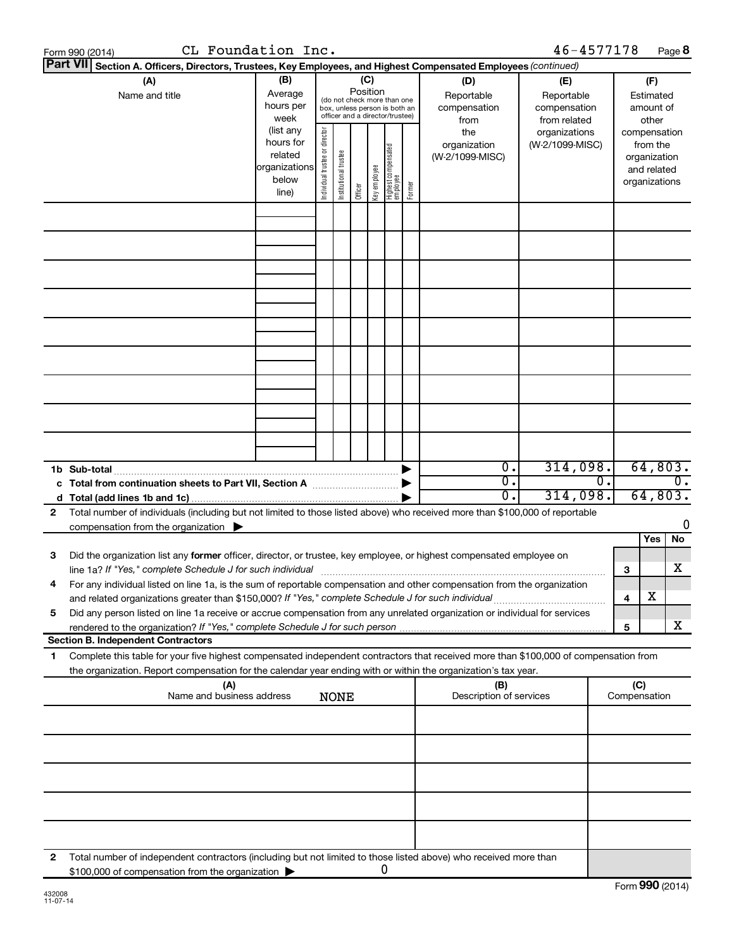|    | CL Foundation Inc.<br>Form 990 (2014)                                                                                                                                                                                                  |                                                                      |                                |                       |                 |              |                                                                                                 |        |                                           | 46-4577178                                        |                  |                                         | Page 8                        |
|----|----------------------------------------------------------------------------------------------------------------------------------------------------------------------------------------------------------------------------------------|----------------------------------------------------------------------|--------------------------------|-----------------------|-----------------|--------------|-------------------------------------------------------------------------------------------------|--------|-------------------------------------------|---------------------------------------------------|------------------|-----------------------------------------|-------------------------------|
|    | Part VII Section A. Officers, Directors, Trustees, Key Employees, and Highest Compensated Employees (continued)                                                                                                                        |                                                                      |                                |                       |                 |              |                                                                                                 |        |                                           |                                                   |                  |                                         |                               |
|    | (A)<br>Name and title                                                                                                                                                                                                                  | (B)<br>Average<br>hours per<br>week                                  |                                |                       | (C)<br>Position |              | (do not check more than one<br>box, unless person is both an<br>officer and a director/trustee) |        | (D)<br>Reportable<br>compensation<br>from | (E)<br>Reportable<br>compensation<br>from related |                  | (F)<br>Estimated<br>amount of<br>other  |                               |
|    |                                                                                                                                                                                                                                        | (list any<br>hours for<br>related<br>organizations<br>below<br>line) | Individual trustee or director | Institutional trustee | Officer         | Key employee | Highest compensated<br>employee                                                                 | Former | the<br>organization<br>(W-2/1099-MISC)    | organizations<br>(W-2/1099-MISC)                  |                  | from the<br>organization<br>and related | compensation<br>organizations |
|    |                                                                                                                                                                                                                                        |                                                                      |                                |                       |                 |              |                                                                                                 |        |                                           |                                                   |                  |                                         |                               |
|    |                                                                                                                                                                                                                                        |                                                                      |                                |                       |                 |              |                                                                                                 |        |                                           |                                                   |                  |                                         |                               |
|    |                                                                                                                                                                                                                                        |                                                                      |                                |                       |                 |              |                                                                                                 |        |                                           |                                                   |                  |                                         |                               |
|    |                                                                                                                                                                                                                                        |                                                                      |                                |                       |                 |              |                                                                                                 |        |                                           |                                                   |                  |                                         |                               |
|    |                                                                                                                                                                                                                                        |                                                                      |                                |                       |                 |              |                                                                                                 |        |                                           |                                                   |                  |                                         |                               |
|    |                                                                                                                                                                                                                                        |                                                                      |                                |                       |                 |              |                                                                                                 |        |                                           |                                                   |                  |                                         |                               |
|    |                                                                                                                                                                                                                                        |                                                                      |                                |                       |                 |              |                                                                                                 |        |                                           |                                                   |                  |                                         |                               |
|    | 1b Sub-total                                                                                                                                                                                                                           |                                                                      |                                |                       |                 |              |                                                                                                 |        | $\overline{0}$ .                          | 314,098.                                          |                  |                                         | 64,803.                       |
|    |                                                                                                                                                                                                                                        |                                                                      |                                |                       |                 |              |                                                                                                 |        | $\overline{0}$ .<br>0.                    | 314,098.                                          | $\overline{0}$ . |                                         | 0.<br>64,803.                 |
| 2  | Total number of individuals (including but not limited to those listed above) who received more than \$100,000 of reportable<br>compensation from the organization $\triangleright$                                                    |                                                                      |                                |                       |                 |              |                                                                                                 |        |                                           |                                                   |                  |                                         | 0                             |
| 3  | Did the organization list any former officer, director, or trustee, key employee, or highest compensated employee on<br>line 1a? If "Yes," complete Schedule J for such individual manufactured content to the set of the set of the s |                                                                      |                                |                       |                 |              |                                                                                                 |        |                                           |                                                   |                  | 3                                       | <b>Yes</b><br>No<br>х         |
|    | For any individual listed on line 1a, is the sum of reportable compensation and other compensation from the organization<br>and related organizations greater than \$150,000? If "Yes," complete Schedule J for such individual        |                                                                      |                                |                       |                 |              |                                                                                                 |        |                                           |                                                   |                  | х<br>4                                  |                               |
| 5  | Did any person listed on line 1a receive or accrue compensation from any unrelated organization or individual for services                                                                                                             |                                                                      |                                |                       |                 |              |                                                                                                 |        |                                           |                                                   |                  | 5                                       | х                             |
| 1. | <b>Section B. Independent Contractors</b><br>Complete this table for your five highest compensated independent contractors that received more than \$100,000 of compensation from                                                      |                                                                      |                                |                       |                 |              |                                                                                                 |        |                                           |                                                   |                  |                                         |                               |
|    | the organization. Report compensation for the calendar year ending with or within the organization's tax year.<br>(A)                                                                                                                  |                                                                      |                                |                       |                 |              |                                                                                                 |        | (B)                                       |                                                   |                  | (C)                                     |                               |
|    | Name and business address                                                                                                                                                                                                              |                                                                      |                                | <b>NONE</b>           |                 |              |                                                                                                 |        | Description of services                   |                                                   |                  | Compensation                            |                               |
|    |                                                                                                                                                                                                                                        |                                                                      |                                |                       |                 |              |                                                                                                 |        |                                           |                                                   |                  |                                         |                               |
|    |                                                                                                                                                                                                                                        |                                                                      |                                |                       |                 |              |                                                                                                 |        |                                           |                                                   |                  |                                         |                               |
|    |                                                                                                                                                                                                                                        |                                                                      |                                |                       |                 |              |                                                                                                 |        |                                           |                                                   |                  |                                         |                               |
|    |                                                                                                                                                                                                                                        |                                                                      |                                |                       |                 |              |                                                                                                 |        |                                           |                                                   |                  |                                         |                               |
| 2  | Total number of independent contractors (including but not limited to those listed above) who received more than<br>\$100,000 of compensation from the organization                                                                    |                                                                      |                                |                       |                 |              | 0                                                                                               |        |                                           |                                                   |                  |                                         |                               |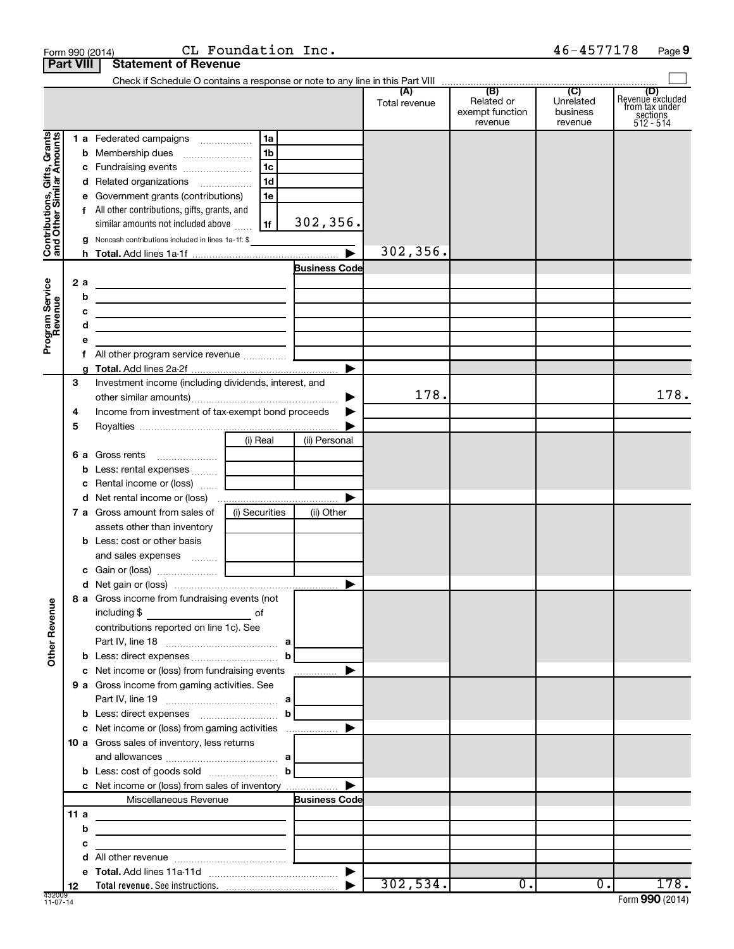|                                          | Form 990 (2014)  |                                                                                                                      | CL Foundation Inc. |                       |               |                                          | 46-4577178                       | Page 9                                                      |
|------------------------------------------|------------------|----------------------------------------------------------------------------------------------------------------------|--------------------|-----------------------|---------------|------------------------------------------|----------------------------------|-------------------------------------------------------------|
|                                          | <b>Part VIII</b> | <b>Statement of Revenue</b>                                                                                          |                    |                       |               |                                          |                                  |                                                             |
|                                          |                  |                                                                                                                      |                    |                       |               |                                          |                                  |                                                             |
|                                          |                  |                                                                                                                      |                    |                       | Total revenue | Related or<br>exempt function<br>revenue | Unrelated<br>business<br>revenue | Revenue excluded<br>from tax under<br>sections<br>512 - 514 |
| Gifts, Grants                            |                  | 1 a Federated campaigns                                                                                              | <b>1a</b>          |                       |               |                                          |                                  |                                                             |
|                                          |                  |                                                                                                                      | 1 <sub>b</sub>     |                       |               |                                          |                                  |                                                             |
|                                          |                  |                                                                                                                      | 1c                 |                       |               |                                          |                                  |                                                             |
|                                          |                  | d Related organizations                                                                                              | 1d                 |                       |               |                                          |                                  |                                                             |
|                                          |                  | e Government grants (contributions)                                                                                  | 1e                 |                       |               |                                          |                                  |                                                             |
|                                          |                  | f All other contributions, gifts, grants, and                                                                        |                    |                       |               |                                          |                                  |                                                             |
|                                          |                  | similar amounts not included above                                                                                   | 1f                 | 302, 356.             |               |                                          |                                  |                                                             |
| Contributions, Gift<br>and Other Similar |                  | Noncash contributions included in lines 1a-1f: \$                                                                    |                    |                       |               |                                          |                                  |                                                             |
|                                          |                  |                                                                                                                      |                    | $\blacktriangleright$ | 302, 356.     |                                          |                                  |                                                             |
|                                          |                  |                                                                                                                      |                    | <b>Business Code</b>  |               |                                          |                                  |                                                             |
|                                          | 2a               | <u> 1980 - Johann Barn, fransk politik (d. 1980)</u>                                                                 |                    |                       |               |                                          |                                  |                                                             |
|                                          | b                | the contract of the contract of the contract of the contract of the contract of                                      |                    |                       |               |                                          |                                  |                                                             |
|                                          | с                | <u> 1989 - Johann Barbara, martin amerikan perang perang perang perang perang perang perang perang perang perang</u> |                    |                       |               |                                          |                                  |                                                             |
|                                          | d                | the contract of the contract of the contract of the contract of the contract of                                      |                    |                       |               |                                          |                                  |                                                             |
| Program Service<br>Revenue               | е                |                                                                                                                      |                    |                       |               |                                          |                                  |                                                             |
|                                          | f                | All other program service revenue  [                                                                                 |                    |                       |               |                                          |                                  |                                                             |
|                                          | a                |                                                                                                                      |                    | ▶                     |               |                                          |                                  |                                                             |
|                                          | 3                | Investment income (including dividends, interest, and                                                                |                    |                       |               |                                          |                                  |                                                             |
|                                          |                  |                                                                                                                      |                    | ▶                     | 178.          |                                          |                                  | 178.                                                        |
|                                          | 4                | Income from investment of tax-exempt bond proceeds                                                                   |                    |                       |               |                                          |                                  |                                                             |
|                                          | 5                |                                                                                                                      |                    |                       |               |                                          |                                  |                                                             |
|                                          |                  |                                                                                                                      | (i) Real           | (ii) Personal         |               |                                          |                                  |                                                             |
|                                          |                  | <b>6 a</b> Gross rents<br><u> 1999 - Johann Harry Barn, francuski filozof (</u>                                      |                    |                       |               |                                          |                                  |                                                             |
|                                          |                  |                                                                                                                      |                    |                       |               |                                          |                                  |                                                             |
|                                          |                  | c Rental income or (loss)                                                                                            |                    |                       |               |                                          |                                  |                                                             |
|                                          |                  |                                                                                                                      |                    | ▶                     |               |                                          |                                  |                                                             |
|                                          |                  | <b>7 a</b> Gross amount from sales of                                                                                | (i) Securities     | (ii) Other            |               |                                          |                                  |                                                             |
|                                          |                  | assets other than inventory                                                                                          |                    |                       |               |                                          |                                  |                                                             |
|                                          |                  | <b>b</b> Less: cost or other basis                                                                                   |                    |                       |               |                                          |                                  |                                                             |
|                                          |                  |                                                                                                                      |                    |                       |               |                                          |                                  |                                                             |
|                                          |                  |                                                                                                                      |                    |                       |               |                                          |                                  |                                                             |
|                                          |                  |                                                                                                                      |                    |                       |               |                                          |                                  |                                                             |
|                                          |                  | 8 a Gross income from fundraising events (not                                                                        |                    |                       |               |                                          |                                  |                                                             |
|                                          |                  | including \$<br>$\overline{\phantom{a}}$ of                                                                          |                    |                       |               |                                          |                                  |                                                             |
|                                          |                  | contributions reported on line 1c). See                                                                              |                    |                       |               |                                          |                                  |                                                             |
|                                          |                  |                                                                                                                      |                    |                       |               |                                          |                                  |                                                             |
| <b>Other Revenue</b>                     |                  |                                                                                                                      | $\mathbf{b}$       |                       |               |                                          |                                  |                                                             |
|                                          |                  | c Net income or (loss) from fundraising events                                                                       |                    | ▶                     |               |                                          |                                  |                                                             |
|                                          |                  | 9 a Gross income from gaming activities. See                                                                         |                    |                       |               |                                          |                                  |                                                             |
|                                          |                  |                                                                                                                      |                    |                       |               |                                          |                                  |                                                             |
|                                          |                  |                                                                                                                      |                    |                       |               |                                          |                                  |                                                             |
|                                          |                  | c Net income or (loss) from gaming activities                                                                        |                    | ▶                     |               |                                          |                                  |                                                             |
|                                          |                  | 10 a Gross sales of inventory, less returns                                                                          |                    |                       |               |                                          |                                  |                                                             |
|                                          |                  |                                                                                                                      |                    |                       |               |                                          |                                  |                                                             |
|                                          |                  |                                                                                                                      |                    |                       |               |                                          |                                  |                                                             |
|                                          |                  |                                                                                                                      |                    | ▶                     |               |                                          |                                  |                                                             |
|                                          |                  | Miscellaneous Revenue                                                                                                |                    | <b>Business Code</b>  |               |                                          |                                  |                                                             |
|                                          | 11a              | the control of the control of the control of the control of the control of                                           |                    |                       |               |                                          |                                  |                                                             |
|                                          | b                | <u> 1980 - Johann Stein, mars an deutscher Stein († 1950)</u>                                                        |                    |                       |               |                                          |                                  |                                                             |
|                                          | c                | <u> 1989 - Johann Barbara, martin da basar a</u>                                                                     |                    |                       |               |                                          |                                  |                                                             |
|                                          | d                |                                                                                                                      |                    |                       |               |                                          |                                  |                                                             |
|                                          |                  |                                                                                                                      |                    |                       |               | $\overline{0}$ .                         |                                  | 178.                                                        |
|                                          | 12               |                                                                                                                      |                    |                       | 302,534.      |                                          | $\overline{0}$ .                 |                                                             |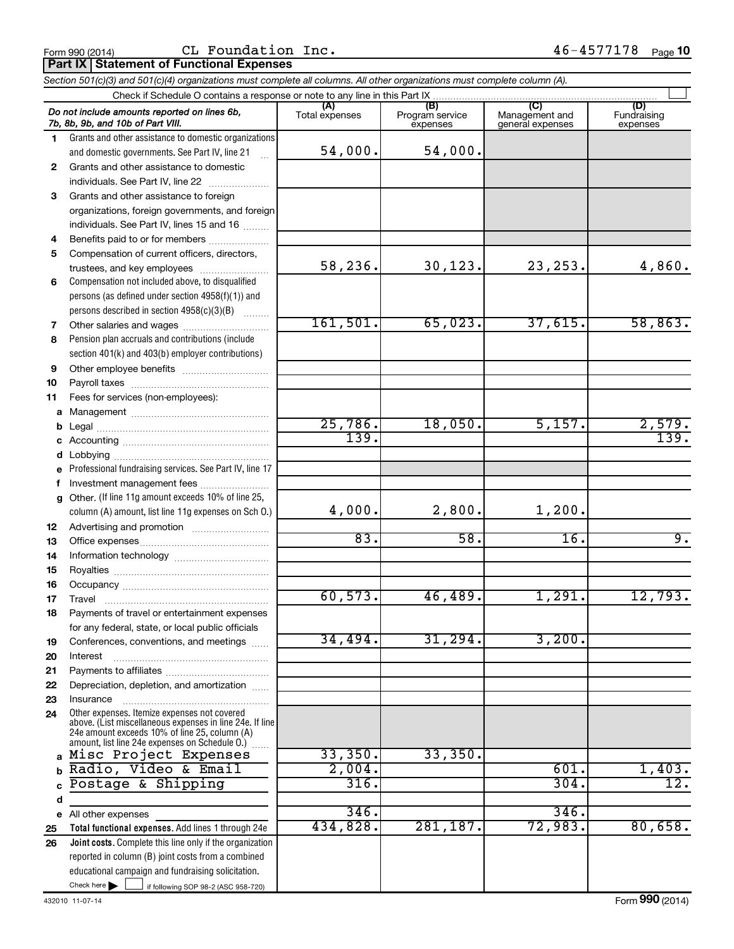Form 990 (2014)  $CL$  Foundation Inc.  $46-4577178$   $_{Page}$ 

|              | Section 501(c)(3) and 501(c)(4) organizations must complete all columns. All other organizations must complete column (A).                                                                                    |                       |                                    |                                           |                                |
|--------------|---------------------------------------------------------------------------------------------------------------------------------------------------------------------------------------------------------------|-----------------------|------------------------------------|-------------------------------------------|--------------------------------|
|              | Check if Schedule O contains a response or note to any line in this Part IX                                                                                                                                   |                       |                                    |                                           |                                |
|              | Do not include amounts reported on lines 6b,<br>7b, 8b, 9b, and 10b of Part VIII.                                                                                                                             | (A)<br>Total expenses | (B)<br>Program service<br>expenses | (C)<br>Management and<br>general expenses | (D)<br>Fundraising<br>expenses |
| $\mathbf{1}$ | Grants and other assistance to domestic organizations                                                                                                                                                         |                       |                                    |                                           |                                |
|              | and domestic governments. See Part IV, line 21<br>$\mathbf{r}$                                                                                                                                                | 54,000.               | 54,000.                            |                                           |                                |
| $\mathbf{2}$ | Grants and other assistance to domestic                                                                                                                                                                       |                       |                                    |                                           |                                |
|              | individuals. See Part IV, line 22                                                                                                                                                                             |                       |                                    |                                           |                                |
| 3            | Grants and other assistance to foreign                                                                                                                                                                        |                       |                                    |                                           |                                |
|              | organizations, foreign governments, and foreign                                                                                                                                                               |                       |                                    |                                           |                                |
|              | individuals. See Part IV, lines 15 and 16                                                                                                                                                                     |                       |                                    |                                           |                                |
| 4            | Benefits paid to or for members                                                                                                                                                                               |                       |                                    |                                           |                                |
| 5            | Compensation of current officers, directors,                                                                                                                                                                  |                       |                                    |                                           |                                |
|              |                                                                                                                                                                                                               | 58,236.               | 30, 123.                           | 23, 253.                                  | 4,860.                         |
| 6            | Compensation not included above, to disqualified                                                                                                                                                              |                       |                                    |                                           |                                |
|              | persons (as defined under section 4958(f)(1)) and                                                                                                                                                             |                       |                                    |                                           |                                |
|              | persons described in section 4958(c)(3)(B)<br><b>Barbara</b>                                                                                                                                                  |                       |                                    |                                           |                                |
| 7            |                                                                                                                                                                                                               | 161,501.              | 65,023.                            | 37,615.                                   | 58,863.                        |
| 8            | Pension plan accruals and contributions (include                                                                                                                                                              |                       |                                    |                                           |                                |
|              | section 401(k) and 403(b) employer contributions)                                                                                                                                                             |                       |                                    |                                           |                                |
| 9            |                                                                                                                                                                                                               |                       |                                    |                                           |                                |
| 10           |                                                                                                                                                                                                               |                       |                                    |                                           |                                |
| 11           | Fees for services (non-employees):                                                                                                                                                                            |                       |                                    |                                           |                                |
|              |                                                                                                                                                                                                               |                       |                                    |                                           |                                |
| b            |                                                                                                                                                                                                               | 25,786.               | 18,050.                            | 5,157.                                    | 2,579.                         |
| c            |                                                                                                                                                                                                               | 139.                  |                                    |                                           | 139.                           |
| d            |                                                                                                                                                                                                               |                       |                                    |                                           |                                |
|              | e Professional fundraising services. See Part IV, line 17                                                                                                                                                     |                       |                                    |                                           |                                |
| f            | Investment management fees                                                                                                                                                                                    |                       |                                    |                                           |                                |
|              | g Other. (If line 11g amount exceeds 10% of line 25,                                                                                                                                                          |                       |                                    |                                           |                                |
|              | column (A) amount, list line 11g expenses on Sch 0.)                                                                                                                                                          | 4,000.                | 2,800.                             | 1,200.                                    |                                |
| 12           |                                                                                                                                                                                                               |                       |                                    |                                           |                                |
| 13           |                                                                                                                                                                                                               | 83.                   | 58.                                | 16.                                       | 9.                             |
| 14           |                                                                                                                                                                                                               |                       |                                    |                                           |                                |
| 15           |                                                                                                                                                                                                               |                       |                                    |                                           |                                |
| 16           |                                                                                                                                                                                                               |                       |                                    |                                           |                                |
| 17           |                                                                                                                                                                                                               | 60, 573.              | 46, 489.                           | 1,291.                                    | 12,793.                        |
| 18           | Payments of travel or entertainment expenses                                                                                                                                                                  |                       |                                    |                                           |                                |
|              | for any federal, state, or local public officials                                                                                                                                                             |                       |                                    |                                           |                                |
| 19           | Conferences, conventions, and meetings                                                                                                                                                                        | 34,494.               | 31, 294.                           | 3,200.                                    |                                |
| 20           | Interest                                                                                                                                                                                                      |                       |                                    |                                           |                                |
| 21           |                                                                                                                                                                                                               |                       |                                    |                                           |                                |
| 22           | Depreciation, depletion, and amortization                                                                                                                                                                     |                       |                                    |                                           |                                |
| 23           | Insurance                                                                                                                                                                                                     |                       |                                    |                                           |                                |
| 24           | Other expenses. Itemize expenses not covered<br>above. (List miscellaneous expenses in line 24e. If line<br>24e amount exceeds 10% of line 25, column (A)<br>amount, list line 24e expenses on Schedule O.) [ |                       |                                    |                                           |                                |
|              | Misc Project Expenses                                                                                                                                                                                         | 33,350.               | 33,350.                            |                                           |                                |
|              | Radio, Video & Email                                                                                                                                                                                          | 2,004.                |                                    | 601.                                      | 1,403.                         |
|              | Postage & Shipping                                                                                                                                                                                            | 316.                  |                                    | 304.                                      | $\overline{12}$ .              |
| d            |                                                                                                                                                                                                               |                       |                                    |                                           |                                |
|              | e All other expenses                                                                                                                                                                                          | 346.                  |                                    | 346.                                      |                                |
| 25           | Total functional expenses. Add lines 1 through 24e                                                                                                                                                            | 434,828.              | 281,187.                           | 72,983.                                   | 80,658.                        |
| 26           | Joint costs. Complete this line only if the organization                                                                                                                                                      |                       |                                    |                                           |                                |
|              | reported in column (B) joint costs from a combined                                                                                                                                                            |                       |                                    |                                           |                                |
|              | educational campaign and fundraising solicitation.                                                                                                                                                            |                       |                                    |                                           |                                |

Check here

Check here  $\begin{array}{|c|c|c|c|c|}\hline \end{array}$  if following SOP 98-2 (ASC 958-720)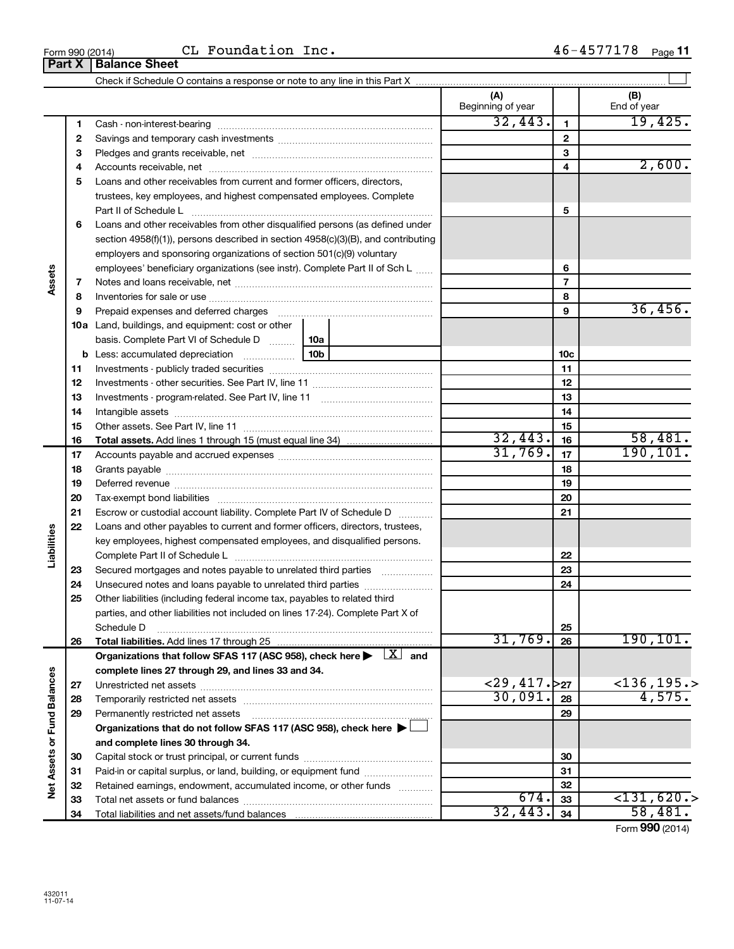|                             |    | CL Foundation Inc.<br>Form 990 (2014)<br><b>Part X   Balance Sheet</b>                                                                                                                                                         |         |                          |                 | 46-4577178 Page 11 |
|-----------------------------|----|--------------------------------------------------------------------------------------------------------------------------------------------------------------------------------------------------------------------------------|---------|--------------------------|-----------------|--------------------|
|                             |    |                                                                                                                                                                                                                                |         |                          |                 |                    |
|                             |    |                                                                                                                                                                                                                                |         | (A)<br>Beginning of year |                 | (B)<br>End of year |
|                             | 1. |                                                                                                                                                                                                                                | 32,443. | $\mathbf{1}$             | 19,425.         |                    |
|                             | 2  |                                                                                                                                                                                                                                |         | $\overline{2}$           |                 |                    |
|                             | 3  |                                                                                                                                                                                                                                |         | 3                        |                 |                    |
|                             | 4  |                                                                                                                                                                                                                                |         | 4                        | 2,600.          |                    |
|                             | 5  | Loans and other receivables from current and former officers, directors,                                                                                                                                                       |         |                          |                 |                    |
|                             |    | trustees, key employees, and highest compensated employees. Complete                                                                                                                                                           |         |                          |                 |                    |
|                             |    | Part II of Schedule L                                                                                                                                                                                                          |         |                          | 5               |                    |
|                             | 6  | Loans and other receivables from other disqualified persons (as defined under                                                                                                                                                  |         |                          |                 |                    |
|                             |    | section $4958(f)(1)$ , persons described in section $4958(c)(3)(B)$ , and contributing                                                                                                                                         |         |                          |                 |                    |
|                             |    | employers and sponsoring organizations of section 501(c)(9) voluntary                                                                                                                                                          |         |                          |                 |                    |
|                             |    | employees' beneficiary organizations (see instr). Complete Part II of Sch L                                                                                                                                                    |         | 6                        |                 |                    |
| Assets                      | 7  |                                                                                                                                                                                                                                |         |                          | $\overline{7}$  |                    |
|                             | 8  |                                                                                                                                                                                                                                |         |                          | 8               |                    |
|                             | 9  |                                                                                                                                                                                                                                |         |                          | 9               | 36,456.            |
|                             |    | 10a Land, buildings, and equipment: cost or other                                                                                                                                                                              |         |                          |                 |                    |
|                             |    | basis. Complete Part VI of Schedule D  10a                                                                                                                                                                                     |         |                          |                 |                    |
|                             |    |                                                                                                                                                                                                                                | 10b     |                          | 10 <sub>c</sub> |                    |
|                             | 11 |                                                                                                                                                                                                                                |         |                          | 11              |                    |
|                             | 12 |                                                                                                                                                                                                                                |         | 12                       |                 |                    |
|                             | 13 |                                                                                                                                                                                                                                |         |                          | 13              |                    |
|                             | 14 |                                                                                                                                                                                                                                |         |                          | 14              |                    |
|                             | 15 |                                                                                                                                                                                                                                |         | 15                       |                 |                    |
|                             | 16 |                                                                                                                                                                                                                                | 32,443. | 16                       | 58,481.         |                    |
|                             | 17 |                                                                                                                                                                                                                                | 31,769. | 17                       | 190, 101.       |                    |
|                             | 18 |                                                                                                                                                                                                                                |         |                          | 18              |                    |
|                             | 19 |                                                                                                                                                                                                                                |         |                          | 19              |                    |
|                             | 20 | Deferred revenue manual contracts and contracts are all the contracts and contracts are contracted and contracts are contracted and contract are contracted and contract are contracted and contract are contracted and contra |         |                          | 20              |                    |
|                             | 21 | Escrow or custodial account liability. Complete Part IV of Schedule D                                                                                                                                                          |         |                          | 21              |                    |
|                             | 22 | Loans and other payables to current and former officers, directors, trustees,                                                                                                                                                  |         |                          |                 |                    |
|                             |    | key employees, highest compensated employees, and disqualified persons.                                                                                                                                                        |         |                          |                 |                    |
| abilities                   |    |                                                                                                                                                                                                                                |         |                          | 22              |                    |
|                             | 23 | Secured mortgages and notes payable to unrelated third parties                                                                                                                                                                 |         |                          | 23              |                    |
|                             | 24 | Unsecured notes and loans payable to unrelated third parties                                                                                                                                                                   |         |                          | 24              |                    |
|                             | 25 | Other liabilities (including federal income tax, payables to related third                                                                                                                                                     |         |                          |                 |                    |
|                             |    | parties, and other liabilities not included on lines 17-24). Complete Part X of                                                                                                                                                |         |                          |                 |                    |
|                             |    | Schedule D                                                                                                                                                                                                                     |         |                          | 25              |                    |
|                             | 26 | Total liabilities. Add lines 17 through 25                                                                                                                                                                                     |         | 31,769.                  | 26              | 190, 101.          |
|                             |    | Organizations that follow SFAS 117 (ASC 958), check here $\blacktriangleright \begin{array}{c} \boxed{X} \end{array}$ and                                                                                                      |         |                          |                 |                    |
|                             |    | complete lines 27 through 29, and lines 33 and 34.                                                                                                                                                                             |         |                          |                 |                    |
|                             | 27 |                                                                                                                                                                                                                                |         | $<$ 29,417. $>$ 27       |                 | $<$ 136, 195.>     |
|                             | 28 |                                                                                                                                                                                                                                |         | 30,091.                  | 28              | 4,575.             |
|                             | 29 | Permanently restricted net assets                                                                                                                                                                                              |         |                          | 29              |                    |
|                             |    | Organizations that do not follow SFAS 117 (ASC 958), check here $\blacktriangleright \bot$                                                                                                                                     |         |                          |                 |                    |
|                             |    | and complete lines 30 through 34.                                                                                                                                                                                              |         |                          |                 |                    |
|                             | 30 |                                                                                                                                                                                                                                |         |                          | 30              |                    |
|                             | 31 | Paid-in or capital surplus, or land, building, or equipment fund                                                                                                                                                               |         |                          | 31              |                    |
|                             | 32 | Retained earnings, endowment, accumulated income, or other funds                                                                                                                                                               |         |                          | 32              |                    |
| Net Assets or Fund Balances |    | مامط امعربة عمرمهم                                                                                                                                                                                                             |         | 671                      | oo.             | 2131 620           |

`~~ ~I Paid-in or capital surplus, or land, building, or equipment fund will contain the summan Retained earnings, endowment, accumulated income, or other funds ............ q~ ~ ~~

Total liabilities and net assets/fund balances

 $674.33$  <131,620.>  $32,443.$   $34$  58,481.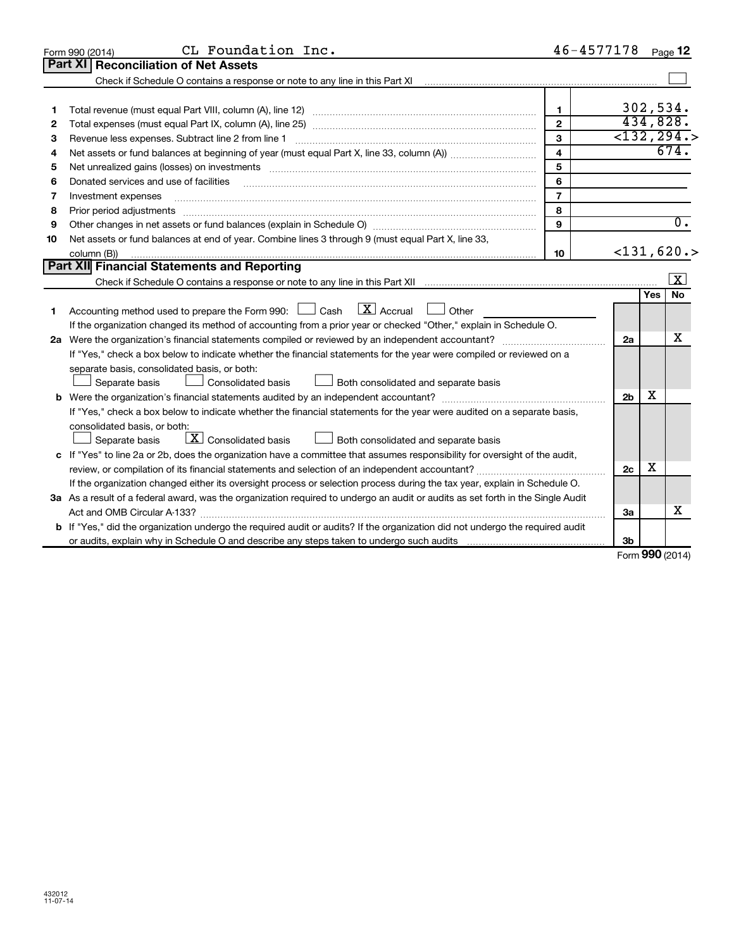|                                                                                                                                                                        |                |              | Page 12                 |
|------------------------------------------------------------------------------------------------------------------------------------------------------------------------|----------------|--------------|-------------------------|
| <b>Part XI Reconciliation of Net Assets</b>                                                                                                                            |                |              |                         |
| Check if Schedule O contains a response or note to any line in this Part XI [11] [12] [12] Check if Schedule O contains a response or note to any line in this Part XI |                |              |                         |
|                                                                                                                                                                        |                |              |                         |
| $\mathbf{1}$<br>1                                                                                                                                                      |                | 302,534.     |                         |
| $\mathbf{2}$<br>2                                                                                                                                                      |                | 434,828.     |                         |
| 3<br>Revenue less expenses. Subtract line 2 from line 1<br>З                                                                                                           |                |              | $\overline{<}132, 294.$ |
| $\overline{\mathbf{4}}$<br>4                                                                                                                                           |                |              | 674.                    |
| 5<br>5                                                                                                                                                                 |                |              |                         |
| 6<br>Donated services and use of facilities<br>6                                                                                                                       |                |              |                         |
| $\overline{7}$<br>Investment expenses<br>7                                                                                                                             |                |              |                         |
| 8<br>Prior period adjustments<br>8                                                                                                                                     |                |              |                         |
| 9<br>9                                                                                                                                                                 |                |              | $\overline{0}$ .        |
| Net assets or fund balances at end of year. Combine lines 3 through 9 (must equal Part X, line 33,<br>10                                                               |                |              |                         |
| column (B))<br>10                                                                                                                                                      |                |              | $<$ 131,620.>           |
| Part XII Financial Statements and Reporting                                                                                                                            |                |              |                         |
|                                                                                                                                                                        |                |              | $\mathbf{X}$            |
|                                                                                                                                                                        |                | <b>Yes</b>   | <b>No</b>               |
| $\lfloor x \rfloor$ Accrual<br>Accounting method used to prepare the Form 990: <u>I</u> Cash<br>$\Box$ Other<br>1                                                      |                |              |                         |
| If the organization changed its method of accounting from a prior year or checked "Other," explain in Schedule O.                                                      |                |              |                         |
|                                                                                                                                                                        | 2a             |              | х                       |
| If "Yes," check a box below to indicate whether the financial statements for the year were compiled or reviewed on a                                                   |                |              |                         |
| separate basis, consolidated basis, or both:                                                                                                                           |                |              |                         |
| Both consolidated and separate basis<br>Separate basis<br>Consolidated basis                                                                                           |                |              |                         |
|                                                                                                                                                                        | 2 <sub>b</sub> | х            |                         |
| If "Yes," check a box below to indicate whether the financial statements for the year were audited on a separate basis,                                                |                |              |                         |
| consolidated basis, or both:                                                                                                                                           |                |              |                         |
| $\lfloor x \rfloor$ Consolidated basis<br>Both consolidated and separate basis<br>Separate basis                                                                       |                |              |                         |
| c If "Yes" to line 2a or 2b, does the organization have a committee that assumes responsibility for oversight of the audit,                                            |                |              |                         |
|                                                                                                                                                                        | 2 <sub>c</sub> | X            |                         |
| If the organization changed either its oversight process or selection process during the tax year, explain in Schedule O.                                              |                |              |                         |
| 3a As a result of a federal award, was the organization required to undergo an audit or audits as set forth in the Single Audit                                        |                |              |                         |
| Act and OMB Circular A-133?                                                                                                                                            | За             |              | х                       |
| If "Yes," did the organization undergo the required audit or audits? If the organization did not undergo the required audit                                            |                |              |                         |
|                                                                                                                                                                        | 3b             | $\mathbf{A}$ |                         |

Form 990 (2014)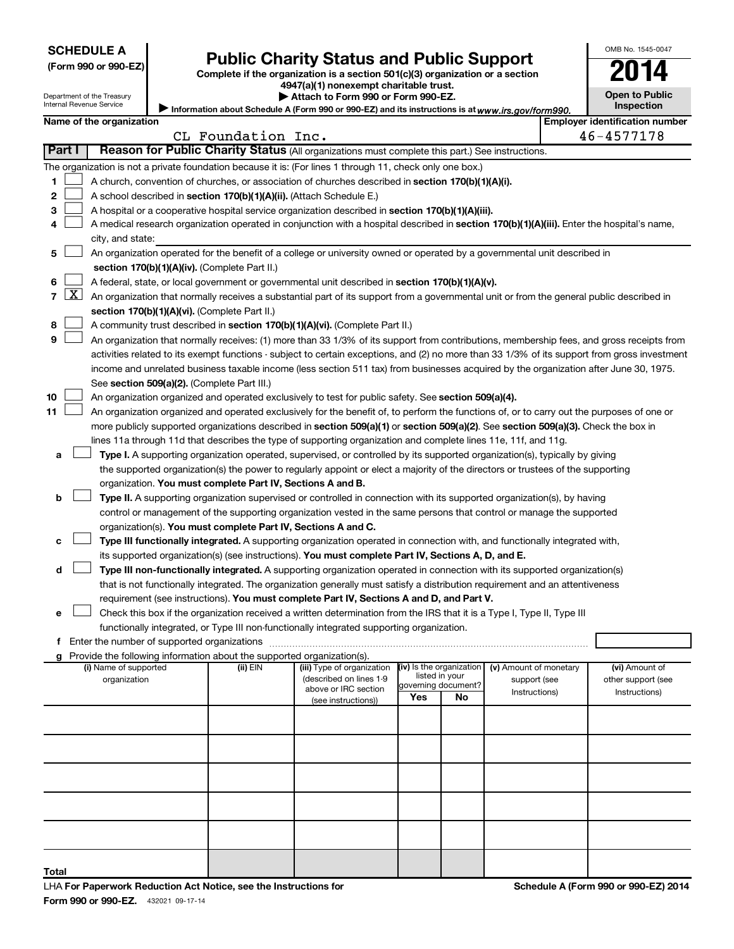| <b>SCHEDULE A</b> |  |
|-------------------|--|
|-------------------|--|

Department of the Treasury Internal Revenue Service

(Form 990 or 990-EZ)

### **Public Charity Status and Public Support**

Complete if the organization is a section  $501(c)(3)$  organization or a section

Information about Schedule A (Form 990 or 990-EZ) and its instructions is at www.irs.gov/form990. 4947(a)(1) nonexempt charitable trust. Attach to Form 990 or Form 990-EZ.

| OMB No 1545-0047                    |
|-------------------------------------|
| 114                                 |
| <b>Open to Public</b><br>Inspection |

|    | <b>Employer identification number</b><br>Name of the organization |                                                                                                                                                                                                                                |                    |                                                       |                                            |                     |                               |  |                                     |
|----|-------------------------------------------------------------------|--------------------------------------------------------------------------------------------------------------------------------------------------------------------------------------------------------------------------------|--------------------|-------------------------------------------------------|--------------------------------------------|---------------------|-------------------------------|--|-------------------------------------|
|    |                                                                   |                                                                                                                                                                                                                                | CL Foundation Inc. |                                                       |                                            |                     |                               |  | 46-4577178                          |
|    | Part I                                                            | Reason for Public Charity Status (All organizations must complete this part.) See instructions.                                                                                                                                |                    |                                                       |                                            |                     |                               |  |                                     |
|    |                                                                   | The organization is not a private foundation because it is: (For lines 1 through 11, check only one box.)                                                                                                                      |                    |                                                       |                                            |                     |                               |  |                                     |
| 1. |                                                                   | A church, convention of churches, or association of churches described in section 170(b)(1)(A)(i).                                                                                                                             |                    |                                                       |                                            |                     |                               |  |                                     |
| 2  |                                                                   | A school described in section 170(b)(1)(A)(ii). (Attach Schedule E.)                                                                                                                                                           |                    |                                                       |                                            |                     |                               |  |                                     |
| з  |                                                                   | A hospital or a cooperative hospital service organization described in section 170(b)(1)(A)(iii).                                                                                                                              |                    |                                                       |                                            |                     |                               |  |                                     |
| 4  |                                                                   | A medical research organization operated in conjunction with a hospital described in section 170(b)(1)(A)(iii). Enter the hospital's name,                                                                                     |                    |                                                       |                                            |                     |                               |  |                                     |
|    |                                                                   | city, and state:                                                                                                                                                                                                               |                    |                                                       |                                            |                     |                               |  |                                     |
| 5  |                                                                   | An organization operated for the benefit of a college or university owned or operated by a governmental unit described in<br>section 170(b)(1)(A)(iv). (Complete Part II.)                                                     |                    |                                                       |                                            |                     |                               |  |                                     |
| 6  |                                                                   | A federal, state, or local government or governmental unit described in section 170(b)(1)(A)(v).                                                                                                                               |                    |                                                       |                                            |                     |                               |  |                                     |
|    | $7 \times$                                                        | An organization that normally receives a substantial part of its support from a governmental unit or from the general public described in                                                                                      |                    |                                                       |                                            |                     |                               |  |                                     |
|    |                                                                   | section 170(b)(1)(A)(vi). (Complete Part II.)                                                                                                                                                                                  |                    |                                                       |                                            |                     |                               |  |                                     |
| 8  |                                                                   | A community trust described in section 170(b)(1)(A)(vi). (Complete Part II.)                                                                                                                                                   |                    |                                                       |                                            |                     |                               |  |                                     |
| 9  |                                                                   | An organization that normally receives: (1) more than 33 1/3% of its support from contributions, membership fees, and gross receipts from                                                                                      |                    |                                                       |                                            |                     |                               |  |                                     |
|    |                                                                   | activities related to its exempt functions - subject to certain exceptions, and (2) no more than 33 1/3% of its support from gross investment                                                                                  |                    |                                                       |                                            |                     |                               |  |                                     |
|    |                                                                   | income and unrelated business taxable income (less section 511 tax) from businesses acquired by the organization after June 30, 1975.                                                                                          |                    |                                                       |                                            |                     |                               |  |                                     |
|    |                                                                   | See section 509(a)(2). (Complete Part III.)                                                                                                                                                                                    |                    |                                                       |                                            |                     |                               |  |                                     |
| 10 |                                                                   | An organization organized and operated exclusively to test for public safety. See section 509(a)(4).                                                                                                                           |                    |                                                       |                                            |                     |                               |  |                                     |
| 11 |                                                                   | An organization organized and operated exclusively for the benefit of, to perform the functions of, or to carry out the purposes of one or                                                                                     |                    |                                                       |                                            |                     |                               |  |                                     |
|    |                                                                   | more publicly supported organizations described in section 509(a)(1) or section 509(a)(2). See section 509(a)(3). Check the box in                                                                                             |                    |                                                       |                                            |                     |                               |  |                                     |
|    |                                                                   | lines 11a through 11d that describes the type of supporting organization and complete lines 11e, 11f, and 11g.                                                                                                                 |                    |                                                       |                                            |                     |                               |  |                                     |
| a  |                                                                   | Type I. A supporting organization operated, supervised, or controlled by its supported organization(s), typically by giving                                                                                                    |                    |                                                       |                                            |                     |                               |  |                                     |
|    |                                                                   | the supported organization(s) the power to regularly appoint or elect a majority of the directors or trustees of the supporting                                                                                                |                    |                                                       |                                            |                     |                               |  |                                     |
|    |                                                                   | organization. You must complete Part IV, Sections A and B.                                                                                                                                                                     |                    |                                                       |                                            |                     |                               |  |                                     |
| b  |                                                                   | Type II. A supporting organization supervised or controlled in connection with its supported organization(s), by having                                                                                                        |                    |                                                       |                                            |                     |                               |  |                                     |
|    |                                                                   | control or management of the supporting organization vested in the same persons that control or manage the supported                                                                                                           |                    |                                                       |                                            |                     |                               |  |                                     |
|    |                                                                   | organization(s). You must complete Part IV, Sections A and C.                                                                                                                                                                  |                    |                                                       |                                            |                     |                               |  |                                     |
| с  |                                                                   | Type III functionally integrated. A supporting organization operated in connection with, and functionally integrated with,                                                                                                     |                    |                                                       |                                            |                     |                               |  |                                     |
|    |                                                                   | its supported organization(s) (see instructions). <b>You must complete Part IV, Sections A, D, and E.</b>                                                                                                                      |                    |                                                       |                                            |                     |                               |  |                                     |
| d  |                                                                   | Type III non-functionally integrated. A supporting organization operated in connection with its supported organization(s)                                                                                                      |                    |                                                       |                                            |                     |                               |  |                                     |
|    |                                                                   | that is not functionally integrated. The organization generally must satisfy a distribution requirement and an attentiveness                                                                                                   |                    |                                                       |                                            |                     |                               |  |                                     |
|    |                                                                   | requirement (see instructions). You must complete Part IV, Sections A and D, and Part V.                                                                                                                                       |                    |                                                       |                                            |                     |                               |  |                                     |
| е  |                                                                   | Check this box if the organization received a written determination from the IRS that it is a Type I, Type II, Type III                                                                                                        |                    |                                                       |                                            |                     |                               |  |                                     |
|    |                                                                   | functionally integrated, or Type III non-functionally integrated supporting organization.                                                                                                                                      |                    |                                                       |                                            |                     |                               |  |                                     |
|    |                                                                   | f Enter the number of supported organizations [11] matter content to the number of supported organizations [11] matter content to the number of supported organizations [11] matter content to the number of supported or supp |                    |                                                       |                                            |                     |                               |  |                                     |
|    |                                                                   | g Provide the following information about the supported organization(s).                                                                                                                                                       |                    |                                                       |                                            |                     |                               |  |                                     |
|    |                                                                   | (i) Name of supported                                                                                                                                                                                                          | (ii) EIN           | (iii) Type of organization<br>(described on lines 1-9 | (iv) Is the organization<br>listed in your |                     | (v) Amount of monetary        |  | (vi) Amount of                      |
|    |                                                                   | organization                                                                                                                                                                                                                   |                    | above or IRC section                                  |                                            | governing document? | support (see<br>Instructions) |  | other support (see<br>Instructions) |
|    |                                                                   |                                                                                                                                                                                                                                |                    | (see instructions))                                   | Yes                                        | No                  |                               |  |                                     |
|    |                                                                   |                                                                                                                                                                                                                                |                    |                                                       |                                            |                     |                               |  |                                     |
|    |                                                                   |                                                                                                                                                                                                                                |                    |                                                       |                                            |                     |                               |  |                                     |
|    |                                                                   |                                                                                                                                                                                                                                |                    |                                                       |                                            |                     |                               |  |                                     |
|    |                                                                   |                                                                                                                                                                                                                                |                    |                                                       |                                            |                     |                               |  |                                     |
|    |                                                                   |                                                                                                                                                                                                                                |                    |                                                       |                                            |                     |                               |  |                                     |
|    |                                                                   |                                                                                                                                                                                                                                |                    |                                                       |                                            |                     |                               |  |                                     |
|    |                                                                   |                                                                                                                                                                                                                                |                    |                                                       |                                            |                     |                               |  |                                     |
|    |                                                                   |                                                                                                                                                                                                                                |                    |                                                       |                                            |                     |                               |  |                                     |
|    |                                                                   |                                                                                                                                                                                                                                |                    |                                                       |                                            |                     |                               |  |                                     |
|    |                                                                   |                                                                                                                                                                                                                                |                    |                                                       |                                            |                     |                               |  |                                     |

Total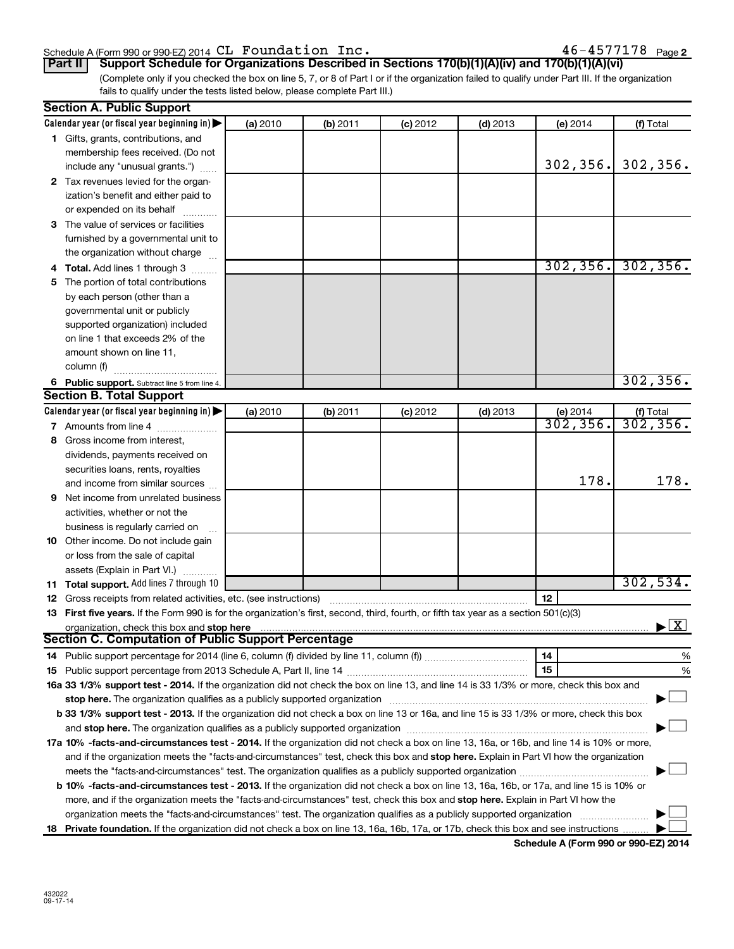### p ^ Ec VVM VVMJbwF OMNQ m~ `i c~ fK QSJQRTTNTU

 $46 - 4577178$  Page 2

(Complete only if you checked the box on line 5, 7, or 8 of Part I or if the organization failed to qualify under Part III. If the organization fails to qualify under the tests listed below, please complete Part III.) **Part II** | Support Schedule for Organizations Described in Sections 170(b)(1)(A)(iv) and 170(b)(1)(A)(vi)

| <b>Section A. Public Support</b>                                                                                                                                                                                              |          |          |            |            |           |                                          |
|-------------------------------------------------------------------------------------------------------------------------------------------------------------------------------------------------------------------------------|----------|----------|------------|------------|-----------|------------------------------------------|
| Calendar year (or fiscal year beginning in) $\blacktriangleright$                                                                                                                                                             | (a) 2010 | (b) 2011 | $(c)$ 2012 | $(d)$ 2013 | (e) 2014  | (f) Total                                |
| 1 Gifts, grants, contributions, and                                                                                                                                                                                           |          |          |            |            |           |                                          |
| membership fees received. (Do not                                                                                                                                                                                             |          |          |            |            |           |                                          |
| include any "unusual grants.")                                                                                                                                                                                                |          |          |            |            | 302, 356. | 302, 356.                                |
| 2 Tax revenues levied for the organ-                                                                                                                                                                                          |          |          |            |            |           |                                          |
| ization's benefit and either paid to                                                                                                                                                                                          |          |          |            |            |           |                                          |
| or expended on its behalf                                                                                                                                                                                                     |          |          |            |            |           |                                          |
| 3 The value of services or facilities                                                                                                                                                                                         |          |          |            |            |           |                                          |
| furnished by a governmental unit to                                                                                                                                                                                           |          |          |            |            |           |                                          |
| the organization without charge                                                                                                                                                                                               |          |          |            |            |           |                                          |
| 4 Total. Add lines 1 through 3                                                                                                                                                                                                |          |          |            |            | 302, 356. | 302, 356.                                |
| 5 The portion of total contributions                                                                                                                                                                                          |          |          |            |            |           |                                          |
| by each person (other than a                                                                                                                                                                                                  |          |          |            |            |           |                                          |
| governmental unit or publicly                                                                                                                                                                                                 |          |          |            |            |           |                                          |
| supported organization) included                                                                                                                                                                                              |          |          |            |            |           |                                          |
| on line 1 that exceeds 2% of the                                                                                                                                                                                              |          |          |            |            |           |                                          |
| amount shown on line 11,                                                                                                                                                                                                      |          |          |            |            |           |                                          |
| column (f)                                                                                                                                                                                                                    |          |          |            |            |           |                                          |
| 6 Public support. Subtract line 5 from line 4.                                                                                                                                                                                |          |          |            |            |           | 302, 356.                                |
| <b>Section B. Total Support</b>                                                                                                                                                                                               |          |          |            |            |           |                                          |
| Calendar year (or fiscal year beginning in)                                                                                                                                                                                   | (a) 2010 | (b) 2011 | $(c)$ 2012 | $(d)$ 2013 | (e) 2014  |                                          |
| 7 Amounts from line 4                                                                                                                                                                                                         |          |          |            |            | 302, 356. | $(f)$ Total<br>302, 356.                 |
| 8 Gross income from interest,                                                                                                                                                                                                 |          |          |            |            |           |                                          |
| dividends, payments received on                                                                                                                                                                                               |          |          |            |            |           |                                          |
| securities loans, rents, royalties                                                                                                                                                                                            |          |          |            |            |           |                                          |
| and income from similar sources                                                                                                                                                                                               |          |          |            |            | 178.      | 178.                                     |
| <b>9</b> Net income from unrelated business                                                                                                                                                                                   |          |          |            |            |           |                                          |
| activities, whether or not the                                                                                                                                                                                                |          |          |            |            |           |                                          |
| business is regularly carried on                                                                                                                                                                                              |          |          |            |            |           |                                          |
| <b>10</b> Other income. Do not include gain                                                                                                                                                                                   |          |          |            |            |           |                                          |
| or loss from the sale of capital                                                                                                                                                                                              |          |          |            |            |           |                                          |
| assets (Explain in Part VI.)                                                                                                                                                                                                  |          |          |            |            |           |                                          |
| <b>11 Total support.</b> Add lines 7 through 10                                                                                                                                                                               |          |          |            |            |           | 302,534.                                 |
| <b>12</b> Gross receipts from related activities, etc. (see instructions)                                                                                                                                                     |          |          |            |            | 12        |                                          |
| 13 First five years. If the Form 990 is for the organization's first, second, third, fourth, or fifth tax year as a section 501(c)(3)                                                                                         |          |          |            |            |           |                                          |
| organization, check this box and stop here                                                                                                                                                                                    |          |          |            |            |           | $\blacktriangleright$ $\boxed{\text{X}}$ |
| Section C. Computation of Public Support Percentage                                                                                                                                                                           |          |          |            |            |           |                                          |
|                                                                                                                                                                                                                               |          |          |            |            | 14        | %                                        |
|                                                                                                                                                                                                                               |          |          |            |            | 15        | %                                        |
| 16a 33 1/3% support test - 2014. If the organization did not check the box on line 13, and line 14 is 33 1/3% or more, check this box and                                                                                     |          |          |            |            |           |                                          |
| stop here. The organization qualifies as a publicly supported organization manufaction manufacture or the organization manufacture or the organization manufacture or the state of the state of the state of the state of the |          |          |            |            |           |                                          |
| b 33 1/3% support test - 2013. If the organization did not check a box on line 13 or 16a, and line 15 is 33 1/3% or more, check this box                                                                                      |          |          |            |            |           |                                          |
|                                                                                                                                                                                                                               |          |          |            |            |           |                                          |
| 17a 10% -facts-and-circumstances test - 2014. If the organization did not check a box on line 13, 16a, or 16b, and line 14 is 10% or more,                                                                                    |          |          |            |            |           |                                          |
| and if the organization meets the "facts-and-circumstances" test, check this box and stop here. Explain in Part VI how the organization                                                                                       |          |          |            |            |           |                                          |
|                                                                                                                                                                                                                               |          |          |            |            |           |                                          |
| b 10% -facts-and-circumstances test - 2013. If the organization did not check a box on line 13, 16a, 16b, or 17a, and line 15 is 10% or                                                                                       |          |          |            |            |           |                                          |
| more, and if the organization meets the "facts-and-circumstances" test, check this box and stop here. Explain in Part VI how the                                                                                              |          |          |            |            |           |                                          |
| organization meets the "facts-and-circumstances" test. The organization qualifies as a publicly supported organization                                                                                                        |          |          |            |            |           |                                          |
| 18 Private foundation. If the organization did not check a box on line 13, 16a, 16b, 17a, or 17b, check this box and see instructions                                                                                         |          |          |            |            |           |                                          |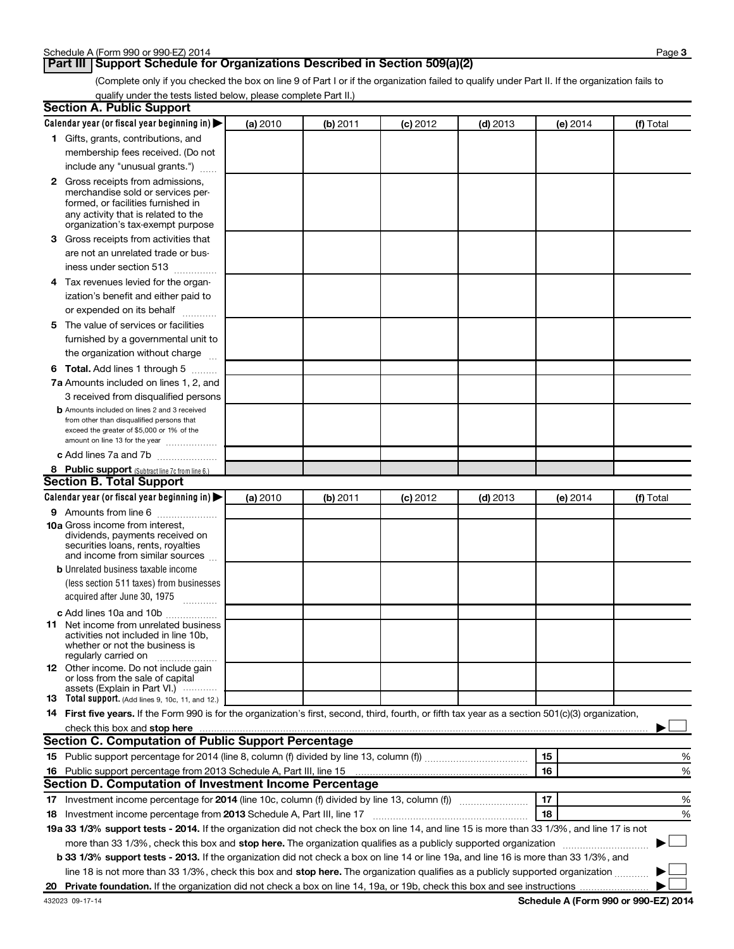### **Part III | Support Schedule for Organizations Described in Section 509(a)(2)**

(Complete only if you checked the box on line 9 of Part I or if the organization failed to qualify under Part II. If the organization fails to qualify under the tests listed below, please complete Part II.)

| Calendar year (or fiscal year beginning in)<br>(a) 2010<br>(b) 2011<br>$(c)$ 2012<br>$(d)$ 2013<br>(e) 2014<br>(f) Total<br>1 Gifts, grants, contributions, and<br>membership fees received. (Do not<br>include any "unusual grants.")<br>2 Gross receipts from admissions,<br>merchandise sold or services per-<br>formed, or facilities furnished in<br>any activity that is related to the<br>organization's tax-exempt purpose<br>3 Gross receipts from activities that<br>are not an unrelated trade or bus-<br>iness under section 513<br>4 Tax revenues levied for the organ-<br>ization's benefit and either paid to<br>or expended on its behalf<br>.<br>5 The value of services or facilities<br>furnished by a governmental unit to<br>the organization without charge<br><b>6 Total.</b> Add lines 1 through 5<br>7a Amounts included on lines 1, 2, and<br>3 received from disqualified persons<br><b>b</b> Amounts included on lines 2 and 3 received<br>from other than disqualified persons that<br>exceed the greater of \$5,000 or 1% of the<br>amount on line 13 for the year<br>c Add lines 7a and 7b<br>8 Public support (Subtract line 7c from line 6.)<br>(a) 2010<br>(b) 2011<br>$(c)$ 2012<br>$(d)$ 2013<br>(f) Total<br>(e) $2014$<br>9 Amounts from line 6<br><b>10a</b> Gross income from interest,<br>dividends, payments received on<br>securities loans, rents, royalties<br>and income from similar sources<br><b>b</b> Unrelated business taxable income<br>(less section 511 taxes) from businesses<br>acquired after June 30, 1975<br>c Add lines 10a and 10b<br>11 Net income from unrelated business<br>activities not included in line 10b.<br>whether or not the business is<br>regularly carried on<br>12 Other income. Do not include gain<br>or loss from the sale of capital<br>assets (Explain in Part VI.)<br>13 Total support. (Add lines 9, 10c, 11, and 12.)<br>14 First five years. If the Form 990 is for the organization's first, second, third, fourth, or fifth tax year as a section 501(c)(3) organization,<br>check this box and stop here<br>15<br>16 Public support percentage from 2013 Schedule A, Part III, line 15<br>16<br>17<br>17 Investment income percentage for 2014 (line 10c, column (f) divided by line 13, column (f))<br>18<br>18 Investment income percentage from 2013 Schedule A, Part III, line 17<br>19a 33 1/3% support tests - 2014. If the organization did not check the box on line 14, and line 15 is more than 33 1/3%, and line 17 is not<br>more than 33 1/3%, check this box and stop here. The organization qualifies as a publicly supported organization<br><b>b 33 1/3% support tests - 2013.</b> If the organization did not check a box on line 14 or line 19a, and line 16 is more than 33 1/3%, and<br>line 18 is not more than 33 1/3%, check this box and stop here. The organization qualifies as a publicly supported organization | <b>Section A. Public Support</b> |  |  |   |
|-----------------------------------------------------------------------------------------------------------------------------------------------------------------------------------------------------------------------------------------------------------------------------------------------------------------------------------------------------------------------------------------------------------------------------------------------------------------------------------------------------------------------------------------------------------------------------------------------------------------------------------------------------------------------------------------------------------------------------------------------------------------------------------------------------------------------------------------------------------------------------------------------------------------------------------------------------------------------------------------------------------------------------------------------------------------------------------------------------------------------------------------------------------------------------------------------------------------------------------------------------------------------------------------------------------------------------------------------------------------------------------------------------------------------------------------------------------------------------------------------------------------------------------------------------------------------------------------------------------------------------------------------------------------------------------------------------------------------------------------------------------------------------------------------------------------------------------------------------------------------------------------------------------------------------------------------------------------------------------------------------------------------------------------------------------------------------------------------------------------------------------------------------------------------------------------------------------------------------------------------------------------------------------------------------------------------------------------------------------------------------------------------------------------------------------------------------------------------------------------------------------------------------------------------------------------------------------------------------------------------------------------------------------------------------------------------------------------------------------------------------------------------------------------------------------------------------------------------------------------------------------------------------------------------------------------|----------------------------------|--|--|---|
|                                                                                                                                                                                                                                                                                                                                                                                                                                                                                                                                                                                                                                                                                                                                                                                                                                                                                                                                                                                                                                                                                                                                                                                                                                                                                                                                                                                                                                                                                                                                                                                                                                                                                                                                                                                                                                                                                                                                                                                                                                                                                                                                                                                                                                                                                                                                                                                                                                                                                                                                                                                                                                                                                                                                                                                                                                                                                                                                         |                                  |  |  |   |
|                                                                                                                                                                                                                                                                                                                                                                                                                                                                                                                                                                                                                                                                                                                                                                                                                                                                                                                                                                                                                                                                                                                                                                                                                                                                                                                                                                                                                                                                                                                                                                                                                                                                                                                                                                                                                                                                                                                                                                                                                                                                                                                                                                                                                                                                                                                                                                                                                                                                                                                                                                                                                                                                                                                                                                                                                                                                                                                                         |                                  |  |  |   |
|                                                                                                                                                                                                                                                                                                                                                                                                                                                                                                                                                                                                                                                                                                                                                                                                                                                                                                                                                                                                                                                                                                                                                                                                                                                                                                                                                                                                                                                                                                                                                                                                                                                                                                                                                                                                                                                                                                                                                                                                                                                                                                                                                                                                                                                                                                                                                                                                                                                                                                                                                                                                                                                                                                                                                                                                                                                                                                                                         |                                  |  |  |   |
|                                                                                                                                                                                                                                                                                                                                                                                                                                                                                                                                                                                                                                                                                                                                                                                                                                                                                                                                                                                                                                                                                                                                                                                                                                                                                                                                                                                                                                                                                                                                                                                                                                                                                                                                                                                                                                                                                                                                                                                                                                                                                                                                                                                                                                                                                                                                                                                                                                                                                                                                                                                                                                                                                                                                                                                                                                                                                                                                         |                                  |  |  |   |
|                                                                                                                                                                                                                                                                                                                                                                                                                                                                                                                                                                                                                                                                                                                                                                                                                                                                                                                                                                                                                                                                                                                                                                                                                                                                                                                                                                                                                                                                                                                                                                                                                                                                                                                                                                                                                                                                                                                                                                                                                                                                                                                                                                                                                                                                                                                                                                                                                                                                                                                                                                                                                                                                                                                                                                                                                                                                                                                                         |                                  |  |  |   |
|                                                                                                                                                                                                                                                                                                                                                                                                                                                                                                                                                                                                                                                                                                                                                                                                                                                                                                                                                                                                                                                                                                                                                                                                                                                                                                                                                                                                                                                                                                                                                                                                                                                                                                                                                                                                                                                                                                                                                                                                                                                                                                                                                                                                                                                                                                                                                                                                                                                                                                                                                                                                                                                                                                                                                                                                                                                                                                                                         |                                  |  |  |   |
|                                                                                                                                                                                                                                                                                                                                                                                                                                                                                                                                                                                                                                                                                                                                                                                                                                                                                                                                                                                                                                                                                                                                                                                                                                                                                                                                                                                                                                                                                                                                                                                                                                                                                                                                                                                                                                                                                                                                                                                                                                                                                                                                                                                                                                                                                                                                                                                                                                                                                                                                                                                                                                                                                                                                                                                                                                                                                                                                         |                                  |  |  |   |
|                                                                                                                                                                                                                                                                                                                                                                                                                                                                                                                                                                                                                                                                                                                                                                                                                                                                                                                                                                                                                                                                                                                                                                                                                                                                                                                                                                                                                                                                                                                                                                                                                                                                                                                                                                                                                                                                                                                                                                                                                                                                                                                                                                                                                                                                                                                                                                                                                                                                                                                                                                                                                                                                                                                                                                                                                                                                                                                                         |                                  |  |  |   |
|                                                                                                                                                                                                                                                                                                                                                                                                                                                                                                                                                                                                                                                                                                                                                                                                                                                                                                                                                                                                                                                                                                                                                                                                                                                                                                                                                                                                                                                                                                                                                                                                                                                                                                                                                                                                                                                                                                                                                                                                                                                                                                                                                                                                                                                                                                                                                                                                                                                                                                                                                                                                                                                                                                                                                                                                                                                                                                                                         |                                  |  |  |   |
|                                                                                                                                                                                                                                                                                                                                                                                                                                                                                                                                                                                                                                                                                                                                                                                                                                                                                                                                                                                                                                                                                                                                                                                                                                                                                                                                                                                                                                                                                                                                                                                                                                                                                                                                                                                                                                                                                                                                                                                                                                                                                                                                                                                                                                                                                                                                                                                                                                                                                                                                                                                                                                                                                                                                                                                                                                                                                                                                         |                                  |  |  |   |
|                                                                                                                                                                                                                                                                                                                                                                                                                                                                                                                                                                                                                                                                                                                                                                                                                                                                                                                                                                                                                                                                                                                                                                                                                                                                                                                                                                                                                                                                                                                                                                                                                                                                                                                                                                                                                                                                                                                                                                                                                                                                                                                                                                                                                                                                                                                                                                                                                                                                                                                                                                                                                                                                                                                                                                                                                                                                                                                                         |                                  |  |  |   |
|                                                                                                                                                                                                                                                                                                                                                                                                                                                                                                                                                                                                                                                                                                                                                                                                                                                                                                                                                                                                                                                                                                                                                                                                                                                                                                                                                                                                                                                                                                                                                                                                                                                                                                                                                                                                                                                                                                                                                                                                                                                                                                                                                                                                                                                                                                                                                                                                                                                                                                                                                                                                                                                                                                                                                                                                                                                                                                                                         |                                  |  |  |   |
| <b>Section B. Total Support</b><br>Calendar year (or fiscal year beginning in)<br><b>Section C. Computation of Public Support Percentage</b><br><b>Section D. Computation of Investment Income Percentage</b>                                                                                                                                                                                                                                                                                                                                                                                                                                                                                                                                                                                                                                                                                                                                                                                                                                                                                                                                                                                                                                                                                                                                                                                                                                                                                                                                                                                                                                                                                                                                                                                                                                                                                                                                                                                                                                                                                                                                                                                                                                                                                                                                                                                                                                                                                                                                                                                                                                                                                                                                                                                                                                                                                                                           |                                  |  |  |   |
|                                                                                                                                                                                                                                                                                                                                                                                                                                                                                                                                                                                                                                                                                                                                                                                                                                                                                                                                                                                                                                                                                                                                                                                                                                                                                                                                                                                                                                                                                                                                                                                                                                                                                                                                                                                                                                                                                                                                                                                                                                                                                                                                                                                                                                                                                                                                                                                                                                                                                                                                                                                                                                                                                                                                                                                                                                                                                                                                         |                                  |  |  |   |
|                                                                                                                                                                                                                                                                                                                                                                                                                                                                                                                                                                                                                                                                                                                                                                                                                                                                                                                                                                                                                                                                                                                                                                                                                                                                                                                                                                                                                                                                                                                                                                                                                                                                                                                                                                                                                                                                                                                                                                                                                                                                                                                                                                                                                                                                                                                                                                                                                                                                                                                                                                                                                                                                                                                                                                                                                                                                                                                                         |                                  |  |  |   |
|                                                                                                                                                                                                                                                                                                                                                                                                                                                                                                                                                                                                                                                                                                                                                                                                                                                                                                                                                                                                                                                                                                                                                                                                                                                                                                                                                                                                                                                                                                                                                                                                                                                                                                                                                                                                                                                                                                                                                                                                                                                                                                                                                                                                                                                                                                                                                                                                                                                                                                                                                                                                                                                                                                                                                                                                                                                                                                                                         |                                  |  |  |   |
|                                                                                                                                                                                                                                                                                                                                                                                                                                                                                                                                                                                                                                                                                                                                                                                                                                                                                                                                                                                                                                                                                                                                                                                                                                                                                                                                                                                                                                                                                                                                                                                                                                                                                                                                                                                                                                                                                                                                                                                                                                                                                                                                                                                                                                                                                                                                                                                                                                                                                                                                                                                                                                                                                                                                                                                                                                                                                                                                         |                                  |  |  |   |
|                                                                                                                                                                                                                                                                                                                                                                                                                                                                                                                                                                                                                                                                                                                                                                                                                                                                                                                                                                                                                                                                                                                                                                                                                                                                                                                                                                                                                                                                                                                                                                                                                                                                                                                                                                                                                                                                                                                                                                                                                                                                                                                                                                                                                                                                                                                                                                                                                                                                                                                                                                                                                                                                                                                                                                                                                                                                                                                                         |                                  |  |  |   |
|                                                                                                                                                                                                                                                                                                                                                                                                                                                                                                                                                                                                                                                                                                                                                                                                                                                                                                                                                                                                                                                                                                                                                                                                                                                                                                                                                                                                                                                                                                                                                                                                                                                                                                                                                                                                                                                                                                                                                                                                                                                                                                                                                                                                                                                                                                                                                                                                                                                                                                                                                                                                                                                                                                                                                                                                                                                                                                                                         |                                  |  |  |   |
|                                                                                                                                                                                                                                                                                                                                                                                                                                                                                                                                                                                                                                                                                                                                                                                                                                                                                                                                                                                                                                                                                                                                                                                                                                                                                                                                                                                                                                                                                                                                                                                                                                                                                                                                                                                                                                                                                                                                                                                                                                                                                                                                                                                                                                                                                                                                                                                                                                                                                                                                                                                                                                                                                                                                                                                                                                                                                                                                         |                                  |  |  |   |
|                                                                                                                                                                                                                                                                                                                                                                                                                                                                                                                                                                                                                                                                                                                                                                                                                                                                                                                                                                                                                                                                                                                                                                                                                                                                                                                                                                                                                                                                                                                                                                                                                                                                                                                                                                                                                                                                                                                                                                                                                                                                                                                                                                                                                                                                                                                                                                                                                                                                                                                                                                                                                                                                                                                                                                                                                                                                                                                                         |                                  |  |  |   |
|                                                                                                                                                                                                                                                                                                                                                                                                                                                                                                                                                                                                                                                                                                                                                                                                                                                                                                                                                                                                                                                                                                                                                                                                                                                                                                                                                                                                                                                                                                                                                                                                                                                                                                                                                                                                                                                                                                                                                                                                                                                                                                                                                                                                                                                                                                                                                                                                                                                                                                                                                                                                                                                                                                                                                                                                                                                                                                                                         |                                  |  |  |   |
|                                                                                                                                                                                                                                                                                                                                                                                                                                                                                                                                                                                                                                                                                                                                                                                                                                                                                                                                                                                                                                                                                                                                                                                                                                                                                                                                                                                                                                                                                                                                                                                                                                                                                                                                                                                                                                                                                                                                                                                                                                                                                                                                                                                                                                                                                                                                                                                                                                                                                                                                                                                                                                                                                                                                                                                                                                                                                                                                         |                                  |  |  |   |
|                                                                                                                                                                                                                                                                                                                                                                                                                                                                                                                                                                                                                                                                                                                                                                                                                                                                                                                                                                                                                                                                                                                                                                                                                                                                                                                                                                                                                                                                                                                                                                                                                                                                                                                                                                                                                                                                                                                                                                                                                                                                                                                                                                                                                                                                                                                                                                                                                                                                                                                                                                                                                                                                                                                                                                                                                                                                                                                                         |                                  |  |  |   |
|                                                                                                                                                                                                                                                                                                                                                                                                                                                                                                                                                                                                                                                                                                                                                                                                                                                                                                                                                                                                                                                                                                                                                                                                                                                                                                                                                                                                                                                                                                                                                                                                                                                                                                                                                                                                                                                                                                                                                                                                                                                                                                                                                                                                                                                                                                                                                                                                                                                                                                                                                                                                                                                                                                                                                                                                                                                                                                                                         |                                  |  |  |   |
|                                                                                                                                                                                                                                                                                                                                                                                                                                                                                                                                                                                                                                                                                                                                                                                                                                                                                                                                                                                                                                                                                                                                                                                                                                                                                                                                                                                                                                                                                                                                                                                                                                                                                                                                                                                                                                                                                                                                                                                                                                                                                                                                                                                                                                                                                                                                                                                                                                                                                                                                                                                                                                                                                                                                                                                                                                                                                                                                         |                                  |  |  |   |
|                                                                                                                                                                                                                                                                                                                                                                                                                                                                                                                                                                                                                                                                                                                                                                                                                                                                                                                                                                                                                                                                                                                                                                                                                                                                                                                                                                                                                                                                                                                                                                                                                                                                                                                                                                                                                                                                                                                                                                                                                                                                                                                                                                                                                                                                                                                                                                                                                                                                                                                                                                                                                                                                                                                                                                                                                                                                                                                                         |                                  |  |  |   |
|                                                                                                                                                                                                                                                                                                                                                                                                                                                                                                                                                                                                                                                                                                                                                                                                                                                                                                                                                                                                                                                                                                                                                                                                                                                                                                                                                                                                                                                                                                                                                                                                                                                                                                                                                                                                                                                                                                                                                                                                                                                                                                                                                                                                                                                                                                                                                                                                                                                                                                                                                                                                                                                                                                                                                                                                                                                                                                                                         |                                  |  |  |   |
|                                                                                                                                                                                                                                                                                                                                                                                                                                                                                                                                                                                                                                                                                                                                                                                                                                                                                                                                                                                                                                                                                                                                                                                                                                                                                                                                                                                                                                                                                                                                                                                                                                                                                                                                                                                                                                                                                                                                                                                                                                                                                                                                                                                                                                                                                                                                                                                                                                                                                                                                                                                                                                                                                                                                                                                                                                                                                                                                         |                                  |  |  |   |
|                                                                                                                                                                                                                                                                                                                                                                                                                                                                                                                                                                                                                                                                                                                                                                                                                                                                                                                                                                                                                                                                                                                                                                                                                                                                                                                                                                                                                                                                                                                                                                                                                                                                                                                                                                                                                                                                                                                                                                                                                                                                                                                                                                                                                                                                                                                                                                                                                                                                                                                                                                                                                                                                                                                                                                                                                                                                                                                                         |                                  |  |  |   |
|                                                                                                                                                                                                                                                                                                                                                                                                                                                                                                                                                                                                                                                                                                                                                                                                                                                                                                                                                                                                                                                                                                                                                                                                                                                                                                                                                                                                                                                                                                                                                                                                                                                                                                                                                                                                                                                                                                                                                                                                                                                                                                                                                                                                                                                                                                                                                                                                                                                                                                                                                                                                                                                                                                                                                                                                                                                                                                                                         |                                  |  |  |   |
|                                                                                                                                                                                                                                                                                                                                                                                                                                                                                                                                                                                                                                                                                                                                                                                                                                                                                                                                                                                                                                                                                                                                                                                                                                                                                                                                                                                                                                                                                                                                                                                                                                                                                                                                                                                                                                                                                                                                                                                                                                                                                                                                                                                                                                                                                                                                                                                                                                                                                                                                                                                                                                                                                                                                                                                                                                                                                                                                         |                                  |  |  |   |
|                                                                                                                                                                                                                                                                                                                                                                                                                                                                                                                                                                                                                                                                                                                                                                                                                                                                                                                                                                                                                                                                                                                                                                                                                                                                                                                                                                                                                                                                                                                                                                                                                                                                                                                                                                                                                                                                                                                                                                                                                                                                                                                                                                                                                                                                                                                                                                                                                                                                                                                                                                                                                                                                                                                                                                                                                                                                                                                                         |                                  |  |  |   |
|                                                                                                                                                                                                                                                                                                                                                                                                                                                                                                                                                                                                                                                                                                                                                                                                                                                                                                                                                                                                                                                                                                                                                                                                                                                                                                                                                                                                                                                                                                                                                                                                                                                                                                                                                                                                                                                                                                                                                                                                                                                                                                                                                                                                                                                                                                                                                                                                                                                                                                                                                                                                                                                                                                                                                                                                                                                                                                                                         |                                  |  |  |   |
|                                                                                                                                                                                                                                                                                                                                                                                                                                                                                                                                                                                                                                                                                                                                                                                                                                                                                                                                                                                                                                                                                                                                                                                                                                                                                                                                                                                                                                                                                                                                                                                                                                                                                                                                                                                                                                                                                                                                                                                                                                                                                                                                                                                                                                                                                                                                                                                                                                                                                                                                                                                                                                                                                                                                                                                                                                                                                                                                         |                                  |  |  |   |
|                                                                                                                                                                                                                                                                                                                                                                                                                                                                                                                                                                                                                                                                                                                                                                                                                                                                                                                                                                                                                                                                                                                                                                                                                                                                                                                                                                                                                                                                                                                                                                                                                                                                                                                                                                                                                                                                                                                                                                                                                                                                                                                                                                                                                                                                                                                                                                                                                                                                                                                                                                                                                                                                                                                                                                                                                                                                                                                                         |                                  |  |  |   |
|                                                                                                                                                                                                                                                                                                                                                                                                                                                                                                                                                                                                                                                                                                                                                                                                                                                                                                                                                                                                                                                                                                                                                                                                                                                                                                                                                                                                                                                                                                                                                                                                                                                                                                                                                                                                                                                                                                                                                                                                                                                                                                                                                                                                                                                                                                                                                                                                                                                                                                                                                                                                                                                                                                                                                                                                                                                                                                                                         |                                  |  |  |   |
|                                                                                                                                                                                                                                                                                                                                                                                                                                                                                                                                                                                                                                                                                                                                                                                                                                                                                                                                                                                                                                                                                                                                                                                                                                                                                                                                                                                                                                                                                                                                                                                                                                                                                                                                                                                                                                                                                                                                                                                                                                                                                                                                                                                                                                                                                                                                                                                                                                                                                                                                                                                                                                                                                                                                                                                                                                                                                                                                         |                                  |  |  |   |
|                                                                                                                                                                                                                                                                                                                                                                                                                                                                                                                                                                                                                                                                                                                                                                                                                                                                                                                                                                                                                                                                                                                                                                                                                                                                                                                                                                                                                                                                                                                                                                                                                                                                                                                                                                                                                                                                                                                                                                                                                                                                                                                                                                                                                                                                                                                                                                                                                                                                                                                                                                                                                                                                                                                                                                                                                                                                                                                                         |                                  |  |  |   |
|                                                                                                                                                                                                                                                                                                                                                                                                                                                                                                                                                                                                                                                                                                                                                                                                                                                                                                                                                                                                                                                                                                                                                                                                                                                                                                                                                                                                                                                                                                                                                                                                                                                                                                                                                                                                                                                                                                                                                                                                                                                                                                                                                                                                                                                                                                                                                                                                                                                                                                                                                                                                                                                                                                                                                                                                                                                                                                                                         |                                  |  |  |   |
|                                                                                                                                                                                                                                                                                                                                                                                                                                                                                                                                                                                                                                                                                                                                                                                                                                                                                                                                                                                                                                                                                                                                                                                                                                                                                                                                                                                                                                                                                                                                                                                                                                                                                                                                                                                                                                                                                                                                                                                                                                                                                                                                                                                                                                                                                                                                                                                                                                                                                                                                                                                                                                                                                                                                                                                                                                                                                                                                         |                                  |  |  |   |
|                                                                                                                                                                                                                                                                                                                                                                                                                                                                                                                                                                                                                                                                                                                                                                                                                                                                                                                                                                                                                                                                                                                                                                                                                                                                                                                                                                                                                                                                                                                                                                                                                                                                                                                                                                                                                                                                                                                                                                                                                                                                                                                                                                                                                                                                                                                                                                                                                                                                                                                                                                                                                                                                                                                                                                                                                                                                                                                                         |                                  |  |  |   |
|                                                                                                                                                                                                                                                                                                                                                                                                                                                                                                                                                                                                                                                                                                                                                                                                                                                                                                                                                                                                                                                                                                                                                                                                                                                                                                                                                                                                                                                                                                                                                                                                                                                                                                                                                                                                                                                                                                                                                                                                                                                                                                                                                                                                                                                                                                                                                                                                                                                                                                                                                                                                                                                                                                                                                                                                                                                                                                                                         |                                  |  |  |   |
|                                                                                                                                                                                                                                                                                                                                                                                                                                                                                                                                                                                                                                                                                                                                                                                                                                                                                                                                                                                                                                                                                                                                                                                                                                                                                                                                                                                                                                                                                                                                                                                                                                                                                                                                                                                                                                                                                                                                                                                                                                                                                                                                                                                                                                                                                                                                                                                                                                                                                                                                                                                                                                                                                                                                                                                                                                                                                                                                         |                                  |  |  |   |
|                                                                                                                                                                                                                                                                                                                                                                                                                                                                                                                                                                                                                                                                                                                                                                                                                                                                                                                                                                                                                                                                                                                                                                                                                                                                                                                                                                                                                                                                                                                                                                                                                                                                                                                                                                                                                                                                                                                                                                                                                                                                                                                                                                                                                                                                                                                                                                                                                                                                                                                                                                                                                                                                                                                                                                                                                                                                                                                                         |                                  |  |  |   |
|                                                                                                                                                                                                                                                                                                                                                                                                                                                                                                                                                                                                                                                                                                                                                                                                                                                                                                                                                                                                                                                                                                                                                                                                                                                                                                                                                                                                                                                                                                                                                                                                                                                                                                                                                                                                                                                                                                                                                                                                                                                                                                                                                                                                                                                                                                                                                                                                                                                                                                                                                                                                                                                                                                                                                                                                                                                                                                                                         |                                  |  |  | % |
|                                                                                                                                                                                                                                                                                                                                                                                                                                                                                                                                                                                                                                                                                                                                                                                                                                                                                                                                                                                                                                                                                                                                                                                                                                                                                                                                                                                                                                                                                                                                                                                                                                                                                                                                                                                                                                                                                                                                                                                                                                                                                                                                                                                                                                                                                                                                                                                                                                                                                                                                                                                                                                                                                                                                                                                                                                                                                                                                         |                                  |  |  | % |
|                                                                                                                                                                                                                                                                                                                                                                                                                                                                                                                                                                                                                                                                                                                                                                                                                                                                                                                                                                                                                                                                                                                                                                                                                                                                                                                                                                                                                                                                                                                                                                                                                                                                                                                                                                                                                                                                                                                                                                                                                                                                                                                                                                                                                                                                                                                                                                                                                                                                                                                                                                                                                                                                                                                                                                                                                                                                                                                                         |                                  |  |  |   |
|                                                                                                                                                                                                                                                                                                                                                                                                                                                                                                                                                                                                                                                                                                                                                                                                                                                                                                                                                                                                                                                                                                                                                                                                                                                                                                                                                                                                                                                                                                                                                                                                                                                                                                                                                                                                                                                                                                                                                                                                                                                                                                                                                                                                                                                                                                                                                                                                                                                                                                                                                                                                                                                                                                                                                                                                                                                                                                                                         |                                  |  |  | % |
|                                                                                                                                                                                                                                                                                                                                                                                                                                                                                                                                                                                                                                                                                                                                                                                                                                                                                                                                                                                                                                                                                                                                                                                                                                                                                                                                                                                                                                                                                                                                                                                                                                                                                                                                                                                                                                                                                                                                                                                                                                                                                                                                                                                                                                                                                                                                                                                                                                                                                                                                                                                                                                                                                                                                                                                                                                                                                                                                         |                                  |  |  | % |
|                                                                                                                                                                                                                                                                                                                                                                                                                                                                                                                                                                                                                                                                                                                                                                                                                                                                                                                                                                                                                                                                                                                                                                                                                                                                                                                                                                                                                                                                                                                                                                                                                                                                                                                                                                                                                                                                                                                                                                                                                                                                                                                                                                                                                                                                                                                                                                                                                                                                                                                                                                                                                                                                                                                                                                                                                                                                                                                                         |                                  |  |  |   |
|                                                                                                                                                                                                                                                                                                                                                                                                                                                                                                                                                                                                                                                                                                                                                                                                                                                                                                                                                                                                                                                                                                                                                                                                                                                                                                                                                                                                                                                                                                                                                                                                                                                                                                                                                                                                                                                                                                                                                                                                                                                                                                                                                                                                                                                                                                                                                                                                                                                                                                                                                                                                                                                                                                                                                                                                                                                                                                                                         |                                  |  |  |   |
|                                                                                                                                                                                                                                                                                                                                                                                                                                                                                                                                                                                                                                                                                                                                                                                                                                                                                                                                                                                                                                                                                                                                                                                                                                                                                                                                                                                                                                                                                                                                                                                                                                                                                                                                                                                                                                                                                                                                                                                                                                                                                                                                                                                                                                                                                                                                                                                                                                                                                                                                                                                                                                                                                                                                                                                                                                                                                                                                         |                                  |  |  |   |
|                                                                                                                                                                                                                                                                                                                                                                                                                                                                                                                                                                                                                                                                                                                                                                                                                                                                                                                                                                                                                                                                                                                                                                                                                                                                                                                                                                                                                                                                                                                                                                                                                                                                                                                                                                                                                                                                                                                                                                                                                                                                                                                                                                                                                                                                                                                                                                                                                                                                                                                                                                                                                                                                                                                                                                                                                                                                                                                                         |                                  |  |  |   |
|                                                                                                                                                                                                                                                                                                                                                                                                                                                                                                                                                                                                                                                                                                                                                                                                                                                                                                                                                                                                                                                                                                                                                                                                                                                                                                                                                                                                                                                                                                                                                                                                                                                                                                                                                                                                                                                                                                                                                                                                                                                                                                                                                                                                                                                                                                                                                                                                                                                                                                                                                                                                                                                                                                                                                                                                                                                                                                                                         |                                  |  |  |   |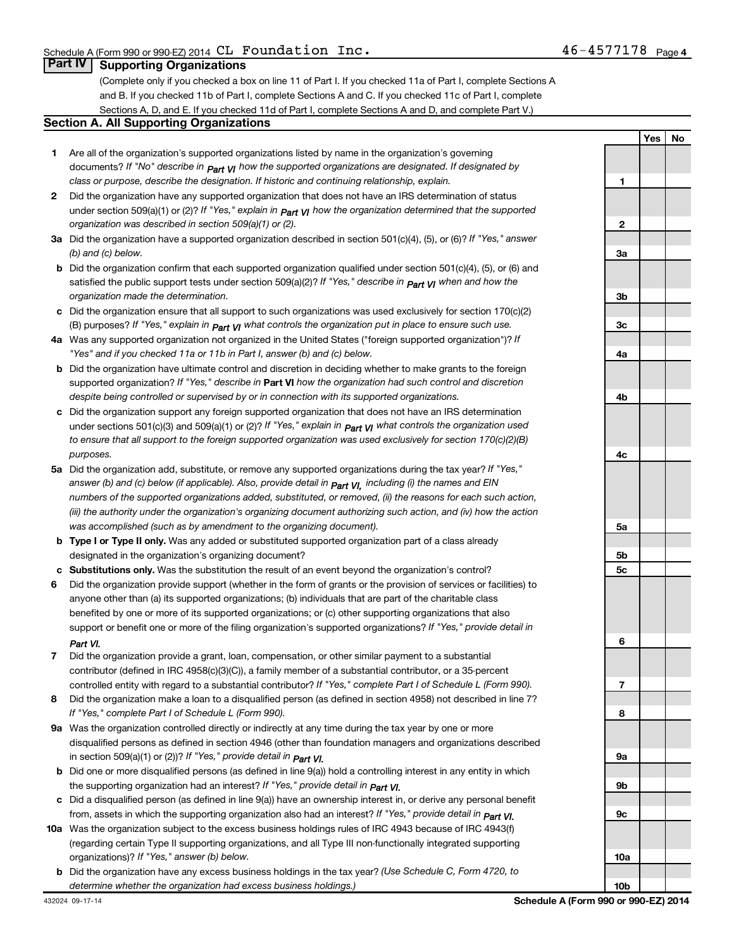### **Part IV | Supporting Organizations**

(Complete only if you checked a box on line 11 of Part I. If you checked 11a of Part I, complete Sections A and B. If you checked 11b of Part I, complete Sections A and C. If you checked 11c of Part I, complete Sections A, D, and E. If you checked 11d of Part I, complete Sections A and D, and complete Part V.)

### **Section A. All Supporting Organizations**

- 1 Are all of the organization's supported organizations listed by name in the organization's governing documents? If "No" describe in  $_{\sf Part}$   $_{\sf VI}$  how the supported organizations are designated. If designated by class or purpose, describe the designation. If historic and continuing relationship, explain.
- $2$   $-$  Did the organization have any supported organization that does not have an IRS determination of status under section 509(a)(1) or (2)? If "Yes," explain in  $_{\sf Part}$   $_{\sf VI}$  how the organization determined that the supported organization was described in section  $509(a)(1)$  or (2).
- 3a Did the organization have a supported organization described in section 501(c)(4), (5), or (6)? If "Yes," answer  $(b)$  and  $(c)$  below.
- **b** Did the organization confirm that each supported organization qualified under section 501(c)(4), (5), or (6) and satisfied the public support tests under section 509(a)(2)? If "Yes," describe in  $\bm{\rho_{art}}$   $\bm{\gamma}$  when and how the organization made the determination.
- **c** Did the organization ensure that all support to such organizations was used exclusively for section 170(c)(2) (B) purposes? If "Yes," explain in  $\bm{\rho_{art}}$   $\bm{\mathsf{V}}$ | what controls the organization put in place to ensure such use.
- 4a Was any supported organization not organized in the United States ("foreign supported organization")? If "Yes" and if you checked 11a or 11b in Part I, answer (b) and (c) below.
- **b** Did the organization have ultimate control and discretion in deciding whether to make grants to the foreign supported organization? If "Yes," describe in Part VI how the organization had such control and discretion despite being controlled or supervised by or in connection with its supported organizations.
- $\texttt{c}$  Did the organization support any foreign supported organization that does not have an IRS determination under sections 501(c)(3) and 509(a)(1) or (2)? If "Yes," explain in  $_{\sf Part}$   $_{\sf VI}$  what controls the organization used to ensure that all support to the foreign supported organization was used exclusively for section  $170(c)(2)(B)$ purposes.
- 5a Did the organization add, substitute, or remove any supported organizations during the tax year? If "Yes," answer (b) and (c) below (if applicable). Also, provide detail in  $_{\sf Part}$   $_{\sf VI,}$  including (i) the names and EIN numbers of the supported organizations added, substituted, or removed, (ii) the reasons for each such action, (iii) the authority under the organization's organizing document authorizing such action, and (iv) how the action was accomplished (such as by amendment to the organizing document).
- **b Type I or Type II only.** Was any added or substituted supported organization part of a class already designated in the organization's organizing document?
- c Substitutions only. Was the substitution the result of an event beyond the organization's control?
- 6 Did the organization provide support (whether in the form of grants or the provision of services or facilities) to support or benefit one or more of the filing organization's supported organizations? If "Yes," provide detail in anyone other than (a) its supported organizations; (b) individuals that are part of the charitable class benefited by one or more of its supported organizations; or (c) other supporting organizations that also Part VI.
- 7 Did the organization provide a grant, loan, compensation, or other similar payment to a substantial controlled entity with regard to a substantial contributor? If "Yes," complete Part I of Schedule L (Form 990). contributor (defined in IRC 4958(c)(3)(C)), a family member of a substantial contributor, or a 35-percent
- 8 Did the organization make a loan to a disqualified person (as defined in section 4958) not described in line  $7$ ? If "Yes," complete Part I of Schedule L (Form 990).
- 9a Was the organization controlled directly or indirectly at any time during the tax year by one or more in section 509(a)(1) or (2))? If "Yes," *provide detail in part VI.* disqualified persons as defined in section 4946 (other than foundation managers and organizations described
- **b** Did one or more disqualified persons (as defined in line  $9(a)$ ) hold a controlling interest in any entity in which the supporting organization had an interest? If "Yes," *provide detail in Part VI.*
- $\, {\bf c} \,$  Did a disqualified person (as defined in line 9(a)) have an ownership interest in, or derive any personal benefit from, assets in which the supporting organization also had an interest? If "Yes," *provide detail in Part VI.*
- 10a Was the organization subject to the excess business holdings rules of IRC 4943 because of IRC 4943(f) organizations)? If "Yes," answer (b) below. (regarding certain Type II supporting organizations, and all Type III non-functionally integrated supporting
- **b** Did the organization have any excess business holdings in the tax year? (Use Schedule C, Form 4720, to determine whether the organization had excess business holdings.)

|                         | <u>Yes</u> No<br>I |  |
|-------------------------|--------------------|--|
|                         |                    |  |
| 1                       |                    |  |
|                         |                    |  |
| $\overline{\mathbf{2}}$ |                    |  |
|                         |                    |  |
| 3a                      |                    |  |
|                         |                    |  |
| 3b                      |                    |  |
|                         |                    |  |
| 3c                      |                    |  |
|                         |                    |  |
| 4a                      |                    |  |
|                         |                    |  |
| 4b                      |                    |  |
|                         |                    |  |
| 4c                      |                    |  |
|                         |                    |  |
| 5a                      |                    |  |
|                         |                    |  |
| <u>5b</u>               |                    |  |
| 5c                      |                    |  |
|                         |                    |  |
| 6                       |                    |  |
|                         |                    |  |
| 7                       |                    |  |
|                         |                    |  |
| 8                       |                    |  |
| 9а                      |                    |  |
|                         |                    |  |
| 9b                      |                    |  |
|                         |                    |  |
| 9c                      |                    |  |
|                         |                    |  |
| 10a                     |                    |  |
|                         |                    |  |
| 10 <sub>b</sub>         |                    |  |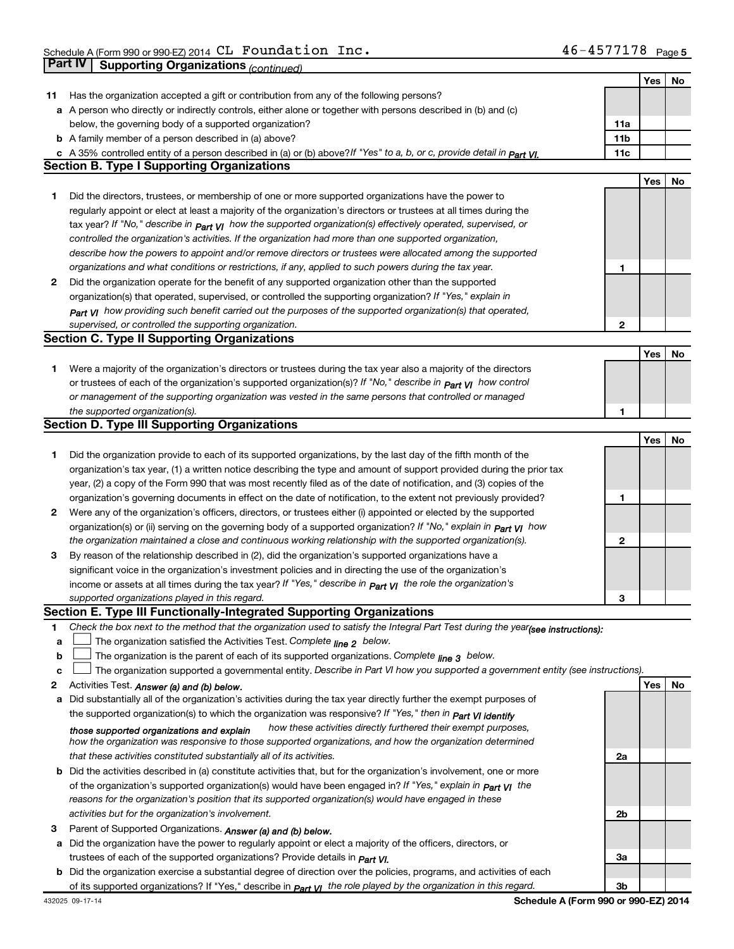|    |                                                                                                                                      |                 | Yes        | No |
|----|--------------------------------------------------------------------------------------------------------------------------------------|-----------------|------------|----|
| 11 | Has the organization accepted a gift or contribution from any of the following persons?                                              |                 |            |    |
|    | a A person who directly or indirectly controls, either alone or together with persons described in (b) and (c)                       |                 |            |    |
|    | below, the governing body of a supported organization?                                                                               | 11a             |            |    |
|    | <b>b</b> A family member of a person described in (a) above?                                                                         | 11 <sub>b</sub> |            |    |
|    | c A 35% controlled entity of a person described in (a) or (b) above? If "Yes" to a, b, or c, provide detail in $P_{\text{part}}$ VI. | 11c             |            |    |
|    | <b>Section B. Type I Supporting Organizations</b>                                                                                    |                 |            |    |
|    |                                                                                                                                      |                 | Yes        | No |
| 1  | Did the directors, trustees, or membership of one or more supported organizations have the power to                                  |                 |            |    |
|    | regularly appoint or elect at least a majority of the organization's directors or trustees at all times during the                   |                 |            |    |
|    |                                                                                                                                      |                 |            |    |
|    | tax year? If "No," describe in $p_{art}$ $_{VI}$ how the supported organization(s) effectively operated, supervised, or              |                 |            |    |
|    | controlled the organization's activities. If the organization had more than one supported organization,                              |                 |            |    |
|    | describe how the powers to appoint and/or remove directors or trustees were allocated among the supported                            |                 |            |    |
|    | organizations and what conditions or restrictions, if any, applied to such powers during the tax year.                               | 1               |            |    |
| 2  | Did the organization operate for the benefit of any supported organization other than the supported                                  |                 |            |    |
|    | organization(s) that operated, supervised, or controlled the supporting organization? If "Yes," explain in                           |                 |            |    |
|    | Part VI how providing such benefit carried out the purposes of the supported organization(s) that operated,                          |                 |            |    |
|    | supervised, or controlled the supporting organization.                                                                               | $\mathbf{2}$    |            |    |
|    | <b>Section C. Type II Supporting Organizations</b>                                                                                   |                 |            |    |
|    |                                                                                                                                      |                 | Yes        | No |
| 1  | Were a majority of the organization's directors or trustees during the tax year also a majority of the directors                     |                 |            |    |
|    | or trustees of each of the organization's supported organization(s)? If "No," describe in part VI how control                        |                 |            |    |
|    | or management of the supporting organization was vested in the same persons that controlled or managed                               |                 |            |    |
|    | the supported organization(s).                                                                                                       | 1               |            |    |
|    | <b>Section D. Type III Supporting Organizations</b>                                                                                  |                 |            |    |
|    |                                                                                                                                      |                 | <b>Yes</b> | No |
| 1  | Did the organization provide to each of its supported organizations, by the last day of the fifth month of the                       |                 |            |    |
|    |                                                                                                                                      |                 |            |    |
|    | organization's tax year, (1) a written notice describing the type and amount of support provided during the prior tax                |                 |            |    |
|    | year, (2) a copy of the Form 990 that was most recently filed as of the date of notification, and (3) copies of the                  |                 |            |    |
|    | organization's governing documents in effect on the date of notification, to the extent not previously provided?                     | 1               |            |    |
| 2  | Were any of the organization's officers, directors, or trustees either (i) appointed or elected by the supported                     |                 |            |    |
|    | organization(s) or (ii) serving on the governing body of a supported organization? If "No," explain in <b>Part VI</b> how            |                 |            |    |
|    | the organization maintained a close and continuous working relationship with the supported organization(s).                          | 2               |            |    |
| 3  | By reason of the relationship described in (2), did the organization's supported organizations have a                                |                 |            |    |
|    | significant voice in the organization's investment policies and in directing the use of the organization's                           |                 |            |    |
|    | income or assets at all times during the tax year? If "Yes," describe in $P_{art}$ $y_1$ the role the organization's                 |                 |            |    |
|    | supported organizations played in this regard.                                                                                       | 3               |            |    |
|    | Section E. Type III Functionally-Integrated Supporting Organizations                                                                 |                 |            |    |
| 1  | Check the box next to the method that the organization used to satisfy the Integral Part Test during the year(see instructions):     |                 |            |    |
| a  | The organization satisfied the Activities Test. Complete line 2 below.                                                               |                 |            |    |
| b  | The organization is the parent of each of its supported organizations. Complete $_{\text{line 3}}$ below.                            |                 |            |    |
| c  | The organization supported a governmental entity. Describe in Part VI how you supported a government entity (see instructions).      |                 |            |    |
| 2  | Activities Test. Answer (a) and (b) below.                                                                                           |                 | Yes        | No |
| а  | Did substantially all of the organization's activities during the tax year directly further the exempt purposes of                   |                 |            |    |
|    | the supported organization(s) to which the organization was responsive? If "Yes," then in Part VI identify                           |                 |            |    |
|    | how these activities directly furthered their exempt purposes,                                                                       |                 |            |    |
|    | those supported organizations and explain                                                                                            |                 |            |    |
|    | how the organization was responsive to those supported organizations, and how the organization determined                            |                 |            |    |
|    | that these activities constituted substantially all of its activities.                                                               | 2a              |            |    |
|    | <b>b</b> Did the activities described in (a) constitute activities that, but for the organization's involvement, one or more         |                 |            |    |
|    | of the organization's supported organization(s) would have been engaged in? If "Yes," explain in <b>Part VI</b> the                  |                 |            |    |
|    | reasons for the organization's position that its supported organization(s) would have engaged in these                               |                 |            |    |
|    | activities but for the organization's involvement.                                                                                   | 2b              |            |    |
| З  | Parent of Supported Organizations. Answer (a) and (b) below.                                                                         |                 |            |    |
| а  | Did the organization have the power to regularly appoint or elect a majority of the officers, directors, or                          |                 |            |    |
|    | trustees of each of the supported organizations? Provide details in <i>Part VI.</i>                                                  | За              |            |    |
|    | <b>b</b> Did the organization exercise a substantial degree of direction over the policies, programs, and activities of each         |                 |            |    |
|    | of its supported organizations? If "Yes," describe in $P_{\text{art } VI}$ the role played by the organization in this regard.       | 3b              |            |    |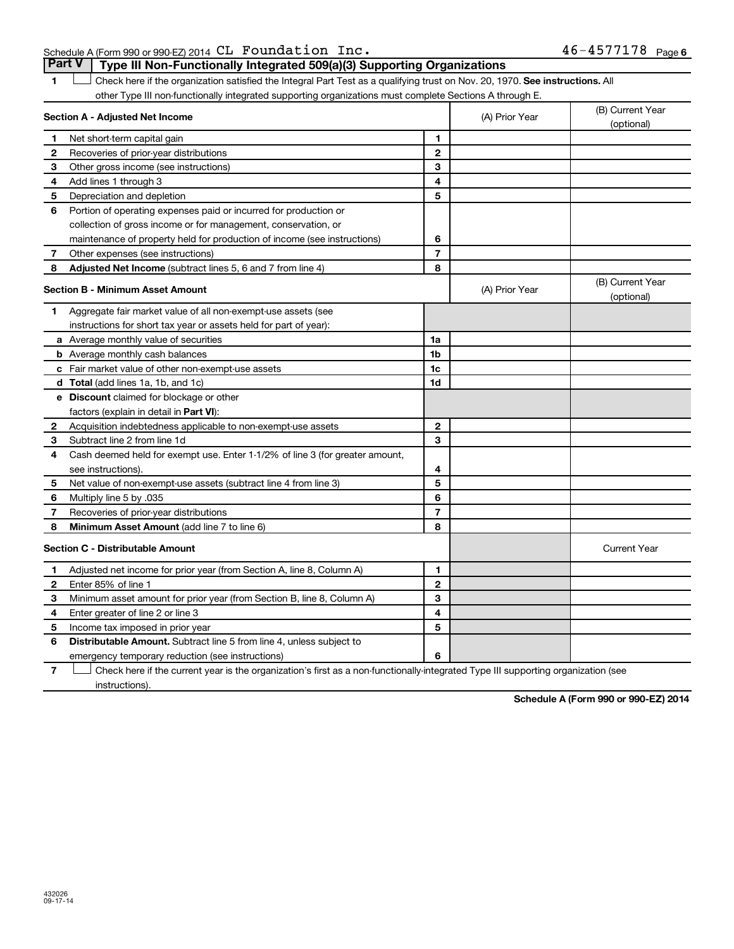### p ^ Ec VVM VVMJbwF OMNQ m~ `i c~ fK QSJQRTTNTU

1 LI Check here if the organization satisfied the Integral Part Test as a qualifying trust on Nov. 20, 1970. See instructions. All other Type III non-functionally integrated supporting organizations must complete Sections A through E. **Part V** | Type III Non-Functionally Integrated 509(a)(3) Supporting Organizations  $\begin{array}{c} \hline \end{array}$ 

|                                         | Section A - Adjusted Net Income                                              | (A) Prior Year          | (B) Current Year<br>(optional) |                                |
|-----------------------------------------|------------------------------------------------------------------------------|-------------------------|--------------------------------|--------------------------------|
| 1                                       | Net short-term capital gain                                                  | 1                       |                                |                                |
| 2                                       | Recoveries of prior-year distributions                                       | $\mathbf{2}$            |                                |                                |
| 3                                       | Other gross income (see instructions)                                        | 3                       |                                |                                |
| 4                                       | Add lines 1 through 3                                                        | 4                       |                                |                                |
| 5                                       | Depreciation and depletion                                                   | 5                       |                                |                                |
| 6                                       | Portion of operating expenses paid or incurred for production or             |                         |                                |                                |
|                                         | collection of gross income or for management, conservation, or               |                         |                                |                                |
|                                         | maintenance of property held for production of income (see instructions)     | 6                       |                                |                                |
| 7                                       | Other expenses (see instructions)                                            | $\overline{7}$          |                                |                                |
| 8                                       | <b>Adjusted Net Income</b> (subtract lines 5, 6 and 7 from line 4)           | 8                       |                                |                                |
|                                         | <b>Section B - Minimum Asset Amount</b>                                      |                         | (A) Prior Year                 | (B) Current Year<br>(optional) |
| 1                                       | Aggregate fair market value of all non-exempt-use assets (see                |                         |                                |                                |
|                                         | instructions for short tax year or assets held for part of year):            |                         |                                |                                |
|                                         | a Average monthly value of securities                                        | 1a                      |                                |                                |
|                                         | <b>b</b> Average monthly cash balances                                       | 1 <sub>b</sub>          |                                |                                |
|                                         | c Fair market value of other non-exempt-use assets                           | 1c                      |                                |                                |
|                                         | d Total (add lines 1a, 1b, and 1c)                                           | 1d                      |                                |                                |
|                                         | e Discount claimed for blockage or other                                     |                         |                                |                                |
|                                         | factors (explain in detail in Part VI):                                      |                         |                                |                                |
| 2                                       | Acquisition indebtedness applicable to non-exempt-use assets                 | $\mathbf{2}$            |                                |                                |
| З                                       | Subtract line 2 from line 1d                                                 | 3                       |                                |                                |
| 4                                       | Cash deemed held for exempt use. Enter 1-1/2% of line 3 (for greater amount, |                         |                                |                                |
|                                         | see instructions).                                                           | 4                       |                                |                                |
| 5                                       | Net value of non-exempt-use assets (subtract line 4 from line 3)             | 5                       |                                |                                |
| 6                                       | Multiply line 5 by .035                                                      | 6                       |                                |                                |
| 7                                       | Recoveries of prior-year distributions                                       | $\overline{\mathbf{r}}$ |                                |                                |
| 8                                       | <b>Minimum Asset Amount (add line 7 to line 6)</b>                           | 8                       |                                |                                |
| <b>Section C - Distributable Amount</b> |                                                                              |                         |                                | <b>Current Year</b>            |
| 1                                       | Adjusted net income for prior year (from Section A, line 8, Column A)        | 1                       |                                |                                |
| 2                                       | Enter 85% of line 1                                                          | $\mathbf{2}$            |                                |                                |
| 3                                       | Minimum asset amount for prior year (from Section B, line 8, Column A)       | 3                       |                                |                                |
| 4                                       | Enter greater of line 2 or line 3                                            | 4                       |                                |                                |
| 5                                       | Income tax imposed in prior year                                             | 5                       |                                |                                |
| 6                                       | Distributable Amount. Subtract line 5 from line 4, unless subject to         |                         |                                |                                |
|                                         | emergency temporary reduction (see instructions)                             | 6                       |                                |                                |
|                                         |                                                                              |                         |                                |                                |

T Check here if the current year is the organization's first as a non-functionally-integrated Type III supporting organization (see instructions).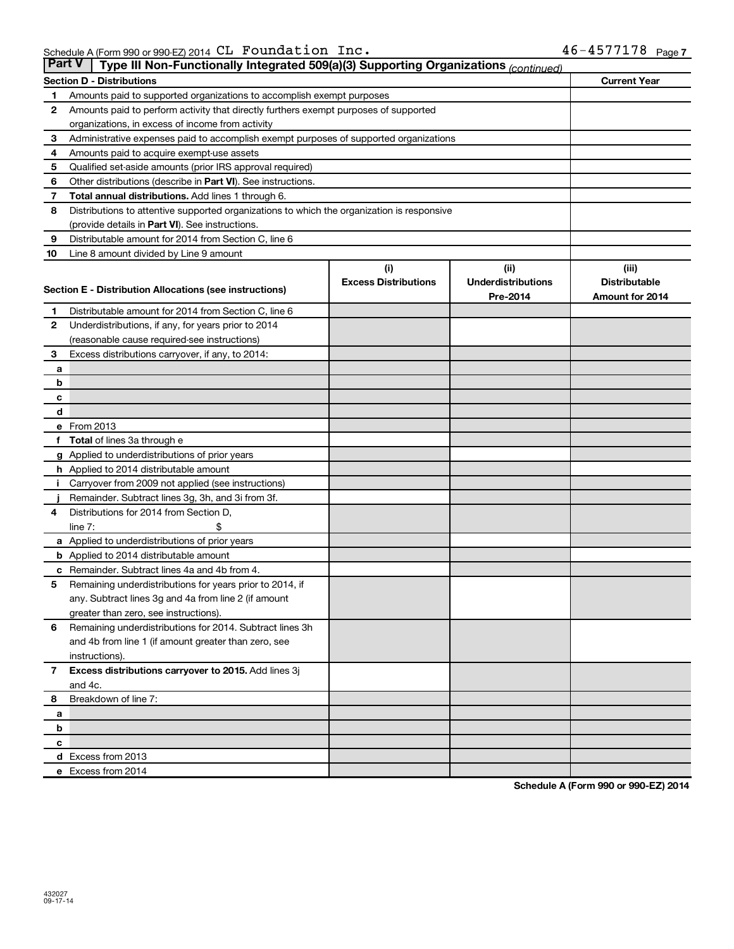| <b>Part V</b> | Type III Non-Functionally Integrated 509(a)(3) Supporting Organizations (continued)        |                                    |                                   |                               |  |  |  |
|---------------|--------------------------------------------------------------------------------------------|------------------------------------|-----------------------------------|-------------------------------|--|--|--|
|               | <b>Current Year</b><br><b>Section D - Distributions</b>                                    |                                    |                                   |                               |  |  |  |
| 1             | Amounts paid to supported organizations to accomplish exempt purposes                      |                                    |                                   |                               |  |  |  |
| 2             | Amounts paid to perform activity that directly furthers exempt purposes of supported       |                                    |                                   |                               |  |  |  |
|               | organizations, in excess of income from activity                                           |                                    |                                   |                               |  |  |  |
| 3             | Administrative expenses paid to accomplish exempt purposes of supported organizations      |                                    |                                   |                               |  |  |  |
| 4             | Amounts paid to acquire exempt-use assets                                                  |                                    |                                   |                               |  |  |  |
| 5             | Qualified set-aside amounts (prior IRS approval required)                                  |                                    |                                   |                               |  |  |  |
| 6             | Other distributions (describe in <b>Part VI</b> ). See instructions.                       |                                    |                                   |                               |  |  |  |
| 7             | Total annual distributions. Add lines 1 through 6.                                         |                                    |                                   |                               |  |  |  |
| 8             | Distributions to attentive supported organizations to which the organization is responsive |                                    |                                   |                               |  |  |  |
|               | (provide details in Part VI). See instructions.                                            |                                    |                                   |                               |  |  |  |
| 9             | Distributable amount for 2014 from Section C, line 6                                       |                                    |                                   |                               |  |  |  |
| 10            | Line 8 amount divided by Line 9 amount                                                     |                                    |                                   |                               |  |  |  |
|               |                                                                                            | (i)<br><b>Excess Distributions</b> | (ii)<br><b>Underdistributions</b> | (iii)<br><b>Distributable</b> |  |  |  |
|               | <b>Section E - Distribution Allocations (see instructions)</b>                             |                                    | Pre-2014                          | Amount for 2014               |  |  |  |
| 1             | Distributable amount for 2014 from Section C, line 6                                       |                                    |                                   |                               |  |  |  |
| 2             | Underdistributions, if any, for years prior to 2014                                        |                                    |                                   |                               |  |  |  |
|               | (reasonable cause required-see instructions)                                               |                                    |                                   |                               |  |  |  |
| 3             | Excess distributions carryover, if any, to 2014:                                           |                                    |                                   |                               |  |  |  |
| а             |                                                                                            |                                    |                                   |                               |  |  |  |
| b             |                                                                                            |                                    |                                   |                               |  |  |  |
| с             |                                                                                            |                                    |                                   |                               |  |  |  |
| d             |                                                                                            |                                    |                                   |                               |  |  |  |
|               | e From 2013                                                                                |                                    |                                   |                               |  |  |  |
| f             | Total of lines 3a through e                                                                |                                    |                                   |                               |  |  |  |
|               | Applied to underdistributions of prior years                                               |                                    |                                   |                               |  |  |  |
|               | <b>h</b> Applied to 2014 distributable amount                                              |                                    |                                   |                               |  |  |  |
| Ť.            | Carryover from 2009 not applied (see instructions)                                         |                                    |                                   |                               |  |  |  |
|               | Remainder. Subtract lines 3g, 3h, and 3i from 3f.                                          |                                    |                                   |                               |  |  |  |
| 4             | Distributions for 2014 from Section D,                                                     |                                    |                                   |                               |  |  |  |
|               | line $7:$                                                                                  |                                    |                                   |                               |  |  |  |
|               | a Applied to underdistributions of prior years                                             |                                    |                                   |                               |  |  |  |
|               | <b>b</b> Applied to 2014 distributable amount                                              |                                    |                                   |                               |  |  |  |
| с             | Remainder. Subtract lines 4a and 4b from 4.                                                |                                    |                                   |                               |  |  |  |
| 5             | Remaining underdistributions for years prior to 2014, if                                   |                                    |                                   |                               |  |  |  |
|               | any. Subtract lines 3g and 4a from line 2 (if amount                                       |                                    |                                   |                               |  |  |  |
|               | greater than zero, see instructions).                                                      |                                    |                                   |                               |  |  |  |
| 6             | Remaining underdistributions for 2014. Subtract lines 3h                                   |                                    |                                   |                               |  |  |  |
|               | and 4b from line 1 (if amount greater than zero, see                                       |                                    |                                   |                               |  |  |  |
| 7             | instructions).<br>Excess distributions carryover to 2015. Add lines 3j                     |                                    |                                   |                               |  |  |  |
|               | and 4c.                                                                                    |                                    |                                   |                               |  |  |  |
| 8             | Breakdown of line 7:                                                                       |                                    |                                   |                               |  |  |  |
| a             |                                                                                            |                                    |                                   |                               |  |  |  |
| b             |                                                                                            |                                    |                                   |                               |  |  |  |
| c             |                                                                                            |                                    |                                   |                               |  |  |  |
|               | d Excess from 2013                                                                         |                                    |                                   |                               |  |  |  |
|               | e Excess from 2014                                                                         |                                    |                                   |                               |  |  |  |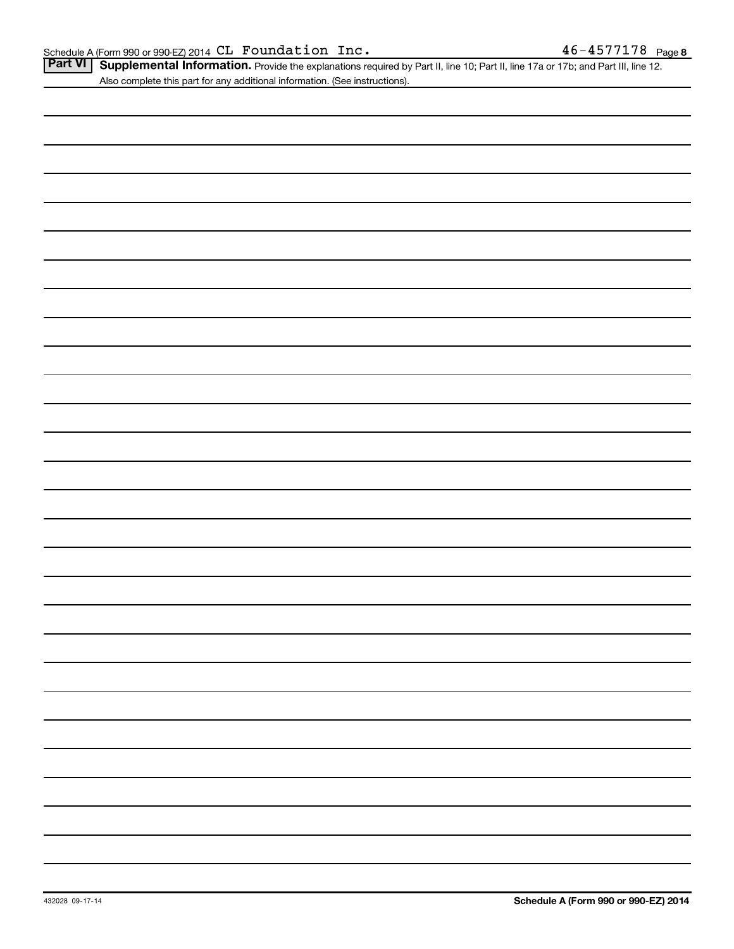Part VI | Supplemental Information. Provide the explanations required by Part II, line 10; Part II, line 17a or 17b; and Part III, line 12. Also complete this part for any additional information. (See instructions).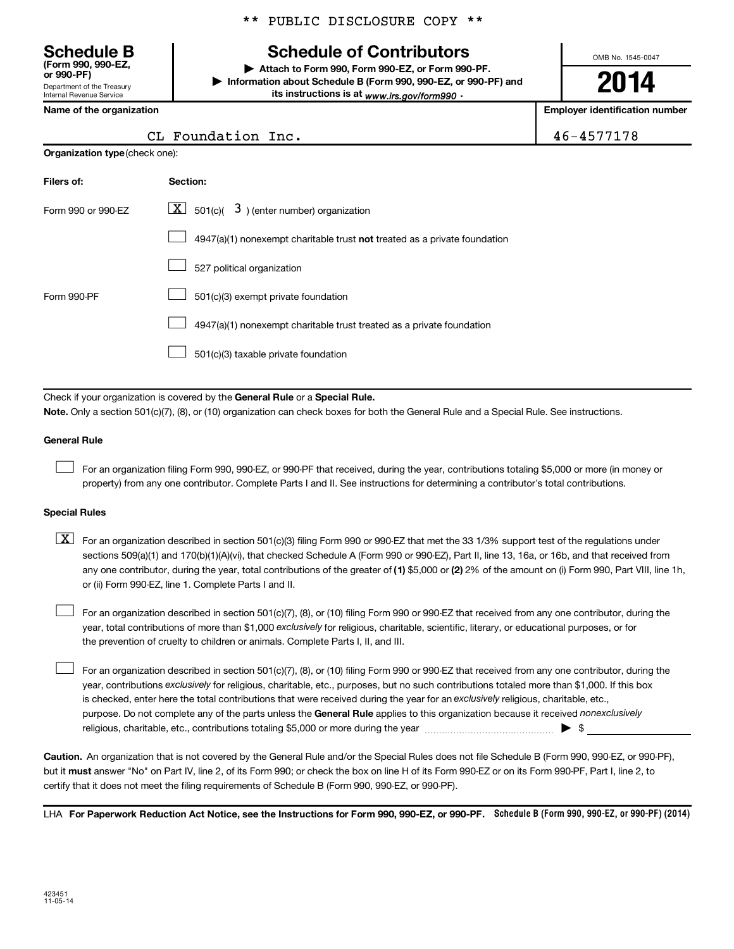(Form 990. 990-EZ. or 990-PF)

Department of the Treasury Internal Revenue Service

### \*\* PUBLIC DISCLOSURE COPY \*\*

# Schedule B  $\qquad \qquad$  Schedule of Contributors

Attach to Form 990, Form 990-EZ, or Form 990-PF. Information about Schedule B (Form 990, 990-EZ, or 990-PF) and its instructions is at <sub>www.irs.gov/form990</sub>.

OMB No. 1545-0047

# **2014**

Name of the organization number  $\vert$  Employer identification number

 $46 - 4577178$ 

| CL Foundation Inc. |  |
|--------------------|--|
|--------------------|--|

| <b>Organization type (check one):</b>                                     |                        |  |  |  |  |  |  |
|---------------------------------------------------------------------------|------------------------|--|--|--|--|--|--|
|                                                                           | Filers of:<br>Section: |  |  |  |  |  |  |
| $\lfloor x \rfloor$ 501(c)( 3) (enter number) organization                | Form 990 or 990-EZ     |  |  |  |  |  |  |
| 4947(a)(1) nonexempt charitable trust not treated as a private foundation |                        |  |  |  |  |  |  |
|                                                                           |                        |  |  |  |  |  |  |
| 501(c)(3) exempt private foundation                                       | Form 990-PF            |  |  |  |  |  |  |
| 4947(a)(1) nonexempt charitable trust treated as a private foundation     |                        |  |  |  |  |  |  |
| 501(c)(3) taxable private foundation                                      |                        |  |  |  |  |  |  |
|                                                                           |                        |  |  |  |  |  |  |

Check if your organization is covered by the General Rule or a Special Rule.

Note. Only a section 501(c)(7), (8), or (10) organization can check boxes for both the General Rule and a Special Rule. See instructions.

#### **General Rule**

 $\Box$ 

For an organization filing Form 990, 990-EZ, or 990-PF that received, during the year, contributions totaling \$5,000 or more (in money or property) from any one contributor. Complete Parts I and II. See instructions for determining a contributor's total contributions.

#### **Special Rules**

any one contributor, during the year, total contributions of the greater of (1) \$5,000 or (2) 2% of the amount on (i) Form 990, Part VIII, line 1h,  $\boxed{\text{X}}$  For an organization described in section 501(c)(3) filing Form 990 or 990-EZ that met the 33 1/3% support test of the regulations under sections 509(a)(1) and 170(b)(1)(A)(vi), that checked Schedule A (Form 990 or 990-EZ), Part II, line 13, 16a, or 16b, and that received from or (ii) Form 990-EZ, line 1. Complete Parts I and II.

year, total contributions of more than \$1,000 exclusively for religious, charitable, scientific, literary, or educational purposes, or for For an organization described in section 501(c)(7), (8), or (10) filing Form 990 or 990-EZ that received from any one contributor, during the the prevention of cruelty to children or animals. Complete Parts I, II, and III.  $\Box$ 

purpose. Do not complete any of the parts unless the General Rule applies to this organization because it received nonexclusively year, contributions exclusively for religious, charitable, etc., purposes, but no such contributions totaled more than \$1,000. If this box is checked, enter here the total contributions that were received during the year for an exclusively religious, charitable, etc., For an organization described in section  $501(c)(7)$ , (8), or (10) filing Form 990 or 990-EZ that received from any one contributor, during the I ~~I KI ~ ARIMMM ~ A  $\Box$ 

Caution. An organization that is not covered by the General Rule and/or the Special Rules does not file Schedule B (Form 990, 990-EZ, or 990-PF), but it **must** answer "No" on Part IV, line 2, of its Form 990; or check the box on line H of its Form 990-EZ or on its Form 990-PF, Part I, line 2, to certify that it does not meet the filing requirements of Schedule B (Form 990, 990-EZ, or 990-PF).

LHA For Paperwork Reduction Act Notice, see the Instructions for Form 990, 990-EZ, or 990-PF. Schedule B (Form 990, 990-EZ, or 990-PF) (2014)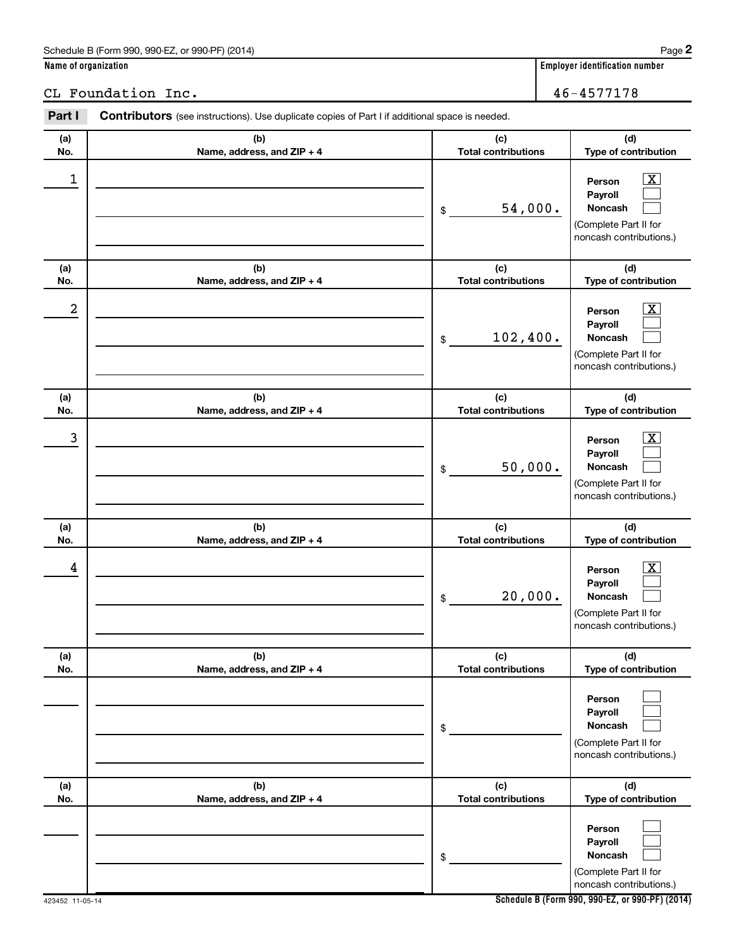### Schedule B (Form 990, 990-EZ, or 990-PF) (2014)

### CL Foundation Inc. 46-4577178

| Part I     | <b>Contributors</b> (see instructions). Use duplicate copies of Part I if additional space is needed. |                                                                                                                                   |  |  |  |  |
|------------|-------------------------------------------------------------------------------------------------------|-----------------------------------------------------------------------------------------------------------------------------------|--|--|--|--|
| (a)<br>No. | (b)<br>Name, address, and ZIP + 4                                                                     | (d)<br>(c)<br><b>Total contributions</b><br>Type of contribution                                                                  |  |  |  |  |
| 1          |                                                                                                       | $\boxed{\textbf{X}}$<br>Person<br>Payroll<br>54,000.<br><b>Noncash</b><br>\$<br>(Complete Part II for<br>noncash contributions.)  |  |  |  |  |
| (a)<br>No. | (b)<br>Name, address, and ZIP + 4                                                                     | (d)<br>(c)<br><b>Total contributions</b><br>Type of contribution                                                                  |  |  |  |  |
| 2          |                                                                                                       | $\boxed{\textbf{X}}$<br>Person<br>Payroll<br>102,400.<br><b>Noncash</b><br>\$<br>(Complete Part II for<br>noncash contributions.) |  |  |  |  |
| (a)<br>No. | (b)<br>Name, address, and ZIP + 4                                                                     | (c)<br>(d)<br><b>Total contributions</b><br>Type of contribution                                                                  |  |  |  |  |
| 3          |                                                                                                       | $\boxed{\text{X}}$<br>Person<br>Payroll<br>50,000.<br><b>Noncash</b><br>\$<br>(Complete Part II for<br>noncash contributions.)    |  |  |  |  |
| (a)<br>No. | (b)<br>Name, address, and ZIP + 4                                                                     | (c)<br>(d)<br><b>Total contributions</b><br>Type of contribution                                                                  |  |  |  |  |
| 4          |                                                                                                       | $\boxed{\textbf{X}}$<br>Person<br>Payroll<br>20,000.<br><b>Noncash</b><br>\$<br>(Complete Part II for<br>noncash contributions.)  |  |  |  |  |
| (a)<br>No. | (b)<br>Name, address, and ZIP + 4                                                                     | (d)<br>(c)<br><b>Total contributions</b><br>Type of contribution                                                                  |  |  |  |  |
|            |                                                                                                       | Person<br>Payroll<br><b>Noncash</b><br>\$<br>(Complete Part II for<br>noncash contributions.)                                     |  |  |  |  |
| (a)<br>No. | (b)<br>Name, address, and ZIP + 4                                                                     | (d)<br>(c)<br><b>Total contributions</b><br>Type of contribution                                                                  |  |  |  |  |
|            |                                                                                                       | Person<br>Payroll<br>Noncash<br>\$<br>(Complete Part II for<br>noncash contributions.)                                            |  |  |  |  |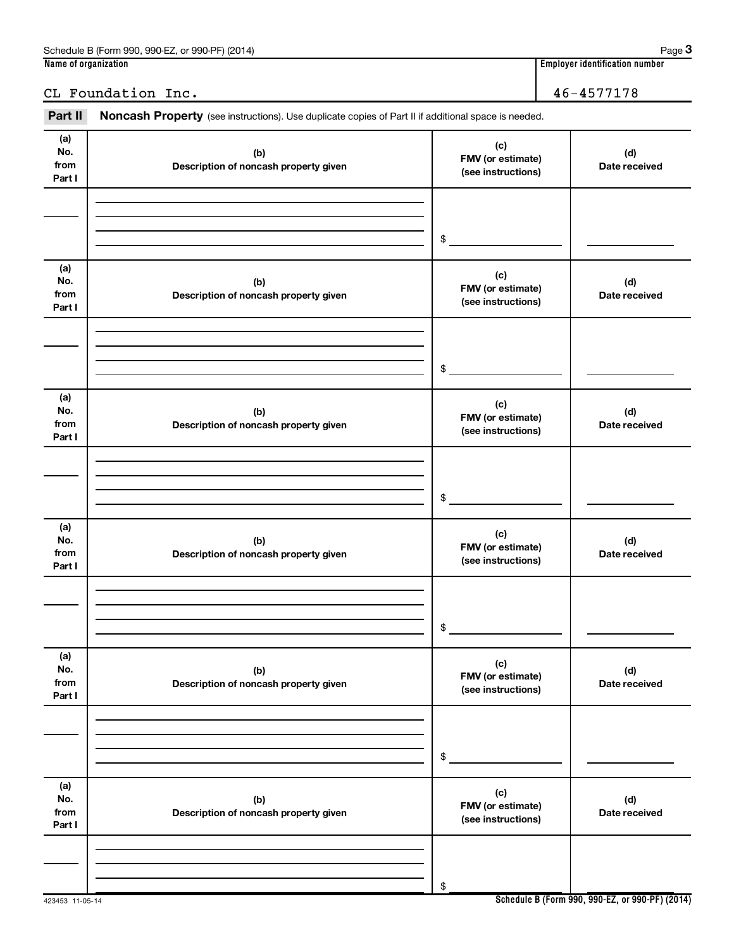Schedule B (Form 990, 990-EZ, or 990-PF) (2014)

# `i c~ fK QSJQRTTNTU

423453 11-05-14

Part II Noncash Property (see instructions). Use duplicate copies of Part II if additional space is needed.

| гац II                       | <b>NOTICASTE FLOPELLY</b> (See instructions). Ose duplicate copies of Fart in additional space is needed. |                                                |                      |
|------------------------------|-----------------------------------------------------------------------------------------------------------|------------------------------------------------|----------------------|
| (a)<br>No.<br>from<br>Part I | (b)<br>Description of noncash property given                                                              | (c)<br>FMV (or estimate)<br>(see instructions) | (d)<br>Date received |
|                              |                                                                                                           | \$                                             |                      |
| (a)<br>No.<br>from<br>Part I | (b)<br>Description of noncash property given                                                              | (c)<br>FMV (or estimate)<br>(see instructions) | (d)<br>Date received |
|                              |                                                                                                           | \$                                             |                      |
| (a)<br>No.<br>from<br>Part I | (b)<br>Description of noncash property given                                                              | (c)<br>FMV (or estimate)<br>(see instructions) | (d)<br>Date received |
|                              |                                                                                                           | \$                                             |                      |
| (a)<br>No.<br>from<br>Part I | (b)<br>Description of noncash property given                                                              | (c)<br>FMV (or estimate)<br>(see instructions) | (d)<br>Date received |
|                              |                                                                                                           | \$                                             |                      |
| (a)<br>No.<br>from<br>Part I | (b)<br>Description of noncash property given                                                              | (c)<br>FMV (or estimate)<br>(see instructions) | (d)<br>Date received |
|                              |                                                                                                           | \$                                             |                      |
| (a)<br>No.<br>from<br>Part I | (b)<br>Description of noncash property given                                                              | (c)<br>FMV (or estimate)<br>(see instructions) | (d)<br>Date received |
|                              |                                                                                                           | \$                                             |                      |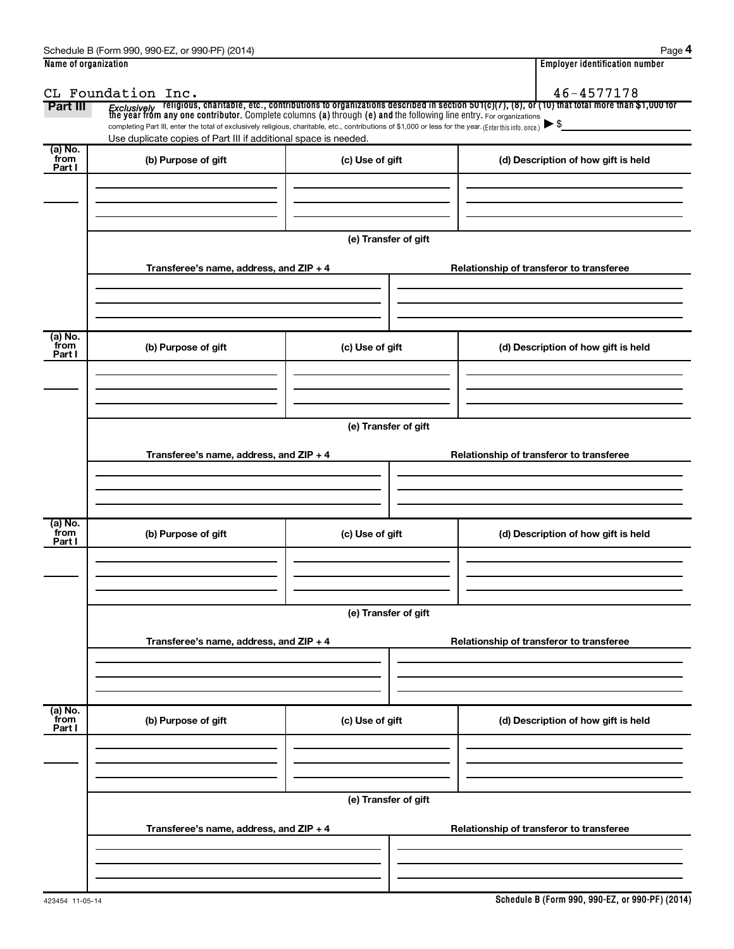| Name of organization |                                                                                                                                                          | <b>Employer identification number</b>    |                                                                                                                                                                                                                                    |  |  |  |  |
|----------------------|----------------------------------------------------------------------------------------------------------------------------------------------------------|------------------------------------------|------------------------------------------------------------------------------------------------------------------------------------------------------------------------------------------------------------------------------------|--|--|--|--|
|                      | CL Foundation Inc.                                                                                                                                       |                                          | 46-4577178                                                                                                                                                                                                                         |  |  |  |  |
| Part III             |                                                                                                                                                          |                                          | Fxclusively religious, charitable, etc., contributions to organizations described in section 501(c)(7), (8), or (10) that total more than \$1,000 for<br>the year from any one contributor. Complete columns (a) through (e) and t |  |  |  |  |
|                      | completing Part III, enter the total of exclusively religious, charitable, etc., contributions of \$1,000 or less for the year. (Enter this info. once.) |                                          | $\blacktriangleright$ \$                                                                                                                                                                                                           |  |  |  |  |
| (a) No.              | Use duplicate copies of Part III if additional space is needed.                                                                                          |                                          |                                                                                                                                                                                                                                    |  |  |  |  |
| from<br>Part I       | (b) Purpose of gift                                                                                                                                      | (c) Use of gift                          | (d) Description of how gift is held                                                                                                                                                                                                |  |  |  |  |
|                      |                                                                                                                                                          |                                          |                                                                                                                                                                                                                                    |  |  |  |  |
|                      |                                                                                                                                                          |                                          |                                                                                                                                                                                                                                    |  |  |  |  |
|                      |                                                                                                                                                          |                                          |                                                                                                                                                                                                                                    |  |  |  |  |
|                      |                                                                                                                                                          |                                          |                                                                                                                                                                                                                                    |  |  |  |  |
|                      |                                                                                                                                                          | (e) Transfer of gift                     |                                                                                                                                                                                                                                    |  |  |  |  |
|                      | Transferee's name, address, and ZIP + 4                                                                                                                  |                                          | Relationship of transferor to transferee                                                                                                                                                                                           |  |  |  |  |
|                      |                                                                                                                                                          |                                          |                                                                                                                                                                                                                                    |  |  |  |  |
|                      |                                                                                                                                                          |                                          |                                                                                                                                                                                                                                    |  |  |  |  |
|                      |                                                                                                                                                          |                                          |                                                                                                                                                                                                                                    |  |  |  |  |
| (a) No.              |                                                                                                                                                          |                                          |                                                                                                                                                                                                                                    |  |  |  |  |
| from<br>Part I       | (b) Purpose of gift                                                                                                                                      | (c) Use of gift                          | (d) Description of how gift is held                                                                                                                                                                                                |  |  |  |  |
|                      |                                                                                                                                                          |                                          |                                                                                                                                                                                                                                    |  |  |  |  |
|                      |                                                                                                                                                          |                                          |                                                                                                                                                                                                                                    |  |  |  |  |
|                      |                                                                                                                                                          |                                          |                                                                                                                                                                                                                                    |  |  |  |  |
|                      | (e) Transfer of gift                                                                                                                                     |                                          |                                                                                                                                                                                                                                    |  |  |  |  |
|                      |                                                                                                                                                          |                                          |                                                                                                                                                                                                                                    |  |  |  |  |
|                      | Transferee's name, address, and ZIP + 4                                                                                                                  | Relationship of transferor to transferee |                                                                                                                                                                                                                                    |  |  |  |  |
|                      |                                                                                                                                                          |                                          |                                                                                                                                                                                                                                    |  |  |  |  |
|                      |                                                                                                                                                          |                                          |                                                                                                                                                                                                                                    |  |  |  |  |
|                      |                                                                                                                                                          |                                          |                                                                                                                                                                                                                                    |  |  |  |  |
| (a) No.<br>from      | (b) Purpose of gift                                                                                                                                      | (c) Use of gift                          | (d) Description of how gift is held                                                                                                                                                                                                |  |  |  |  |
| Part I               |                                                                                                                                                          |                                          |                                                                                                                                                                                                                                    |  |  |  |  |
|                      |                                                                                                                                                          |                                          |                                                                                                                                                                                                                                    |  |  |  |  |
|                      |                                                                                                                                                          |                                          |                                                                                                                                                                                                                                    |  |  |  |  |
|                      |                                                                                                                                                          |                                          |                                                                                                                                                                                                                                    |  |  |  |  |
|                      | (e) Transfer of gift                                                                                                                                     |                                          |                                                                                                                                                                                                                                    |  |  |  |  |
|                      | Transferee's name, address, and $ZIP + 4$                                                                                                                |                                          | Relationship of transferor to transferee                                                                                                                                                                                           |  |  |  |  |
|                      |                                                                                                                                                          |                                          |                                                                                                                                                                                                                                    |  |  |  |  |
|                      |                                                                                                                                                          |                                          |                                                                                                                                                                                                                                    |  |  |  |  |
|                      |                                                                                                                                                          |                                          |                                                                                                                                                                                                                                    |  |  |  |  |
| (a) No.<br>from      | (b) Purpose of gift                                                                                                                                      | (c) Use of gift                          | (d) Description of how gift is held                                                                                                                                                                                                |  |  |  |  |
| Part I               |                                                                                                                                                          |                                          |                                                                                                                                                                                                                                    |  |  |  |  |
|                      |                                                                                                                                                          |                                          |                                                                                                                                                                                                                                    |  |  |  |  |
|                      |                                                                                                                                                          |                                          |                                                                                                                                                                                                                                    |  |  |  |  |
|                      |                                                                                                                                                          |                                          |                                                                                                                                                                                                                                    |  |  |  |  |
|                      |                                                                                                                                                          | (e) Transfer of gift                     |                                                                                                                                                                                                                                    |  |  |  |  |
|                      |                                                                                                                                                          |                                          |                                                                                                                                                                                                                                    |  |  |  |  |
|                      | Transferee's name, address, and ZIP + 4                                                                                                                  |                                          | Relationship of transferor to transferee                                                                                                                                                                                           |  |  |  |  |
|                      |                                                                                                                                                          |                                          |                                                                                                                                                                                                                                    |  |  |  |  |
|                      |                                                                                                                                                          |                                          |                                                                                                                                                                                                                                    |  |  |  |  |
|                      |                                                                                                                                                          |                                          |                                                                                                                                                                                                                                    |  |  |  |  |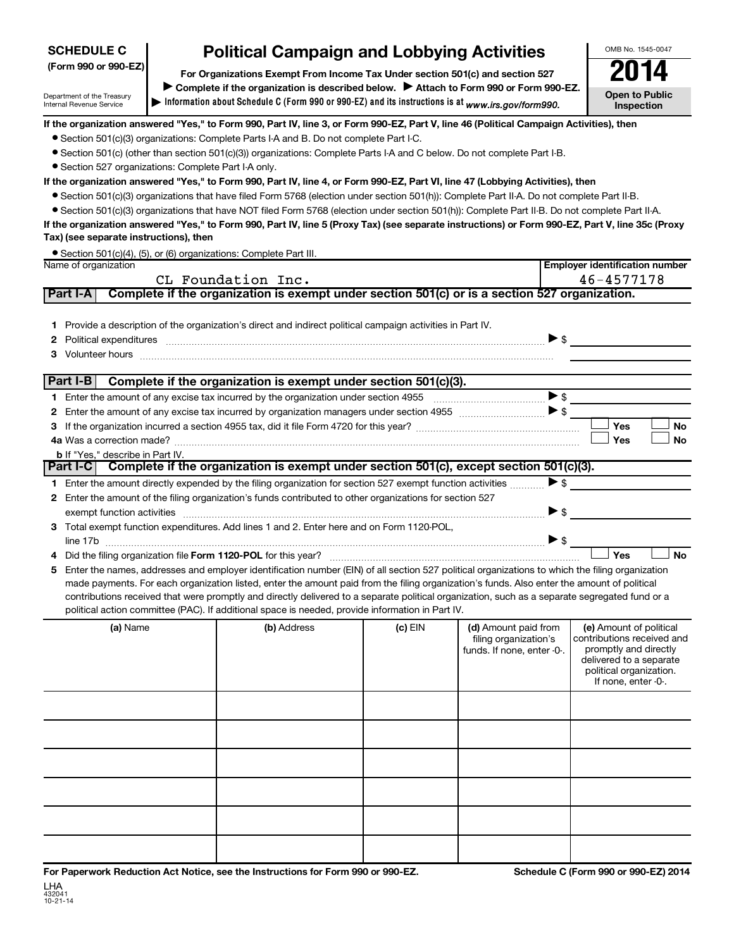### (Form 990 or 990-EZ) **SCHEDULE C**

Department of the Treasury Internal Revenue Service

# **Political Campaign and Lobbying Activities**

 $\blacktriangleright$  Information about Schedule C (Form 990 or 990-EZ) and its instructions is at  $_{www.irs.gov/form990.}$ For Organizations Exempt From Income Tax Under section 501(c) and section 527 Complete if the organization is described below. > Attach to Form 990 or Form 990-EZ. **Open to Public** Inspection 2014

**Employer identification number** 

OMB No. 1545-0047

If the organization answered "Yes," to Form 990, Part IV, line 3, or Form 990-EZ, Part V, line 46 (Political Campaign Activities), then

- Section 501(c)(3) organizations: Complete Parts I-A and B. Do not complete Part I-C.
- Section 501(c) (other than section 501(c)(3)) organizations: Complete Parts I-A and C below. Do not complete Part I-B.
- Section 527 organizations: Complete Part I-A only.

#### If the organization answered "Yes," to Form 990, Part IV, line 4, or Form 990-EZ, Part VI, line 47 (Lobbying Activities), then

- Section 501(c)(3) organizations that have filed Form 5768 (election under section 501(h)): Complete Part II-A. Do not complete Part II-B.
- Section 501(c)(3) organizations that have NOT filed Form 5768 (election under section 501(h)): Complete Part II-B. Do not complete Part II-A.

#### If the organization answered "Yes," to Form 990, Part IV, line 5 (Proxy Tax) (see separate instructions) or Form 990-EZ, Part V, line 35c (Proxy Tax) (see separate instructions), then

|                      | • Section 501(c)(4), (5), or (6) organizations: Complete Part III. |
|----------------------|--------------------------------------------------------------------|
| Name of organization |                                                                    |

|    | CL Foundation Inc.<br>$46 - 4577178$ |                                         |                                                                                                                                                                                                                                                                                                                                                                                                                                                                                                                                                                                            |           |                                                                             |                                                                                                                                                             |  |
|----|--------------------------------------|-----------------------------------------|--------------------------------------------------------------------------------------------------------------------------------------------------------------------------------------------------------------------------------------------------------------------------------------------------------------------------------------------------------------------------------------------------------------------------------------------------------------------------------------------------------------------------------------------------------------------------------------------|-----------|-----------------------------------------------------------------------------|-------------------------------------------------------------------------------------------------------------------------------------------------------------|--|
|    | Part I-A                             |                                         | Complete if the organization is exempt under section 501(c) or is a section 527 organization.                                                                                                                                                                                                                                                                                                                                                                                                                                                                                              |           |                                                                             |                                                                                                                                                             |  |
|    |                                      |                                         | 1 Provide a description of the organization's direct and indirect political campaign activities in Part IV.<br>2 Political expenditures <b>continues</b> successive contract and the set of the set of the set of the set of the set of the set of the set of the set of the set of the set of the set of the set of the set of the set of the set<br>3 Volunteer hours <b>contract and the contract of the contract of the contract of the contract of the contract of the contract of the contract of the contract of the contract of the contract of the contract of the contract o</b> |           |                                                                             |                                                                                                                                                             |  |
|    | Part I-B                             |                                         | Complete if the organization is exempt under section 501(c)(3).                                                                                                                                                                                                                                                                                                                                                                                                                                                                                                                            |           |                                                                             |                                                                                                                                                             |  |
|    |                                      |                                         |                                                                                                                                                                                                                                                                                                                                                                                                                                                                                                                                                                                            |           |                                                                             |                                                                                                                                                             |  |
| 2  |                                      |                                         |                                                                                                                                                                                                                                                                                                                                                                                                                                                                                                                                                                                            |           |                                                                             |                                                                                                                                                             |  |
|    |                                      |                                         |                                                                                                                                                                                                                                                                                                                                                                                                                                                                                                                                                                                            |           |                                                                             | Yes<br><b>No</b>                                                                                                                                            |  |
|    |                                      |                                         |                                                                                                                                                                                                                                                                                                                                                                                                                                                                                                                                                                                            |           |                                                                             | Yes<br><b>No</b>                                                                                                                                            |  |
|    |                                      | <b>b</b> If "Yes," describe in Part IV. | Part I-C  Complete if the organization is exempt under section 501(c), except section 501(c)(3).                                                                                                                                                                                                                                                                                                                                                                                                                                                                                           |           |                                                                             |                                                                                                                                                             |  |
|    |                                      |                                         |                                                                                                                                                                                                                                                                                                                                                                                                                                                                                                                                                                                            |           |                                                                             |                                                                                                                                                             |  |
|    |                                      |                                         | 1 Enter the amount directly expended by the filing organization for section 527 exempt function activities                                                                                                                                                                                                                                                                                                                                                                                                                                                                                 |           | $\blacktriangleright$ \$                                                    |                                                                                                                                                             |  |
|    |                                      |                                         | 2 Enter the amount of the filing organization's funds contributed to other organizations for section 527                                                                                                                                                                                                                                                                                                                                                                                                                                                                                   |           |                                                                             |                                                                                                                                                             |  |
|    |                                      |                                         | exempt function activities encourance and activities and activities are activities and activities and activities                                                                                                                                                                                                                                                                                                                                                                                                                                                                           |           | $\triangleright$ s                                                          |                                                                                                                                                             |  |
|    |                                      |                                         | 3 Total exempt function expenditures. Add lines 1 and 2. Enter here and on Form 1120-POL,                                                                                                                                                                                                                                                                                                                                                                                                                                                                                                  |           |                                                                             |                                                                                                                                                             |  |
|    |                                      |                                         | 4 Did the filing organization file Form 1120-POL for this year?                                                                                                                                                                                                                                                                                                                                                                                                                                                                                                                            |           | >                                                                           | Yes<br><b>No</b>                                                                                                                                            |  |
| 5. |                                      |                                         | Enter the names, addresses and employer identification number (EIN) of all section 527 political organizations to which the filing organization                                                                                                                                                                                                                                                                                                                                                                                                                                            |           |                                                                             |                                                                                                                                                             |  |
|    |                                      |                                         | made payments. For each organization listed, enter the amount paid from the filing organization's funds. Also enter the amount of political                                                                                                                                                                                                                                                                                                                                                                                                                                                |           |                                                                             |                                                                                                                                                             |  |
|    |                                      |                                         | contributions received that were promptly and directly delivered to a separate political organization, such as a separate segregated fund or a                                                                                                                                                                                                                                                                                                                                                                                                                                             |           |                                                                             |                                                                                                                                                             |  |
|    |                                      |                                         | political action committee (PAC). If additional space is needed, provide information in Part IV.                                                                                                                                                                                                                                                                                                                                                                                                                                                                                           |           |                                                                             |                                                                                                                                                             |  |
|    |                                      | (a) Name                                | (b) Address                                                                                                                                                                                                                                                                                                                                                                                                                                                                                                                                                                                | $(c)$ EIN | (d) Amount paid from<br>filing organization's<br>funds. If none, enter -0-. | (e) Amount of political<br>contributions received and<br>promptly and directly<br>delivered to a separate<br>political organization.<br>If none, enter -0-. |  |
|    |                                      |                                         |                                                                                                                                                                                                                                                                                                                                                                                                                                                                                                                                                                                            |           |                                                                             |                                                                                                                                                             |  |
|    |                                      |                                         |                                                                                                                                                                                                                                                                                                                                                                                                                                                                                                                                                                                            |           |                                                                             |                                                                                                                                                             |  |
|    |                                      |                                         |                                                                                                                                                                                                                                                                                                                                                                                                                                                                                                                                                                                            |           |                                                                             |                                                                                                                                                             |  |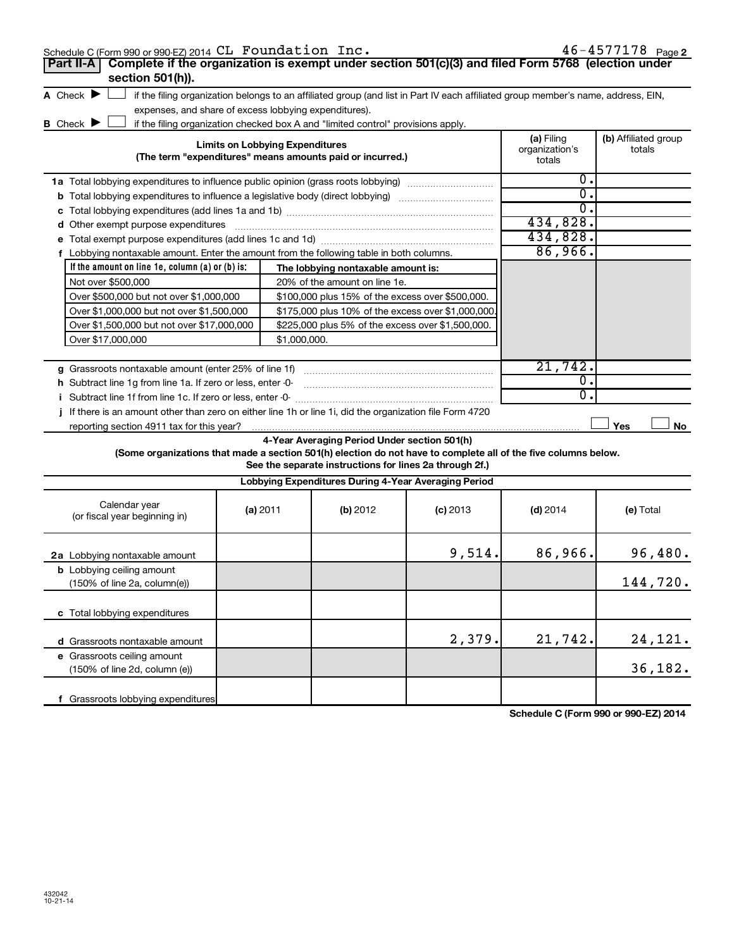|   | Schedule C (Form 990 or 990-EZ) 2014 CL Foundation Inc.<br>Complete if the organization is exempt under section 501(c)(3) and filed Form 5768 (election under<br>Part II-A |                                        |                                                                                                         |            |                                        | $46 - 4577178$ Page 2          |
|---|----------------------------------------------------------------------------------------------------------------------------------------------------------------------------|----------------------------------------|---------------------------------------------------------------------------------------------------------|------------|----------------------------------------|--------------------------------|
|   | section 501(h)).                                                                                                                                                           |                                        |                                                                                                         |            |                                        |                                |
|   | A Check $\blacktriangleright$<br>if the filing organization belongs to an affiliated group (and list in Part IV each affiliated group member's name, address, EIN,         |                                        |                                                                                                         |            |                                        |                                |
|   | expenses, and share of excess lobbying expenditures).                                                                                                                      |                                        |                                                                                                         |            |                                        |                                |
|   | <b>B</b> Check <b>D</b><br>if the filing organization checked box A and "limited control" provisions apply.                                                                |                                        |                                                                                                         |            |                                        |                                |
|   |                                                                                                                                                                            | <b>Limits on Lobbying Expenditures</b> | (The term "expenditures" means amounts paid or incurred.)                                               |            | (a) Filing<br>organization's<br>totals | (b) Affiliated group<br>totals |
|   | <b>1a</b> Total lobbying expenditures to influence public opinion (grass roots lobbying)                                                                                   |                                        |                                                                                                         |            | 0.                                     |                                |
|   | <b>b</b> Total lobbying expenditures to influence a legislative body (direct lobbying) <i>manumumumum</i>                                                                  |                                        |                                                                                                         |            | $\overline{0}$ .                       |                                |
| с |                                                                                                                                                                            |                                        |                                                                                                         |            | 0.                                     |                                |
| d | Other exempt purpose expenditures                                                                                                                                          |                                        |                                                                                                         |            | 434,828.                               |                                |
|   |                                                                                                                                                                            |                                        |                                                                                                         |            | 434,828.                               |                                |
|   | f Lobbying nontaxable amount. Enter the amount from the following table in both columns.                                                                                   |                                        |                                                                                                         |            | 86,966.                                |                                |
|   | If the amount on line 1e, column (a) or (b) is:                                                                                                                            |                                        | The lobbying nontaxable amount is:                                                                      |            |                                        |                                |
|   | Not over \$500,000                                                                                                                                                         |                                        | 20% of the amount on line 1e.                                                                           |            |                                        |                                |
|   | Over \$500,000 but not over \$1,000,000                                                                                                                                    |                                        | \$100,000 plus 15% of the excess over \$500,000.                                                        |            |                                        |                                |
|   | Over \$1,000,000 but not over \$1,500,000                                                                                                                                  |                                        | \$175,000 plus 10% of the excess over \$1,000,000                                                       |            |                                        |                                |
|   | Over \$1,500,000 but not over \$17,000,000                                                                                                                                 |                                        | \$225,000 plus 5% of the excess over \$1,500,000.                                                       |            |                                        |                                |
|   | Over \$17,000,000                                                                                                                                                          | \$1,000,000.                           |                                                                                                         |            |                                        |                                |
|   |                                                                                                                                                                            |                                        |                                                                                                         |            |                                        |                                |
|   | g Grassroots nontaxable amount (enter 25% of line 1f)                                                                                                                      |                                        |                                                                                                         |            | 21,742.                                |                                |
|   | h Subtract line 1g from line 1a. If zero or less, enter -0-                                                                                                                |                                        |                                                                                                         |            | $\overline{0}$ .                       |                                |
|   | i Subtract line 1f from line 1c. If zero or less, enter -0-                                                                                                                |                                        |                                                                                                         |            | $\Omega$ .                             |                                |
|   | If there is an amount other than zero on either line 1h or line 1i, did the organization file Form 4720                                                                    |                                        |                                                                                                         |            |                                        |                                |
|   | reporting section 4911 tax for this year?                                                                                                                                  |                                        |                                                                                                         |            |                                        | Yes<br>No                      |
|   | (Some organizations that made a section 501(h) election do not have to complete all of the five columns below.                                                             |                                        | 4-Year Averaging Period Under section 501(h)<br>See the separate instructions for lines 2a through 2f.) |            |                                        |                                |
|   |                                                                                                                                                                            |                                        | Lobbying Expenditures During 4-Year Averaging Period                                                    |            |                                        |                                |
|   | Calendar year<br>(or fiscal year beginning in)                                                                                                                             | (a) 2011                               | (b) 2012                                                                                                | $(c)$ 2013 | $(d)$ 2014                             | (e) Total                      |
|   | 2a Lobbying nontaxable amount                                                                                                                                              |                                        |                                                                                                         | 9,514.     | 86,966.                                | 96,480.                        |

| 2a Lobbying nontaxable amount                                                       |  | 9,514. | 86,966.1 | 96,480.  |
|-------------------------------------------------------------------------------------|--|--------|----------|----------|
| <b>b</b> Lobbying ceiling amount<br>$(150\% \text{ of line } 2a, \text{column}(e))$ |  |        |          | 144,720. |
| <b>c</b> Total lobbying expenditures                                                |  |        |          |          |
| d Grassroots nontaxable amount                                                      |  | 2,379. | 21,742.  | 24, 121. |
| e Grassroots ceiling amount<br>$(150\% \text{ of line } 2d, \text{ column } (e))$   |  |        |          | 36, 182. |
| Grassroots lobbying expenditures                                                    |  |        |          |          |

Schedule C (Form 990 or 990-EZ) 2014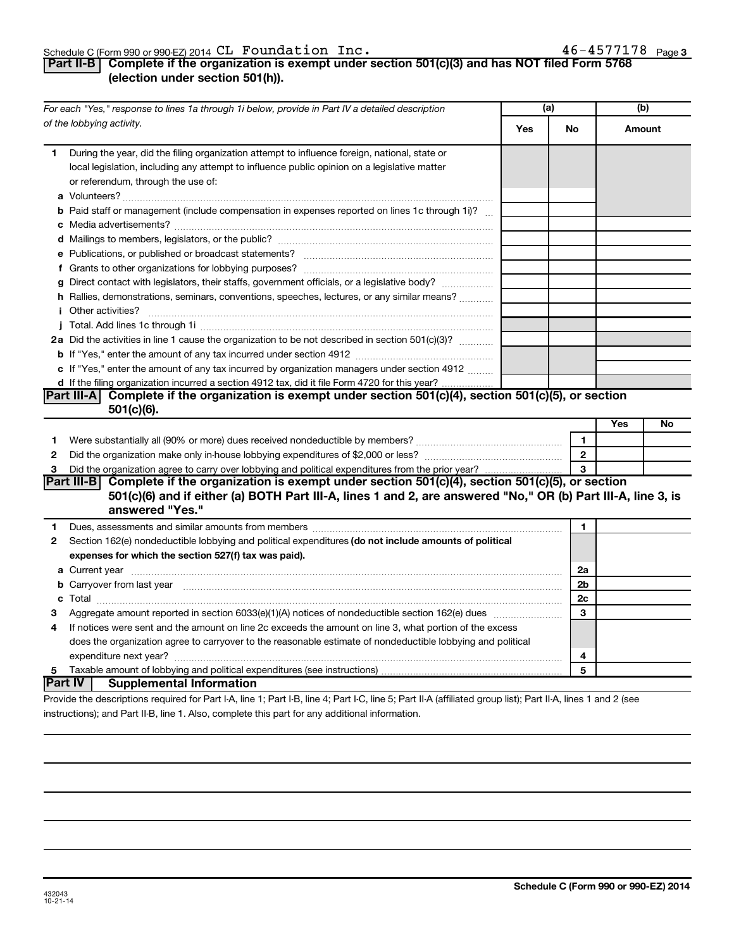### Schedule C (Form 990 or 990-EZ) 2014  $\mathtt{CL}$   $\mathtt{Foundation\_Inc.}$   $\mathtt{46-4577178}$   $\mathtt{Page}$

### **Part II-B** Complete if the organization is exempt under section 501(c)(3) and has NOT filed Form 5768 (election under section 501(h)).

|    | For each "Yes," response to lines 1a through 1i below, provide in Part IV a detailed description                                                                                                                                            | (a) |                | (b) |        |
|----|---------------------------------------------------------------------------------------------------------------------------------------------------------------------------------------------------------------------------------------------|-----|----------------|-----|--------|
|    | of the lobbying activity.                                                                                                                                                                                                                   | Yes | No             |     | Amount |
| 1. | During the year, did the filing organization attempt to influence foreign, national, state or<br>local legislation, including any attempt to influence public opinion on a legislative matter<br>or referendum, through the use of:         |     |                |     |        |
|    | <b>b</b> Paid staff or management (include compensation in expenses reported on lines 1c through 1i)?                                                                                                                                       |     |                |     |        |
|    |                                                                                                                                                                                                                                             |     |                |     |        |
|    |                                                                                                                                                                                                                                             |     |                |     |        |
|    |                                                                                                                                                                                                                                             |     |                |     |        |
|    |                                                                                                                                                                                                                                             |     |                |     |        |
|    | g Direct contact with legislators, their staffs, government officials, or a legislative body?                                                                                                                                               |     |                |     |        |
|    | h Rallies, demonstrations, seminars, conventions, speeches, lectures, or any similar means?                                                                                                                                                 |     |                |     |        |
|    | <i>i</i> Other activities?                                                                                                                                                                                                                  |     |                |     |        |
|    |                                                                                                                                                                                                                                             |     |                |     |        |
|    | 2a Did the activities in line 1 cause the organization to be not described in section 501(c)(3)?                                                                                                                                            |     |                |     |        |
|    |                                                                                                                                                                                                                                             |     |                |     |        |
|    | c If "Yes," enter the amount of any tax incurred by organization managers under section 4912                                                                                                                                                |     |                |     |        |
|    | d If the filing organization incurred a section 4912 tax, did it file Form 4720 for this year?                                                                                                                                              |     |                |     |        |
|    | Part III-A Complete if the organization is exempt under section 501(c)(4), section 501(c)(5), or section                                                                                                                                    |     |                |     |        |
|    | $501(c)(6)$ .                                                                                                                                                                                                                               |     |                |     |        |
|    |                                                                                                                                                                                                                                             |     |                | Yes | No     |
| 1  |                                                                                                                                                                                                                                             |     | $\mathbf{1}$   |     |        |
| 2  |                                                                                                                                                                                                                                             |     | $\overline{2}$ |     |        |
| 3  | Did the organization agree to carry over lobbying and political expenditures from the prior year?                                                                                                                                           |     |                |     |        |
|    | Part III-B Complete if the organization is exempt under section 501(c)(4), section 501(c)(5), or section<br>501(c)(6) and if either (a) BOTH Part III-A, lines 1 and 2, are answered "No," OR (b) Part III-A, line 3, is<br>answered "Yes." |     |                |     |        |
| 1  | Dues, assessments and similar amounts from members [111] www.communicallyness.communicallyness.communicallyness.com                                                                                                                         |     | 1              |     |        |
| 2  | Section 162(e) nondeductible lobbying and political expenditures (do not include amounts of political                                                                                                                                       |     |                |     |        |
|    | expenses for which the section 527(f) tax was paid).                                                                                                                                                                                        |     |                |     |        |
|    |                                                                                                                                                                                                                                             |     | 2a             |     |        |
|    | b Carryover from last year manufactured and content to content the content of the content of the content of the content of the content of the content of the content of the content of the content of the content of the conte              |     | 2b             |     |        |
|    |                                                                                                                                                                                                                                             |     | 2c             |     |        |
| З  | Aggregate amount reported in section 6033(e)(1)(A) notices of nondeductible section 162(e) dues manufactured                                                                                                                                |     | 3              |     |        |
| 4  | If notices were sent and the amount on line 2c exceeds the amount on line 3, what portion of the excess                                                                                                                                     |     |                |     |        |
|    | does the organization agree to carryover to the reasonable estimate of nondeductible lobbying and political                                                                                                                                 |     |                |     |        |
|    |                                                                                                                                                                                                                                             |     | 4              |     |        |
| 5  |                                                                                                                                                                                                                                             |     | 5              |     |        |
|    | <b>Part IV</b><br><b>Supplemental Information</b>                                                                                                                                                                                           |     |                |     |        |
|    | Provide the descriptions required for Part I-A, line 1; Part I-B, line 4; Part I-C, line 5; Part II-A (affiliated group list); Part II-A, lines 1 and 2 (see                                                                                |     |                |     |        |

instructions); and Part II-B, line 1. Also, complete this part for any additional information.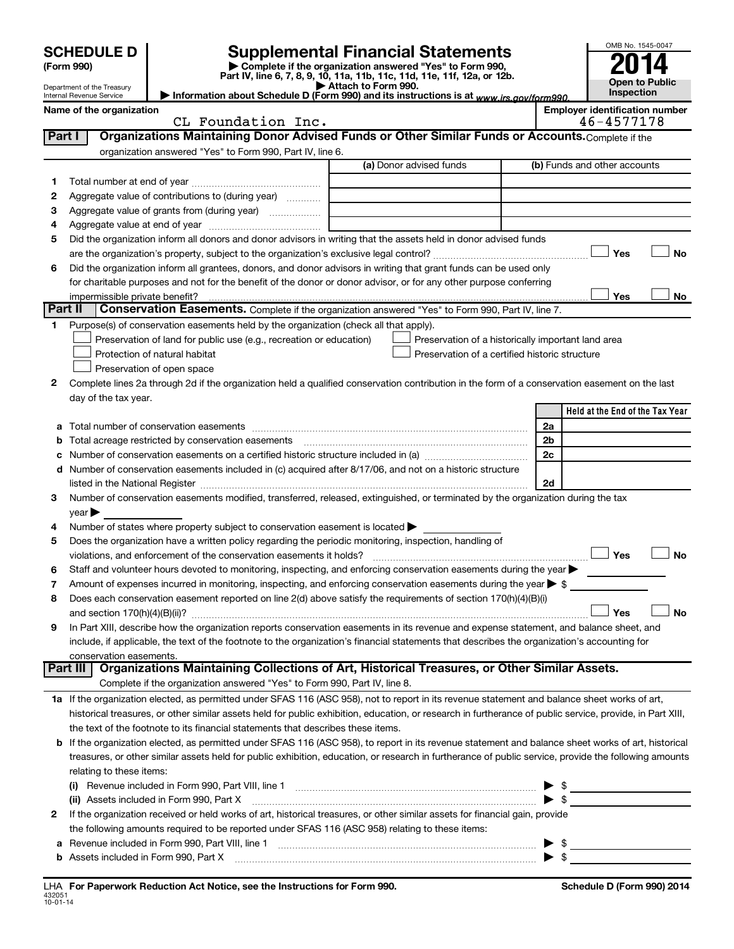|         | <b>SCHEDULE D</b><br>(Form 990)<br>Department of the Treasury<br>Internal Revenue Service |                                                                                                        | <b>Supplemental Financial Statements</b><br>Complete if the organization answered "Yes" to Form 990,<br>Part IV, line 6, 7, 8, 9, 10, 11a, 11b, 11c, 11d, 11e, 11f, 12a, or 12b.<br>$\blacktriangleright$ Attach to Form 990.<br>Information about Schedule D (Form 990) and its instructions is at www.irs.gov/form990. |    | OMB No. 1545-0047<br><b>Open to Public</b><br>Inspection |
|---------|-------------------------------------------------------------------------------------------|--------------------------------------------------------------------------------------------------------|--------------------------------------------------------------------------------------------------------------------------------------------------------------------------------------------------------------------------------------------------------------------------------------------------------------------------|----|----------------------------------------------------------|
|         | Name of the organization                                                                  |                                                                                                        |                                                                                                                                                                                                                                                                                                                          |    | <b>Employer identification number</b>                    |
|         |                                                                                           | CL Foundation Inc.                                                                                     |                                                                                                                                                                                                                                                                                                                          |    | 46-4577178                                               |
| Part I  |                                                                                           |                                                                                                        | Organizations Maintaining Donor Advised Funds or Other Similar Funds or Accounts. Complete if the                                                                                                                                                                                                                        |    |                                                          |
|         |                                                                                           | organization answered "Yes" to Form 990, Part IV, line 6.                                              |                                                                                                                                                                                                                                                                                                                          |    |                                                          |
|         |                                                                                           |                                                                                                        | (a) Donor advised funds                                                                                                                                                                                                                                                                                                  |    | (b) Funds and other accounts                             |
| 1       |                                                                                           |                                                                                                        |                                                                                                                                                                                                                                                                                                                          |    |                                                          |
| 2       |                                                                                           | Aggregate value of contributions to (during year)                                                      |                                                                                                                                                                                                                                                                                                                          |    |                                                          |
| З       |                                                                                           | Aggregate value of grants from (during year)                                                           |                                                                                                                                                                                                                                                                                                                          |    |                                                          |
| 4       |                                                                                           |                                                                                                        |                                                                                                                                                                                                                                                                                                                          |    |                                                          |
| 5       |                                                                                           |                                                                                                        | Did the organization inform all donors and donor advisors in writing that the assets held in donor advised funds                                                                                                                                                                                                         |    |                                                          |
|         |                                                                                           |                                                                                                        |                                                                                                                                                                                                                                                                                                                          |    | Yes<br><b>No</b>                                         |
| 6       |                                                                                           |                                                                                                        | Did the organization inform all grantees, donors, and donor advisors in writing that grant funds can be used only                                                                                                                                                                                                        |    |                                                          |
|         | impermissible private benefit?                                                            |                                                                                                        | for charitable purposes and not for the benefit of the donor or donor advisor, or for any other purpose conferring                                                                                                                                                                                                       |    | Yes<br>No.                                               |
| Part II |                                                                                           |                                                                                                        | Conservation Easements. Complete if the organization answered "Yes" to Form 990, Part IV, line 7.                                                                                                                                                                                                                        |    |                                                          |
| 1.      |                                                                                           | Purpose(s) of conservation easements held by the organization (check all that apply).                  |                                                                                                                                                                                                                                                                                                                          |    |                                                          |
|         |                                                                                           | Preservation of land for public use (e.g., recreation or education)                                    | Preservation of a historically important land area                                                                                                                                                                                                                                                                       |    |                                                          |
|         |                                                                                           | Protection of natural habitat                                                                          | Preservation of a certified historic structure                                                                                                                                                                                                                                                                           |    |                                                          |
|         |                                                                                           | Preservation of open space                                                                             |                                                                                                                                                                                                                                                                                                                          |    |                                                          |
| 2       |                                                                                           |                                                                                                        | Complete lines 2a through 2d if the organization held a qualified conservation contribution in the form of a conservation easement on the last                                                                                                                                                                           |    |                                                          |
|         | day of the tax year.                                                                      |                                                                                                        |                                                                                                                                                                                                                                                                                                                          |    |                                                          |
|         |                                                                                           |                                                                                                        |                                                                                                                                                                                                                                                                                                                          |    | Held at the End of the Tax Year                          |
|         |                                                                                           |                                                                                                        |                                                                                                                                                                                                                                                                                                                          | 2a |                                                          |
| b       |                                                                                           |                                                                                                        |                                                                                                                                                                                                                                                                                                                          | 2b |                                                          |
| с       |                                                                                           |                                                                                                        |                                                                                                                                                                                                                                                                                                                          | 2c |                                                          |
|         |                                                                                           |                                                                                                        | d Number of conservation easements included in (c) acquired after 8/17/06, and not on a historic structure                                                                                                                                                                                                               |    |                                                          |
|         |                                                                                           |                                                                                                        |                                                                                                                                                                                                                                                                                                                          | 2d |                                                          |
| 3       |                                                                                           |                                                                                                        | Number of conservation easements modified, transferred, released, extinguished, or terminated by the organization during the tax                                                                                                                                                                                         |    |                                                          |
|         | $\vee$ ear $\blacktriangleright$                                                          |                                                                                                        |                                                                                                                                                                                                                                                                                                                          |    |                                                          |
| 4       |                                                                                           | Number of states where property subject to conservation easement is located >                          |                                                                                                                                                                                                                                                                                                                          |    |                                                          |
| 5       |                                                                                           | Does the organization have a written policy regarding the periodic monitoring, inspection, handling of |                                                                                                                                                                                                                                                                                                                          |    |                                                          |
|         |                                                                                           |                                                                                                        | Staff and volunteer hours devoted to monitoring, inspecting, and enforcing conservation easements during the year                                                                                                                                                                                                        |    | Yes<br>No                                                |
| 7       |                                                                                           |                                                                                                        | Amount of expenses incurred in monitoring, inspecting, and enforcing conservation easements during the year $\triangleright$ \$                                                                                                                                                                                          |    |                                                          |
| 8       |                                                                                           |                                                                                                        | Does each conservation easement reported on line 2(d) above satisfy the requirements of section 170(h)(4)(B)(i)                                                                                                                                                                                                          |    |                                                          |
|         |                                                                                           |                                                                                                        |                                                                                                                                                                                                                                                                                                                          |    | No<br>Yes                                                |
| 9       |                                                                                           |                                                                                                        | In Part XIII, describe how the organization reports conservation easements in its revenue and expense statement, and balance sheet, and                                                                                                                                                                                  |    |                                                          |
|         |                                                                                           |                                                                                                        | include, if applicable, the text of the footnote to the organization's financial statements that describes the organization's accounting for                                                                                                                                                                             |    |                                                          |
|         | conservation easements.                                                                   |                                                                                                        |                                                                                                                                                                                                                                                                                                                          |    |                                                          |
|         | Part III                                                                                  |                                                                                                        | Organizations Maintaining Collections of Art, Historical Treasures, or Other Similar Assets.                                                                                                                                                                                                                             |    |                                                          |
|         |                                                                                           | Complete if the organization answered "Yes" to Form 990, Part IV, line 8.                              |                                                                                                                                                                                                                                                                                                                          |    |                                                          |
|         |                                                                                           |                                                                                                        | 1a If the organization elected, as permitted under SFAS 116 (ASC 958), not to report in its revenue statement and balance sheet works of art,                                                                                                                                                                            |    |                                                          |
|         |                                                                                           |                                                                                                        | historical treasures, or other similar assets held for public exhibition, education, or research in furtherance of public service, provide, in Part XIII,                                                                                                                                                                |    |                                                          |
|         |                                                                                           | the text of the footnote to its financial statements that describes these items.                       |                                                                                                                                                                                                                                                                                                                          |    |                                                          |
|         |                                                                                           |                                                                                                        | b If the organization elected, as permitted under SFAS 116 (ASC 958), to report in its revenue statement and balance sheet works of art, historical                                                                                                                                                                      |    |                                                          |
|         |                                                                                           |                                                                                                        | treasures, or other similar assets held for public exhibition, education, or research in furtherance of public service, provide the following amounts                                                                                                                                                                    |    |                                                          |
|         | relating to these items:                                                                  |                                                                                                        |                                                                                                                                                                                                                                                                                                                          |    |                                                          |
|         |                                                                                           |                                                                                                        | (i) Revenue included in Form 990, Part VIII, line 1 [2000] [2000] [2000] [3000] [3000] [3000] Revenue included in Form 990, Part VIII, line 1                                                                                                                                                                            |    | <u> 1980 - Johann Barbara, martxa alemaniar a</u>        |
|         |                                                                                           | (ii) Assets included in Form 990, Part X                                                               |                                                                                                                                                                                                                                                                                                                          |    | $\blacktriangleright$ \$                                 |
| 2       |                                                                                           |                                                                                                        | If the organization received or held works of art, historical treasures, or other similar assets for financial gain, provide                                                                                                                                                                                             |    |                                                          |
|         |                                                                                           | the following amounts required to be reported under SFAS 116 (ASC 958) relating to these items:        |                                                                                                                                                                                                                                                                                                                          |    |                                                          |
| a       |                                                                                           | Revenue included in Form 990, Part VIII, line 1                                                        |                                                                                                                                                                                                                                                                                                                          |    |                                                          |
|         |                                                                                           |                                                                                                        |                                                                                                                                                                                                                                                                                                                          |    |                                                          |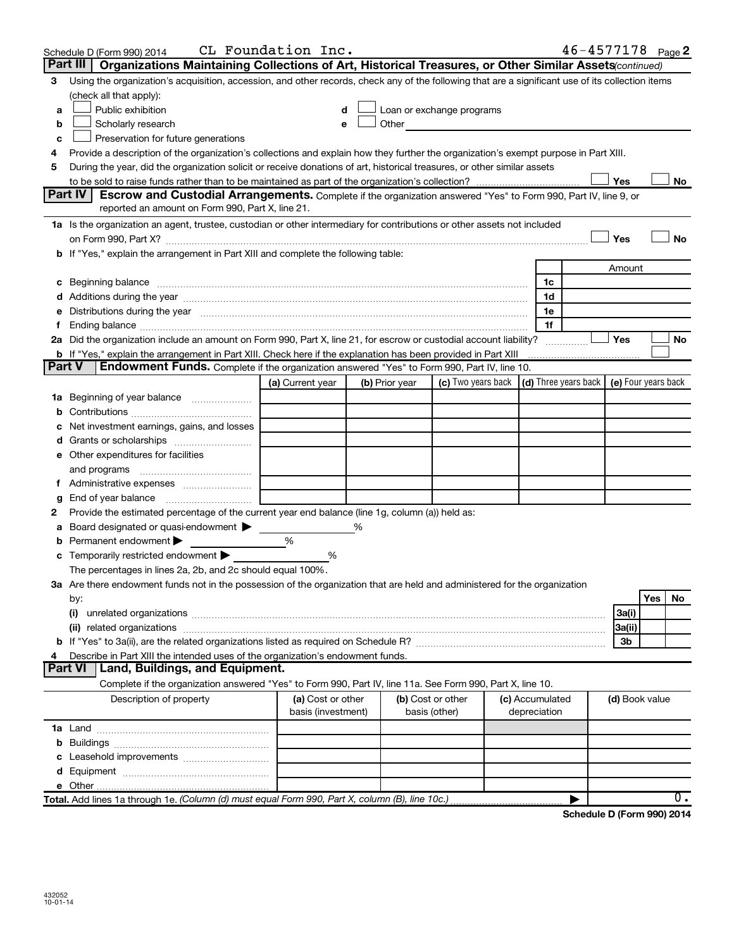|        | Schedule D (Form 990) 2014                                                                                                                                                                                                             | CL Foundation Inc.                      |                |                                    |                                 |    |                | $46 - 4577178$ Page 2                      |
|--------|----------------------------------------------------------------------------------------------------------------------------------------------------------------------------------------------------------------------------------------|-----------------------------------------|----------------|------------------------------------|---------------------------------|----|----------------|--------------------------------------------|
|        | Part III   Organizations Maintaining Collections of Art, Historical Treasures, or Other Similar Assets (continued)                                                                                                                     |                                         |                |                                    |                                 |    |                |                                            |
| 3      | Using the organization's acquisition, accession, and other records, check any of the following that are a significant use of its collection items                                                                                      |                                         |                |                                    |                                 |    |                |                                            |
|        | (check all that apply):                                                                                                                                                                                                                |                                         |                |                                    |                                 |    |                |                                            |
| a      | Public exhibition                                                                                                                                                                                                                      | d                                       |                | Loan or exchange programs          |                                 |    |                |                                            |
| b      | Scholarly research                                                                                                                                                                                                                     | е                                       | Other          |                                    |                                 |    |                |                                            |
| с      | Preservation for future generations                                                                                                                                                                                                    |                                         |                |                                    |                                 |    |                |                                            |
|        | Provide a description of the organization's collections and explain how they further the organization's exempt purpose in Part XIII.                                                                                                   |                                         |                |                                    |                                 |    |                |                                            |
| 5      | During the year, did the organization solicit or receive donations of art, historical treasures, or other similar assets                                                                                                               |                                         |                |                                    |                                 |    |                |                                            |
|        |                                                                                                                                                                                                                                        |                                         |                |                                    |                                 |    | Yes            | No                                         |
|        | <b>Part IV</b><br>Escrow and Custodial Arrangements. Complete if the organization answered "Yes" to Form 990, Part IV, line 9, or                                                                                                      |                                         |                |                                    |                                 |    |                |                                            |
|        | reported an amount on Form 990, Part X, line 21.                                                                                                                                                                                       |                                         |                |                                    |                                 |    |                |                                            |
|        | 1a Is the organization an agent, trustee, custodian or other intermediary for contributions or other assets not included                                                                                                               |                                         |                |                                    |                                 |    |                |                                            |
|        |                                                                                                                                                                                                                                        |                                         |                |                                    |                                 |    | Yes            | <b>No</b>                                  |
|        | b If "Yes," explain the arrangement in Part XIII and complete the following table:                                                                                                                                                     |                                         |                |                                    |                                 |    |                |                                            |
|        |                                                                                                                                                                                                                                        |                                         |                |                                    |                                 |    | Amount         |                                            |
|        |                                                                                                                                                                                                                                        |                                         |                |                                    |                                 | 1c |                |                                            |
|        |                                                                                                                                                                                                                                        |                                         |                |                                    |                                 | 1d |                |                                            |
|        | Distributions during the year manufactured and an account of the state of the state of the state of the state o                                                                                                                        |                                         |                |                                    |                                 | 1e |                |                                            |
|        | Ending balance <b>construction and construction of the construction of the construction of the construction</b>                                                                                                                        |                                         |                |                                    |                                 | 1f |                |                                            |
|        | 2a Did the organization include an amount on Form 990, Part X, line 21, for escrow or custodial account liability?                                                                                                                     |                                         |                |                                    |                                 |    | Yes            | <b>No</b>                                  |
|        | <b>b</b> If "Yes," explain the arrangement in Part XIII. Check here if the explanation has been provided in Part XIII                                                                                                                  |                                         |                |                                    |                                 |    |                |                                            |
| Part V | Endowment Funds. Complete if the organization answered "Yes" to Form 990, Part IV, line 10.                                                                                                                                            |                                         |                |                                    |                                 |    |                |                                            |
|        |                                                                                                                                                                                                                                        | (a) Current year                        | (b) Prior year | (c) Two years back                 |                                 |    |                | (d) Three years back   (e) Four years back |
|        | <b>1a</b> Beginning of year balance <i>manumeral</i>                                                                                                                                                                                   |                                         |                |                                    |                                 |    |                |                                            |
|        |                                                                                                                                                                                                                                        |                                         |                |                                    |                                 |    |                |                                            |
|        | Net investment earnings, gains, and losses                                                                                                                                                                                             |                                         |                |                                    |                                 |    |                |                                            |
|        |                                                                                                                                                                                                                                        |                                         |                |                                    |                                 |    |                |                                            |
|        | e Other expenditures for facilities                                                                                                                                                                                                    |                                         |                |                                    |                                 |    |                |                                            |
|        | and programs                                                                                                                                                                                                                           |                                         |                |                                    |                                 |    |                |                                            |
|        |                                                                                                                                                                                                                                        |                                         |                |                                    |                                 |    |                |                                            |
| g      | End of year balance                                                                                                                                                                                                                    |                                         |                |                                    |                                 |    |                |                                            |
| 2      | Provide the estimated percentage of the current year end balance (line 1g, column (a)) held as:                                                                                                                                        |                                         |                |                                    |                                 |    |                |                                            |
| а      | Board designated or quasi-endowment                                                                                                                                                                                                    |                                         | %              |                                    |                                 |    |                |                                            |
|        | Permanent endowment                                                                                                                                                                                                                    | %<br>%                                  |                |                                    |                                 |    |                |                                            |
|        | Temporarily restricted endowment                                                                                                                                                                                                       |                                         |                |                                    |                                 |    |                |                                            |
|        | The percentages in lines 2a, 2b, and 2c should equal 100%.<br>3a Are there endowment funds not in the possession of the organization that are held and administered for the organization                                               |                                         |                |                                    |                                 |    |                |                                            |
|        | by:                                                                                                                                                                                                                                    |                                         |                |                                    |                                 |    |                | Yes<br>No                                  |
|        | (i)                                                                                                                                                                                                                                    |                                         |                |                                    |                                 |    | 3a(i)          |                                            |
|        | (ii) related organizations [11] related organizations [11] related organizations [11] related organizations [11] related organizations [11] related organizations [11] related organizations [11] related or $\frac{1}{2}$ [1] $\frac$ |                                         |                |                                    |                                 |    | 3a(ii)         |                                            |
|        |                                                                                                                                                                                                                                        |                                         |                |                                    |                                 |    | 3b             |                                            |
|        | Describe in Part XIII the intended uses of the organization's endowment funds.                                                                                                                                                         |                                         |                |                                    |                                 |    |                |                                            |
|        | Land, Buildings, and Equipment.<br>Part VI                                                                                                                                                                                             |                                         |                |                                    |                                 |    |                |                                            |
|        | Complete if the organization answered "Yes" to Form 990, Part IV, line 11a. See Form 990, Part X, line 10.                                                                                                                             |                                         |                |                                    |                                 |    |                |                                            |
|        | Description of property                                                                                                                                                                                                                | (a) Cost or other<br>basis (investment) |                | (b) Cost or other<br>basis (other) | (c) Accumulated<br>depreciation |    | (d) Book value |                                            |
|        |                                                                                                                                                                                                                                        |                                         |                |                                    |                                 |    |                |                                            |
|        |                                                                                                                                                                                                                                        |                                         |                |                                    |                                 |    |                |                                            |
|        |                                                                                                                                                                                                                                        |                                         |                |                                    |                                 |    |                |                                            |
|        |                                                                                                                                                                                                                                        |                                         |                |                                    |                                 |    |                |                                            |
|        |                                                                                                                                                                                                                                        |                                         |                |                                    |                                 |    |                |                                            |
|        | Total. Add lines 1a through 1e. (Column (d) must equal Form 990, Part X, column (B), line 10c.)                                                                                                                                        |                                         |                |                                    |                                 |    |                | $0$ .                                      |
|        |                                                                                                                                                                                                                                        |                                         |                |                                    |                                 |    |                |                                            |

Schedule D (Form 990) 2014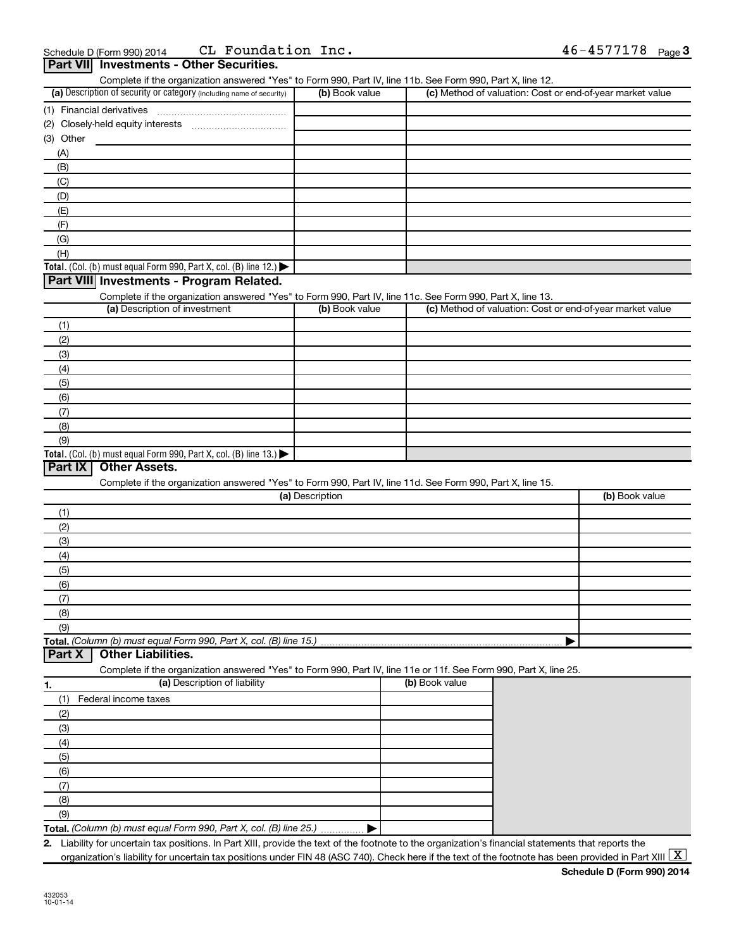| (3) Other<br>(A)<br>(B)<br>(C)<br>(D)<br>(E)<br>(F)<br>(G)<br>(H)<br>(1)<br>(2)<br>(3)<br>(4)<br>(5)<br>(6)<br>(7)<br>(8)<br>(9)<br>Total. (Col. (b) must equal Form 990, Part X, col. (B) line 13.)<br><b>Part IX</b> | Complete if the organization answered "Yes" to Form 990, Part IV, line 11b. See Form 990, Part X, line 12.<br>(a) Description of security or category (including name of security)<br>Total. (Col. (b) must equal Form 990, Part X, col. (B) line 12.)<br>Part VIII Investments - Program Related.<br>Complete if the organization answered "Yes" to Form 990, Part IV, line 11c. See Form 990, Part X, line 13.<br>(a) Description of investment | (b) Book value<br>(b) Book value |                |  | (c) Method of valuation: Cost or end-of-year market value<br>(c) Method of valuation: Cost or end-of-year market value |
|------------------------------------------------------------------------------------------------------------------------------------------------------------------------------------------------------------------------|---------------------------------------------------------------------------------------------------------------------------------------------------------------------------------------------------------------------------------------------------------------------------------------------------------------------------------------------------------------------------------------------------------------------------------------------------|----------------------------------|----------------|--|------------------------------------------------------------------------------------------------------------------------|
|                                                                                                                                                                                                                        |                                                                                                                                                                                                                                                                                                                                                                                                                                                   |                                  |                |  |                                                                                                                        |
|                                                                                                                                                                                                                        |                                                                                                                                                                                                                                                                                                                                                                                                                                                   |                                  |                |  |                                                                                                                        |
|                                                                                                                                                                                                                        |                                                                                                                                                                                                                                                                                                                                                                                                                                                   |                                  |                |  |                                                                                                                        |
|                                                                                                                                                                                                                        |                                                                                                                                                                                                                                                                                                                                                                                                                                                   |                                  |                |  |                                                                                                                        |
|                                                                                                                                                                                                                        |                                                                                                                                                                                                                                                                                                                                                                                                                                                   |                                  |                |  |                                                                                                                        |
|                                                                                                                                                                                                                        |                                                                                                                                                                                                                                                                                                                                                                                                                                                   |                                  |                |  |                                                                                                                        |
|                                                                                                                                                                                                                        |                                                                                                                                                                                                                                                                                                                                                                                                                                                   |                                  |                |  |                                                                                                                        |
|                                                                                                                                                                                                                        |                                                                                                                                                                                                                                                                                                                                                                                                                                                   |                                  |                |  |                                                                                                                        |
|                                                                                                                                                                                                                        |                                                                                                                                                                                                                                                                                                                                                                                                                                                   |                                  |                |  |                                                                                                                        |
|                                                                                                                                                                                                                        |                                                                                                                                                                                                                                                                                                                                                                                                                                                   |                                  |                |  |                                                                                                                        |
|                                                                                                                                                                                                                        |                                                                                                                                                                                                                                                                                                                                                                                                                                                   |                                  |                |  |                                                                                                                        |
|                                                                                                                                                                                                                        |                                                                                                                                                                                                                                                                                                                                                                                                                                                   |                                  |                |  |                                                                                                                        |
|                                                                                                                                                                                                                        |                                                                                                                                                                                                                                                                                                                                                                                                                                                   |                                  |                |  |                                                                                                                        |
|                                                                                                                                                                                                                        |                                                                                                                                                                                                                                                                                                                                                                                                                                                   |                                  |                |  |                                                                                                                        |
|                                                                                                                                                                                                                        |                                                                                                                                                                                                                                                                                                                                                                                                                                                   |                                  |                |  |                                                                                                                        |
|                                                                                                                                                                                                                        |                                                                                                                                                                                                                                                                                                                                                                                                                                                   |                                  |                |  |                                                                                                                        |
|                                                                                                                                                                                                                        |                                                                                                                                                                                                                                                                                                                                                                                                                                                   |                                  |                |  |                                                                                                                        |
|                                                                                                                                                                                                                        |                                                                                                                                                                                                                                                                                                                                                                                                                                                   |                                  |                |  |                                                                                                                        |
|                                                                                                                                                                                                                        |                                                                                                                                                                                                                                                                                                                                                                                                                                                   |                                  |                |  |                                                                                                                        |
|                                                                                                                                                                                                                        |                                                                                                                                                                                                                                                                                                                                                                                                                                                   |                                  |                |  |                                                                                                                        |
|                                                                                                                                                                                                                        |                                                                                                                                                                                                                                                                                                                                                                                                                                                   |                                  |                |  |                                                                                                                        |
|                                                                                                                                                                                                                        |                                                                                                                                                                                                                                                                                                                                                                                                                                                   |                                  |                |  |                                                                                                                        |
|                                                                                                                                                                                                                        |                                                                                                                                                                                                                                                                                                                                                                                                                                                   |                                  |                |  |                                                                                                                        |
|                                                                                                                                                                                                                        |                                                                                                                                                                                                                                                                                                                                                                                                                                                   |                                  |                |  |                                                                                                                        |
|                                                                                                                                                                                                                        |                                                                                                                                                                                                                                                                                                                                                                                                                                                   |                                  |                |  |                                                                                                                        |
|                                                                                                                                                                                                                        |                                                                                                                                                                                                                                                                                                                                                                                                                                                   |                                  |                |  |                                                                                                                        |
|                                                                                                                                                                                                                        | <b>Other Assets.</b><br>Complete if the organization answered "Yes" to Form 990, Part IV, line 11d. See Form 990, Part X, line 15.                                                                                                                                                                                                                                                                                                                | (a) Description                  |                |  | (b) Book value                                                                                                         |
| (1)                                                                                                                                                                                                                    |                                                                                                                                                                                                                                                                                                                                                                                                                                                   |                                  |                |  |                                                                                                                        |
| (2)                                                                                                                                                                                                                    |                                                                                                                                                                                                                                                                                                                                                                                                                                                   |                                  |                |  |                                                                                                                        |
| (3)                                                                                                                                                                                                                    |                                                                                                                                                                                                                                                                                                                                                                                                                                                   |                                  |                |  |                                                                                                                        |
| (4)                                                                                                                                                                                                                    |                                                                                                                                                                                                                                                                                                                                                                                                                                                   |                                  |                |  |                                                                                                                        |
| (5)                                                                                                                                                                                                                    |                                                                                                                                                                                                                                                                                                                                                                                                                                                   |                                  |                |  |                                                                                                                        |
| (6)                                                                                                                                                                                                                    |                                                                                                                                                                                                                                                                                                                                                                                                                                                   |                                  |                |  |                                                                                                                        |
| (7)                                                                                                                                                                                                                    |                                                                                                                                                                                                                                                                                                                                                                                                                                                   |                                  |                |  |                                                                                                                        |
| (8)                                                                                                                                                                                                                    |                                                                                                                                                                                                                                                                                                                                                                                                                                                   |                                  |                |  |                                                                                                                        |
| (9)                                                                                                                                                                                                                    |                                                                                                                                                                                                                                                                                                                                                                                                                                                   |                                  |                |  |                                                                                                                        |
| Part X                                                                                                                                                                                                                 | Total. (Column (b) must equal Form 990, Part X, col. (B) line 15.)<br><b>Other Liabilities.</b>                                                                                                                                                                                                                                                                                                                                                   |                                  |                |  |                                                                                                                        |
|                                                                                                                                                                                                                        | Complete if the organization answered "Yes" to Form 990, Part IV, line 11e or 11f. See Form 990, Part X, line 25.                                                                                                                                                                                                                                                                                                                                 |                                  |                |  |                                                                                                                        |
| 1.                                                                                                                                                                                                                     | (a) Description of liability                                                                                                                                                                                                                                                                                                                                                                                                                      |                                  | (b) Book value |  |                                                                                                                        |
| (1)                                                                                                                                                                                                                    | Federal income taxes                                                                                                                                                                                                                                                                                                                                                                                                                              |                                  |                |  |                                                                                                                        |
| (2)                                                                                                                                                                                                                    |                                                                                                                                                                                                                                                                                                                                                                                                                                                   |                                  |                |  |                                                                                                                        |
| (3)                                                                                                                                                                                                                    |                                                                                                                                                                                                                                                                                                                                                                                                                                                   |                                  |                |  |                                                                                                                        |
| (4)                                                                                                                                                                                                                    |                                                                                                                                                                                                                                                                                                                                                                                                                                                   |                                  |                |  |                                                                                                                        |
| (5)                                                                                                                                                                                                                    |                                                                                                                                                                                                                                                                                                                                                                                                                                                   |                                  |                |  |                                                                                                                        |
| (6)                                                                                                                                                                                                                    |                                                                                                                                                                                                                                                                                                                                                                                                                                                   |                                  |                |  |                                                                                                                        |
| (7)                                                                                                                                                                                                                    |                                                                                                                                                                                                                                                                                                                                                                                                                                                   |                                  |                |  |                                                                                                                        |
| (8)                                                                                                                                                                                                                    |                                                                                                                                                                                                                                                                                                                                                                                                                                                   |                                  |                |  |                                                                                                                        |
| (9)                                                                                                                                                                                                                    |                                                                                                                                                                                                                                                                                                                                                                                                                                                   |                                  |                |  |                                                                                                                        |
|                                                                                                                                                                                                                        | Total. (Column (b) must equal Form 990, Part X, col. (B) line 25.)                                                                                                                                                                                                                                                                                                                                                                                |                                  |                |  |                                                                                                                        |
|                                                                                                                                                                                                                        | 2. Liability for uncertain tax positions. In Part XIII, provide the text of the footnote to the organization's financial statements that reports the                                                                                                                                                                                                                                                                                              |                                  |                |  |                                                                                                                        |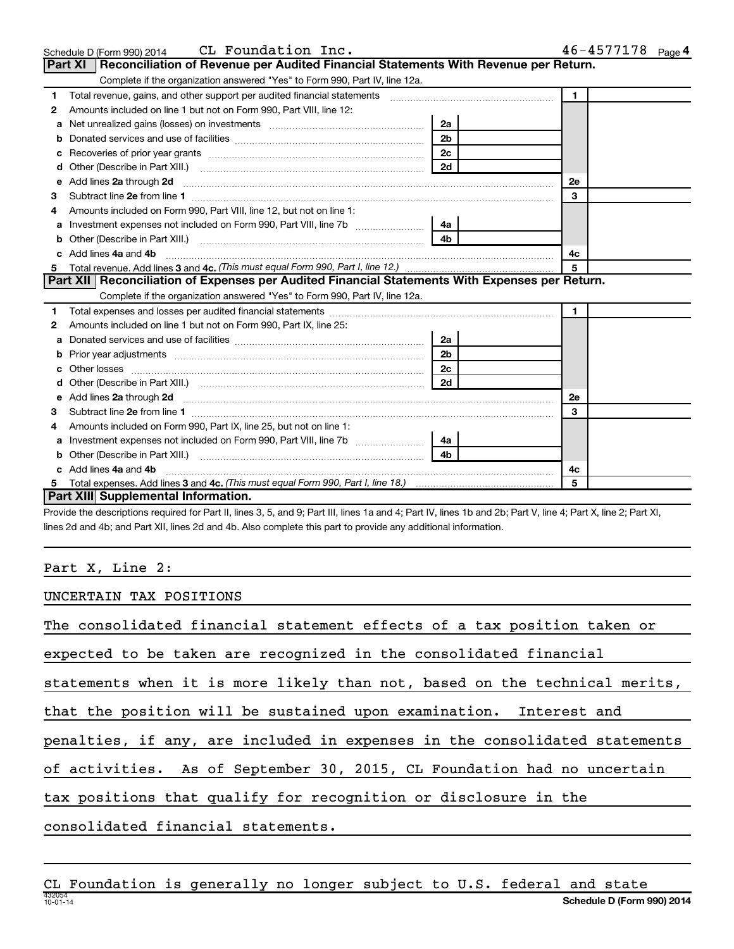|    | CL Foundation Inc.<br>Schedule D (Form 990) 2014                                                                                                                                                     |                | 46-4577178 Page 4 |
|----|------------------------------------------------------------------------------------------------------------------------------------------------------------------------------------------------------|----------------|-------------------|
|    | <b>Part XI</b><br>Reconciliation of Revenue per Audited Financial Statements With Revenue per Return.                                                                                                |                |                   |
|    | Complete if the organization answered "Yes" to Form 990, Part IV, line 12a.                                                                                                                          |                |                   |
| 1  | Total revenue, gains, and other support per audited financial statements [11] [11] Total revenue, gains, and other support per audited financial statements                                          |                | $\mathbf{1}$      |
| 2  | Amounts included on line 1 but not on Form 990, Part VIII, line 12:                                                                                                                                  |                |                   |
| a  | Net unrealized gains (losses) on investments [111] [12] matter and all the unrealized gains (losses) on investments                                                                                  | 2a             |                   |
| b  |                                                                                                                                                                                                      | 2 <sub>b</sub> |                   |
| с  | Recoveries of prior year grants [11] North Marcoveries (2016) [12] Recoveries of prior year grants                                                                                                   | 2c             |                   |
| d  | Other (Describe in Part XIII.)                                                                                                                                                                       | 2d             |                   |
| e  | Add lines 2a through 2d                                                                                                                                                                              |                | <b>2e</b>         |
| з  |                                                                                                                                                                                                      |                | 3                 |
|    | Amounts included on Form 990, Part VIII, line 12, but not on line 1:                                                                                                                                 |                |                   |
| a  | Investment expenses not included on Form 990, Part VIII, line 7b [1000000000000000000000000000000000                                                                                                 | 4a             |                   |
| b  | Other (Describe in Part XIII.)                                                                                                                                                                       | 4 <sub>b</sub> |                   |
| C. | Add lines 4a and 4b                                                                                                                                                                                  |                | 4с                |
| 5  |                                                                                                                                                                                                      |                | 5                 |
|    | Part XII Reconciliation of Expenses per Audited Financial Statements With Expenses per Return.                                                                                                       |                |                   |
|    | Complete if the organization answered "Yes" to Form 990, Part IV, line 12a.                                                                                                                          |                |                   |
| 1  | Total expenses and losses per audited financial statements [11] contain an intervention contained to the statements [11] and the statements and expenses and losses per audited financial statements |                | $\mathbf{1}$      |
| 2  | Amounts included on line 1 but not on Form 990, Part IX, line 25:                                                                                                                                    |                |                   |
| a  |                                                                                                                                                                                                      | 2a             |                   |
| b  | Prior year adjustments [ www.communications of the contract of the contract of the contract of the contract of                                                                                       | 2 <sub>b</sub> |                   |
|    | Other losses                                                                                                                                                                                         | 2c             |                   |
| d  | Other (Describe in Part XIII.) <b>COLOGIST: (2014)</b> [2015]                                                                                                                                        | 2d             |                   |
| е  | Add lines 2a through 2d                                                                                                                                                                              |                | <b>2e</b>         |
| з  |                                                                                                                                                                                                      |                | 3                 |
| 4  | Amounts included on Form 990, Part IX, line 25, but not on line 1:                                                                                                                                   |                |                   |
| a  | Investment expenses not included on Form 990, Part VIII, line 7b [1000000000000000000000000000000000                                                                                                 | 4a             |                   |
| b  |                                                                                                                                                                                                      | 4 <sub>h</sub> |                   |
| c. | Add lines 4a and 4b                                                                                                                                                                                  |                | 4c                |
| 5. |                                                                                                                                                                                                      |                | 5                 |
|    | <b>Part XIII</b> Supplemental Information.                                                                                                                                                           |                |                   |

Provide the descriptions required for Part II, lines 3, 5, and 9; Part III, lines 1a and 4; Part IV, lines 1b and 2b; Part V, line 4; Part X, line 2; Part XI, lines 2d and 4b; and Part XII, lines 2d and 4b. Also complete this part to provide any additional information.

### Part X, Line  $2:$

### UNCERTAIN TAX POSITIONS

| The consolidated financial statement effects of a tax position taken or    |
|----------------------------------------------------------------------------|
| expected to be taken are recognized in the consolidated financial          |
| statements when it is more likely than not, based on the technical merits, |
| that the position will be sustained upon examination. Interest and         |
| penalties, if any, are included in expenses in the consolidated statements |
| of activities. As of September 30, 2015, CL Foundation had no uncertain    |
| tax positions that qualify for recognition or disclosure in the            |
| consolidated financial statements.                                         |

432054<br>10-01-14 Schedule D (Form 990) 2014 CL Foundation is generally no longer subject to U.S. federal and state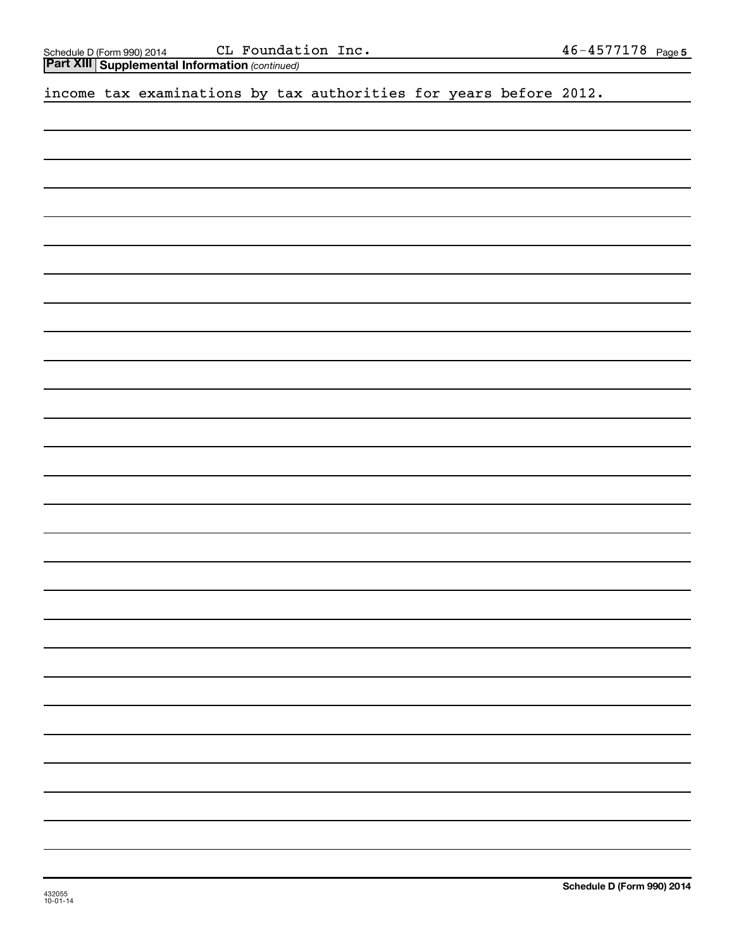| income tax examinations by tax authorities for years before 2012. |  |  |  |  |  |  |  |  |  |  |
|-------------------------------------------------------------------|--|--|--|--|--|--|--|--|--|--|
|-------------------------------------------------------------------|--|--|--|--|--|--|--|--|--|--|

(continued)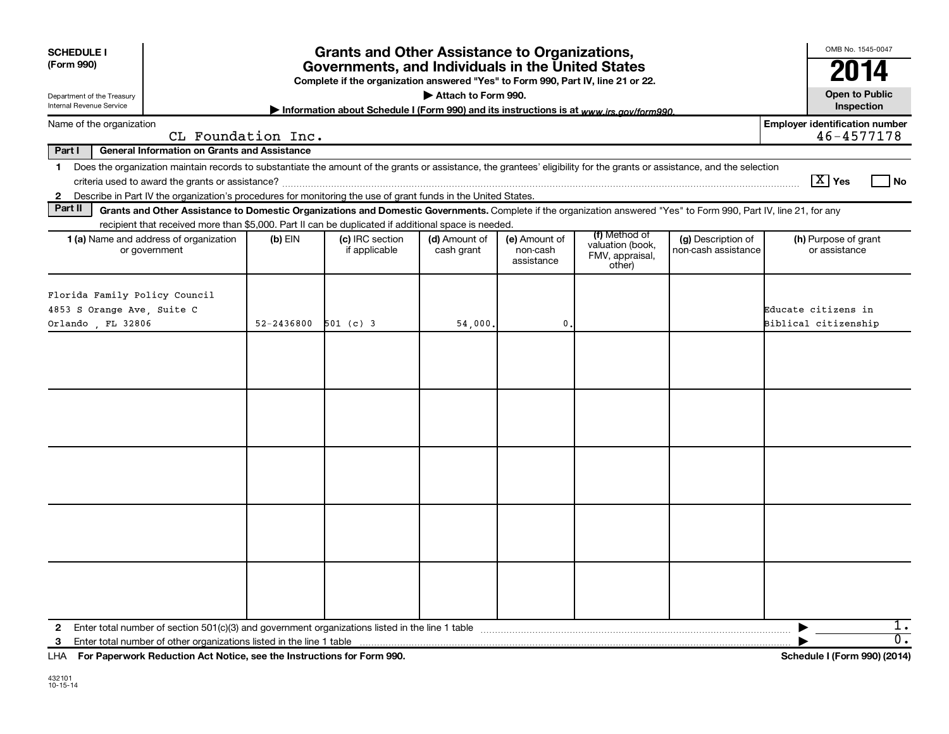| <b>SCHEDULE I</b><br>(Form 990)                             |                                                                                                                                                                                                                                                                                                                                               |            | <b>Grants and Other Assistance to Organizations,</b><br>Governments, and Individuals in the United States<br>Complete if the organization answered "Yes" to Form 990, Part IV, line 21 or 22. | Attach to Form 990.         |                                         |                                                                |                                           | OMB No. 1545-0047<br>2014<br><b>Open to Public</b>     |
|-------------------------------------------------------------|-----------------------------------------------------------------------------------------------------------------------------------------------------------------------------------------------------------------------------------------------------------------------------------------------------------------------------------------------|------------|-----------------------------------------------------------------------------------------------------------------------------------------------------------------------------------------------|-----------------------------|-----------------------------------------|----------------------------------------------------------------|-------------------------------------------|--------------------------------------------------------|
| Department of the Treasury<br>Internal Revenue Service      |                                                                                                                                                                                                                                                                                                                                               |            | Information about Schedule I (Form 990) and its instructions is at www.irs.gov/form990.                                                                                                       |                             |                                         |                                                                |                                           | Inspection                                             |
| Name of the organization                                    | CL Foundation Inc.                                                                                                                                                                                                                                                                                                                            |            |                                                                                                                                                                                               |                             |                                         |                                                                |                                           | <b>Employer identification number</b><br>46-4577178    |
| Part I                                                      | <b>General Information on Grants and Assistance</b>                                                                                                                                                                                                                                                                                           |            |                                                                                                                                                                                               |                             |                                         |                                                                |                                           |                                                        |
| $\mathbf 1$<br>$\mathbf{2}$                                 | Does the organization maintain records to substantiate the amount of the grants or assistance, the grantees' eligibility for the grants or assistance, and the selection<br>criteria used to award the grants or assistance?<br>Describe in Part IV the organization's procedures for monitoring the use of grant funds in the United States. |            |                                                                                                                                                                                               |                             |                                         |                                                                |                                           | $\boxed{\text{X}}$ Yes<br>l No                         |
| Part II                                                     | Grants and Other Assistance to Domestic Organizations and Domestic Governments. Complete if the organization answered "Yes" to Form 990, Part IV, line 21, for any                                                                                                                                                                            |            |                                                                                                                                                                                               |                             |                                         |                                                                |                                           |                                                        |
|                                                             | recipient that received more than \$5,000. Part II can be duplicated if additional space is needed.                                                                                                                                                                                                                                           |            |                                                                                                                                                                                               |                             |                                         |                                                                |                                           |                                                        |
|                                                             | 1 (a) Name and address of organization<br>or government                                                                                                                                                                                                                                                                                       | $(b)$ EIN  | (c) IRC section<br>if applicable                                                                                                                                                              | (d) Amount of<br>cash grant | (e) Amount of<br>non-cash<br>assistance | (f) Method of<br>valuation (book,<br>FMV, appraisal,<br>other) | (g) Description of<br>non-cash assistance | (h) Purpose of grant<br>or assistance                  |
| Florida Family Policy Council<br>4853 S Orange Ave, Suite C |                                                                                                                                                                                                                                                                                                                                               |            |                                                                                                                                                                                               |                             |                                         |                                                                |                                           | Educate citizens in                                    |
| Orlando , FL 32806                                          |                                                                                                                                                                                                                                                                                                                                               | 52-2436800 | $501$ (c) 3                                                                                                                                                                                   | 54,000,                     | 0.                                      |                                                                |                                           | Biblical citizenship                                   |
|                                                             |                                                                                                                                                                                                                                                                                                                                               |            |                                                                                                                                                                                               |                             |                                         |                                                                |                                           |                                                        |
|                                                             |                                                                                                                                                                                                                                                                                                                                               |            |                                                                                                                                                                                               |                             |                                         |                                                                |                                           |                                                        |
|                                                             |                                                                                                                                                                                                                                                                                                                                               |            |                                                                                                                                                                                               |                             |                                         |                                                                |                                           |                                                        |
|                                                             |                                                                                                                                                                                                                                                                                                                                               |            |                                                                                                                                                                                               |                             |                                         |                                                                |                                           |                                                        |
| 2<br>3<br>LHA                                               | Enter total number of section 501(c)(3) and government organizations listed in the line 1 table<br>Enter total number of other organizations listed in the line 1 table<br>For Paperwork Reduction Act Notice, see the Instructions for Form 990.                                                                                             |            |                                                                                                                                                                                               |                             |                                         |                                                                |                                           | 1.<br>$\overline{0}$ .<br>Schedule I (Form 990) (2014) |
|                                                             |                                                                                                                                                                                                                                                                                                                                               |            |                                                                                                                                                                                               |                             |                                         |                                                                |                                           |                                                        |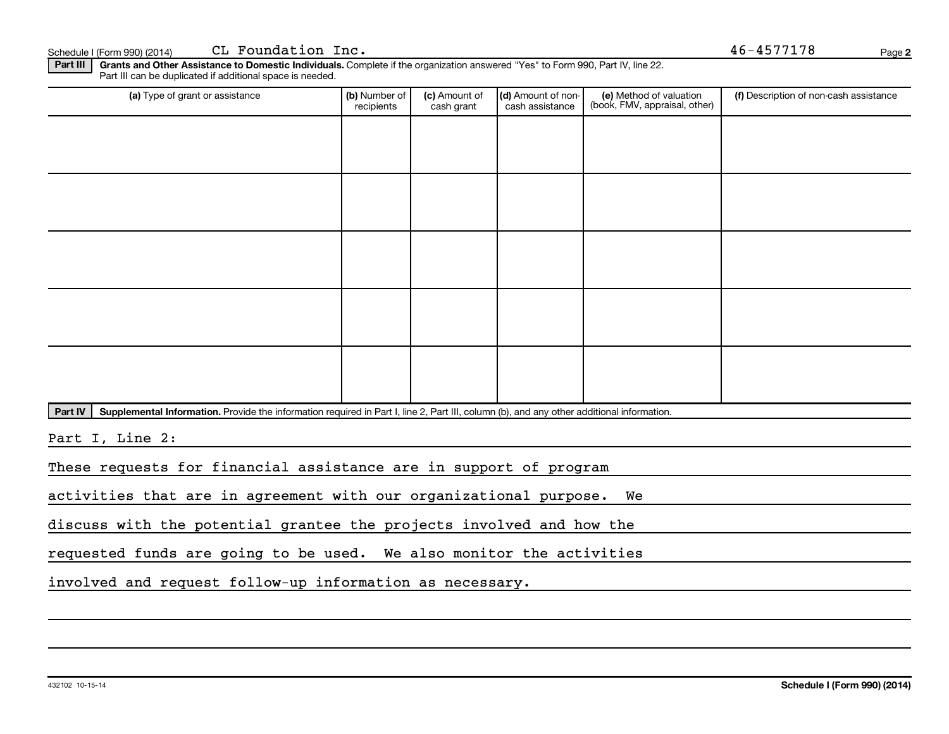p <sup>f</sup> Ec

CL Foundation Inc. c~ fK QSJQRTTNTU

Page 2

Part III t III Grants and Other Assistance to Domestic Individuals.<br>Rest III can be duplicated if additional appea in peodod. m 990) (2014) CLFOUNQUION INC.<br>Ants and Other Assistance to Domestic Individuals. Complete if the organization answered "Yes" to Form 990, Part IV, line 22.<br>The duplicated if additional space is needed Part III can be duplicated if additional space is needed.<br>

| (a) Type of grant or assistance | (b) Number of<br>recipients | (c) Amount of<br>cash grant | (d) Amount of non-<br>cash assistance | (e) Method of valuation<br>(book, FMV, appraisal, other) | (f) Description of non-cash assistance |
|---------------------------------|-----------------------------|-----------------------------|---------------------------------------|----------------------------------------------------------|----------------------------------------|
|                                 |                             |                             |                                       |                                                          |                                        |
|                                 |                             |                             |                                       |                                                          |                                        |
|                                 |                             |                             |                                       |                                                          |                                        |
|                                 |                             |                             |                                       |                                                          |                                        |
|                                 |                             |                             |                                       |                                                          |                                        |
|                                 |                             |                             |                                       |                                                          |                                        |
|                                 |                             |                             |                                       |                                                          |                                        |
|                                 |                             |                             |                                       |                                                          |                                        |
|                                 |                             |                             |                                       |                                                          |                                        |
|                                 |                             |                             |                                       |                                                          |                                        |

Part IV | Supplemental Information. Provide the information required in Part I, line 2, Part III, column (b), and any other additional information.<br>

<u>Part I, Line 2:</u>

These requests for financial assistance are in support of program

activities that are in agreement with our organizational purpose. We

discuss with the potential grantee the projects involved and how the

requested funds are going to be used. We also monitor the activities

involved and request follow-up information as necessary.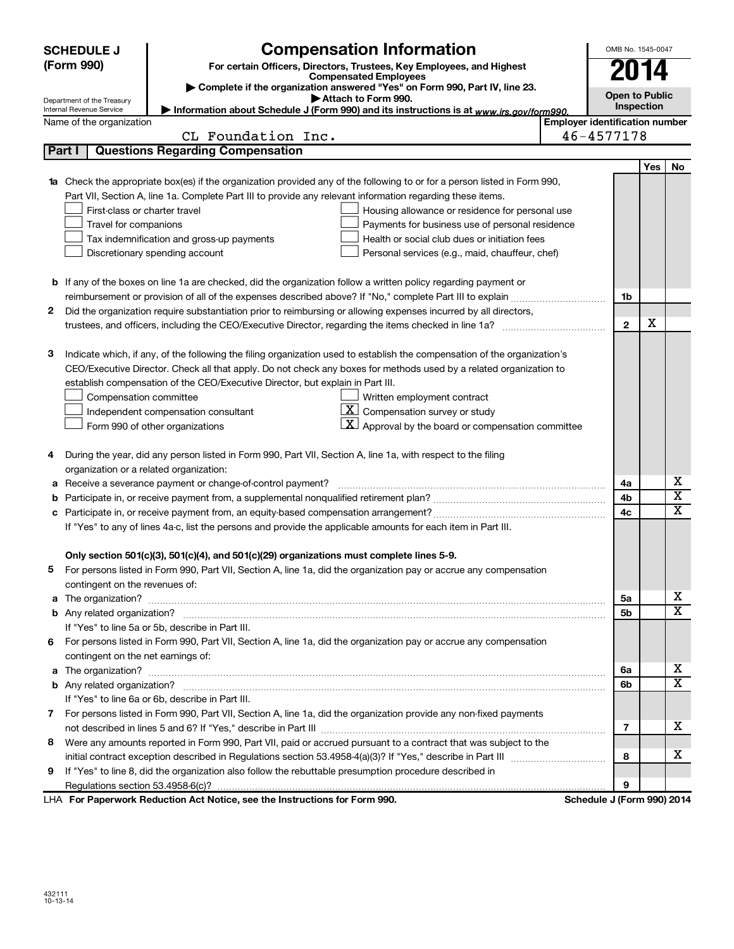|        | <b>SCHEDULE J</b><br>(Form 990)                        | <b>Compensation Information</b><br>For certain Officers, Directors, Trustees, Key Employees, and Highest<br><b>Compensated Employees</b> |                                       | OMB No. 1545-0047     |     |                              |
|--------|--------------------------------------------------------|------------------------------------------------------------------------------------------------------------------------------------------|---------------------------------------|-----------------------|-----|------------------------------|
|        |                                                        | Complete if the organization answered "Yes" on Form 990, Part IV, line 23.<br>Attach to Form 990.                                        |                                       | <b>Open to Public</b> |     |                              |
|        | Department of the Treasury<br>Internal Revenue Service | Information about Schedule J (Form 990) and its instructions is at www.irs.gov/form990.                                                  |                                       | Inspection            |     |                              |
|        | Name of the organization                               |                                                                                                                                          | <b>Employer identification number</b> |                       |     |                              |
|        |                                                        | CL Foundation Inc.                                                                                                                       | 46-4577178                            |                       |     |                              |
| Part I |                                                        | <b>Questions Regarding Compensation</b>                                                                                                  |                                       |                       |     |                              |
|        |                                                        |                                                                                                                                          |                                       |                       | Yes | No                           |
|        |                                                        | <b>1a</b> Check the appropriate box(es) if the organization provided any of the following to or for a person listed in Form 990,         |                                       |                       |     |                              |
|        |                                                        | Part VII, Section A, line 1a. Complete Part III to provide any relevant information regarding these items.                               |                                       |                       |     |                              |
|        | First-class or charter travel                          | Housing allowance or residence for personal use                                                                                          |                                       |                       |     |                              |
|        | Travel for companions                                  | Payments for business use of personal residence                                                                                          |                                       |                       |     |                              |
|        |                                                        | Health or social club dues or initiation fees<br>Tax indemnification and gross-up payments                                               |                                       |                       |     |                              |
|        |                                                        | Discretionary spending account<br>Personal services (e.g., maid, chauffeur, chef)                                                        |                                       |                       |     |                              |
|        |                                                        |                                                                                                                                          |                                       |                       |     |                              |
|        |                                                        | <b>b</b> If any of the boxes on line 1a are checked, did the organization follow a written policy regarding payment or                   |                                       |                       |     |                              |
|        |                                                        |                                                                                                                                          |                                       | 1b                    |     |                              |
| 2      |                                                        | Did the organization require substantiation prior to reimbursing or allowing expenses incurred by all directors,                         |                                       |                       | X   |                              |
|        |                                                        | trustees, and officers, including the CEO/Executive Director, regarding the items checked in line 1a?                                    |                                       | $\overline{2}$        |     |                              |
| з      |                                                        | Indicate which, if any, of the following the filing organization used to establish the compensation of the organization's                |                                       |                       |     |                              |
|        |                                                        | CEO/Executive Director. Check all that apply. Do not check any boxes for methods used by a related organization to                       |                                       |                       |     |                              |
|        |                                                        | establish compensation of the CEO/Executive Director, but explain in Part III.                                                           |                                       |                       |     |                              |
|        | Compensation committee                                 | Written employment contract                                                                                                              |                                       |                       |     |                              |
|        |                                                        | X  <br>Compensation survey or study<br>Independent compensation consultant                                                               |                                       |                       |     |                              |
|        |                                                        | $\lfloor \underline{\textbf{X}} \rfloor$ Approval by the board or compensation committee<br>Form 990 of other organizations              |                                       |                       |     |                              |
|        |                                                        |                                                                                                                                          |                                       |                       |     |                              |
| 4      |                                                        | During the year, did any person listed in Form 990, Part VII, Section A, line 1a, with respect to the filing                             |                                       |                       |     |                              |
|        | organization or a related organization:                |                                                                                                                                          |                                       |                       |     |                              |
| а      |                                                        | Receive a severance payment or change-of-control payment?                                                                                |                                       | 4a                    |     | х                            |
| b      |                                                        |                                                                                                                                          |                                       | 4b                    |     | $\overline{\mathbf{X}}$      |
| с      |                                                        |                                                                                                                                          |                                       | 4c                    |     | $\overline{\texttt{x}}$      |
|        |                                                        | If "Yes" to any of lines 4a-c, list the persons and provide the applicable amounts for each item in Part III.                            |                                       |                       |     |                              |
|        |                                                        |                                                                                                                                          |                                       |                       |     |                              |
|        |                                                        | Only section 501(c)(3), 501(c)(4), and 501(c)(29) organizations must complete lines 5-9.                                                 |                                       |                       |     |                              |
|        |                                                        | For persons listed in Form 990, Part VII, Section A, line 1a, did the organization pay or accrue any compensation                        |                                       |                       |     |                              |
|        | contingent on the revenues of:                         |                                                                                                                                          |                                       |                       |     |                              |
|        |                                                        |                                                                                                                                          |                                       | 5a                    |     | х                            |
|        |                                                        |                                                                                                                                          |                                       | 5b                    |     | $\overline{\mathbf{x}}$      |
|        |                                                        | If "Yes" to line 5a or 5b, describe in Part III.                                                                                         |                                       |                       |     |                              |
| 6      |                                                        | For persons listed in Form 990, Part VII, Section A, line 1a, did the organization pay or accrue any compensation                        |                                       |                       |     |                              |
|        | contingent on the net earnings of:                     |                                                                                                                                          |                                       |                       |     |                              |
| a      |                                                        |                                                                                                                                          |                                       | 6а                    |     | х<br>$\overline{\mathbf{X}}$ |
|        |                                                        |                                                                                                                                          |                                       | 6b                    |     |                              |
|        |                                                        | If "Yes" to line 6a or 6b, describe in Part III.                                                                                         |                                       |                       |     |                              |
| 7      |                                                        | For persons listed in Form 990, Part VII, Section A, line 1a, did the organization provide any non-fixed payments                        |                                       |                       |     | х                            |
|        |                                                        |                                                                                                                                          |                                       | 7                     |     |                              |
| 8      |                                                        | Were any amounts reported in Form 990, Part VII, paid or accrued pursuant to a contract that was subject to the                          |                                       |                       |     | х                            |
|        |                                                        |                                                                                                                                          |                                       | 8                     |     |                              |
| 9      |                                                        | If "Yes" to line 8, did the organization also follow the rebuttable presumption procedure described in                                   |                                       |                       |     |                              |
|        |                                                        | Donovuouk Deduction Aet Netice, ess the Instructions for Form 000                                                                        | Cahadula, UEaum 0001.0014             | 9                     |     |                              |

LHA For Paperwork Reduction Act Notice, see the Instructions for Form 990. Schedule J (Form 990) 2014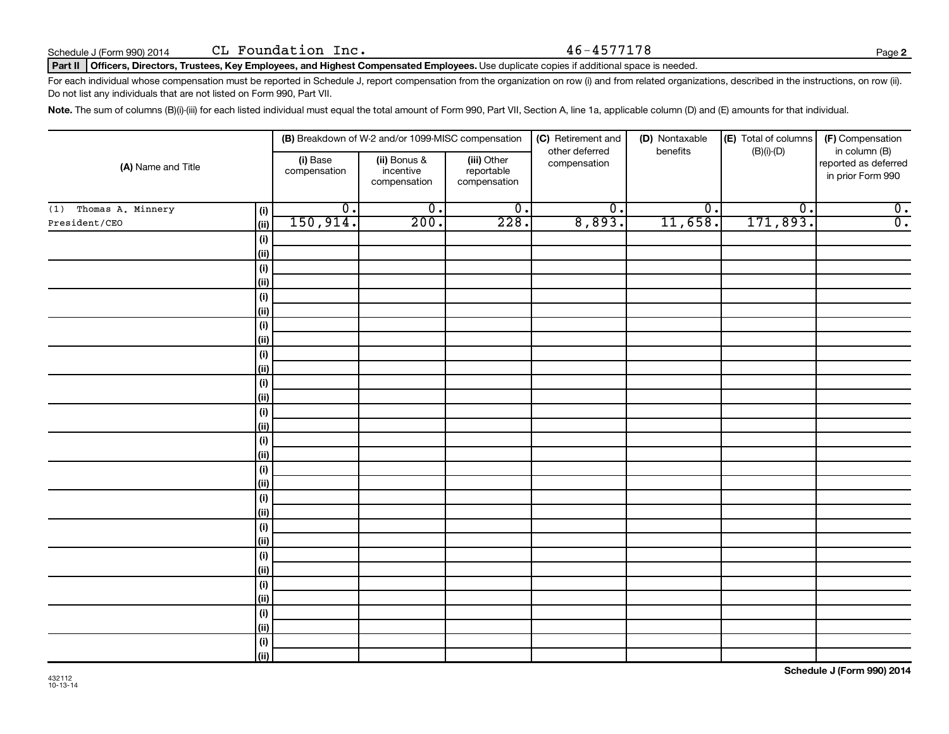#### Part II | Officers, Directors, Trustees, Key Employees, and Highest Compensated Employees.<br>. m 990) 2014 CL FOUNQUION INC.<br>Page (1990) 2014 CL FOUNQUION INC. The Compensated Employees. Use duplicate copies if additional space is needed. L Foundation Inc. 46-4577178

For each individual whose compensation must be reported in Schedule J, report compensation from the organization on row (i) and from related organizations, described in the instructions, on row (ii).<br>De not list any indivi a ~ ~ ~ ~ c VVMI m~ sffK

 $\sf Note.$  The sum of columns (B)(i)-(iii) for each listed individual must equal the total amount of Form 990, Part VII, Section A, line 1a, applicable column (D) and (E) amounts for that individual.<br>

|                       |                    |                          | (B) Breakdown of W-2 and/or 1099-MISC compensation |                                           | (C) Retirement and<br>other deferred | (D) Nontaxable<br>benefits  | (E) Total of columns        | (F) Compensation<br>in column (B)         |
|-----------------------|--------------------|--------------------------|----------------------------------------------------|-------------------------------------------|--------------------------------------|-----------------------------|-----------------------------|-------------------------------------------|
| (A) Name and Title    |                    | (i) Base<br>compensation | (ii) Bonus &<br>incentive<br>compensation          | (iii) Other<br>reportable<br>compensation | compensation                         |                             | $(B)(i)-(D)$                | reported as deferred<br>in prior Form 990 |
| (1) Thomas A. Minnery | (i)                | $\overline{0}$ .         | $\overline{0}$ .                                   | $\overline{0}$ .                          | $\overline{\mathfrak{o}}$ .          | $\overline{\mathfrak{o}}$ . | $\overline{\mathfrak{o}}$ . | $\overline{0}$ .                          |
| President/CEO         | (ii)               | 150, 914.                | 200.                                               | 228.                                      | 8,893.                               | 11,658.                     | 171,893.                    | $\overline{0}$ .                          |
|                       | (i)                |                          |                                                    |                                           |                                      |                             |                             |                                           |
|                       | (ii)               |                          |                                                    |                                           |                                      |                             |                             |                                           |
|                       | $(\sf{i})$         |                          |                                                    |                                           |                                      |                             |                             |                                           |
|                       | (ii)               |                          |                                                    |                                           |                                      |                             |                             |                                           |
|                       | $(\sf{i})$         |                          |                                                    |                                           |                                      |                             |                             |                                           |
|                       | (ii)               |                          |                                                    |                                           |                                      |                             |                             |                                           |
|                       | $(\sf{i})$         |                          |                                                    |                                           |                                      |                             |                             |                                           |
|                       | (ii)               |                          |                                                    |                                           |                                      |                             |                             |                                           |
|                       | $(\sf{i})$         |                          |                                                    |                                           |                                      |                             |                             |                                           |
|                       | (ii)               |                          |                                                    |                                           |                                      |                             |                             |                                           |
|                       | $(\sf{i})$         |                          |                                                    |                                           |                                      |                             |                             |                                           |
|                       | (ii)               |                          |                                                    |                                           |                                      |                             |                             |                                           |
|                       | $(\sf{i})$         |                          |                                                    |                                           |                                      |                             |                             |                                           |
|                       | (ii)               |                          |                                                    |                                           |                                      |                             |                             |                                           |
|                       | $(\sf{i})$<br>(ii) |                          |                                                    |                                           |                                      |                             |                             |                                           |
|                       | $(\sf{i})$         |                          |                                                    |                                           |                                      |                             |                             |                                           |
|                       | (ii)               |                          |                                                    |                                           |                                      |                             |                             |                                           |
|                       | $(\sf{i})$         |                          |                                                    |                                           |                                      |                             |                             |                                           |
|                       | (ii)               |                          |                                                    |                                           |                                      |                             |                             |                                           |
|                       | $(\sf{i})$         |                          |                                                    |                                           |                                      |                             |                             |                                           |
|                       | (ii)               |                          |                                                    |                                           |                                      |                             |                             |                                           |
|                       | $(\sf{i})$         |                          |                                                    |                                           |                                      |                             |                             |                                           |
|                       | (ii)               |                          |                                                    |                                           |                                      |                             |                             |                                           |
|                       | $(\sf{i})$         |                          |                                                    |                                           |                                      |                             |                             |                                           |
|                       | (ii)               |                          |                                                    |                                           |                                      |                             |                             |                                           |
|                       | $(\sf{i})$         |                          |                                                    |                                           |                                      |                             |                             |                                           |
|                       | (ii)               |                          |                                                    |                                           |                                      |                             |                             |                                           |
|                       | $(\sf{i})$         |                          |                                                    |                                           |                                      |                             |                             |                                           |
|                       | (ii)               |                          |                                                    |                                           |                                      |                             |                             |                                           |

Page 2

| ミツョ<br>. . |  |
|------------|--|
|            |  |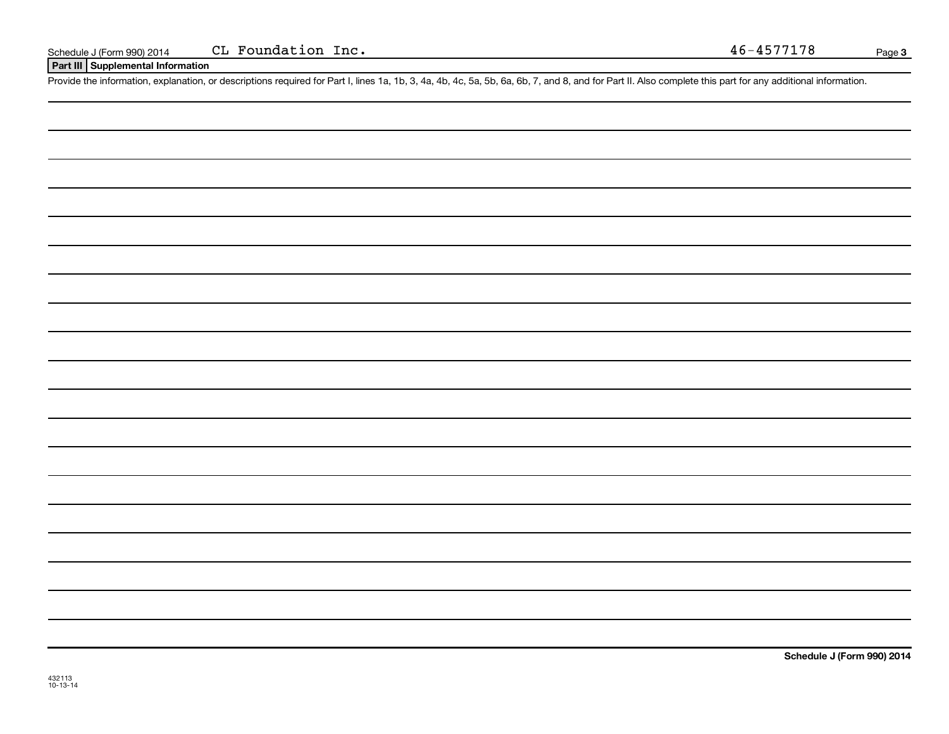Part III | Supplemental Information

Provide the information, explanation, or descriptions required for Part I, lines 1a, 1b, 3, 4a, 4b, 4c, 5a, 5b, 6a, 6b, 7, and 8, and for Part II. Also complete this part for any additional information.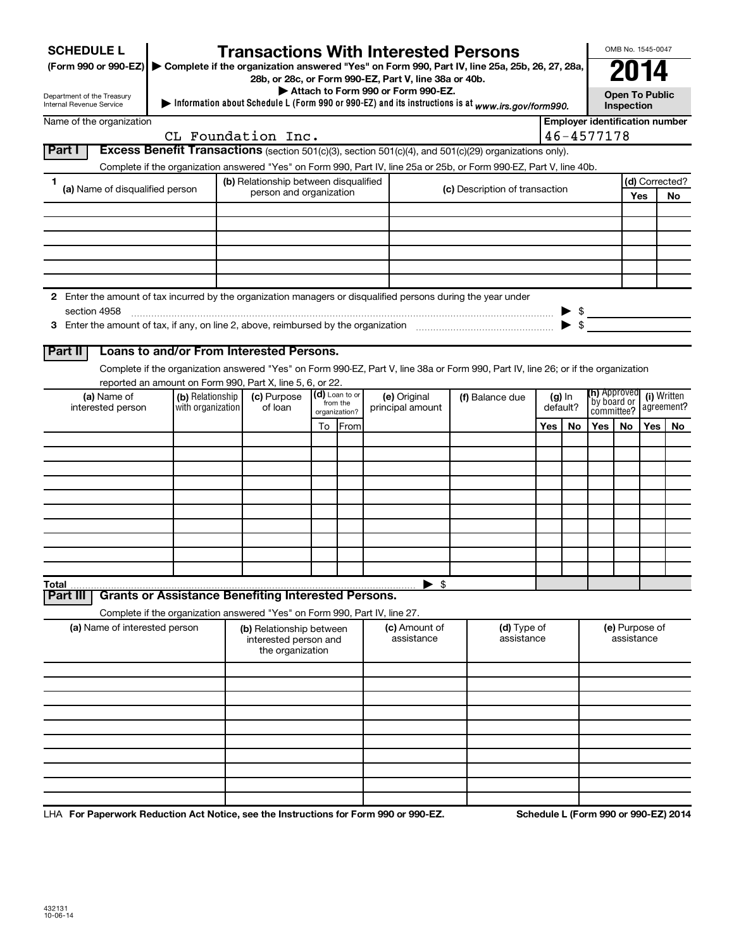| <b>SCHEDULE L</b>                                                                                                    |                                       | <b>Transactions With Interested Persons</b>                                |    |                            |                                    |                                                                                                                                    |     |                                                                                 |                     |                                       | OMB No. 1545-0047     |                |  |
|----------------------------------------------------------------------------------------------------------------------|---------------------------------------|----------------------------------------------------------------------------|----|----------------------------|------------------------------------|------------------------------------------------------------------------------------------------------------------------------------|-----|---------------------------------------------------------------------------------|---------------------|---------------------------------------|-----------------------|----------------|--|
| (Form 990 or 990-EZ) ▶ Complete if the organization answered "Yes" on Form 990, Part IV, line 25a, 25b, 26, 27, 28a, |                                       |                                                                            |    |                            |                                    |                                                                                                                                    |     |                                                                                 |                     |                                       |                       |                |  |
| Department of the Treasury                                                                                           |                                       | 28b, or 28c, or Form 990-EZ, Part V, line 38a or 40b.                      |    |                            | Attach to Form 990 or Form 990-EZ. |                                                                                                                                    |     |                                                                                 |                     |                                       | <b>Open To Public</b> |                |  |
| Internal Revenue Service                                                                                             |                                       |                                                                            |    |                            |                                    | Information about Schedule L (Form 990 or 990-EZ) and its instructions is at www.irs.gov/form990.                                  |     |                                                                                 |                     | Inspection                            |                       |                |  |
| Name of the organization                                                                                             |                                       | CL Foundation Inc.                                                         |    |                            |                                    |                                                                                                                                    |     |                                                                                 | $46 - 4577178$      | <b>Employer identification number</b> |                       |                |  |
| <b>Part I</b>                                                                                                        |                                       |                                                                            |    |                            |                                    | Excess Benefit Transactions (section 501(c)(3), section 501(c)(4), and 501(c)(29) organizations only).                             |     |                                                                                 |                     |                                       |                       |                |  |
|                                                                                                                      |                                       |                                                                            |    |                            |                                    | Complete if the organization answered "Yes" on Form 990, Part IV, line 25a or 25b, or Form 990-EZ, Part V, line 40b.               |     |                                                                                 |                     |                                       |                       |                |  |
| 1                                                                                                                    |                                       | (b) Relationship between disqualified                                      |    |                            |                                    |                                                                                                                                    |     |                                                                                 |                     |                                       |                       | (d) Corrected? |  |
| (a) Name of disqualified person                                                                                      |                                       | person and organization                                                    |    |                            |                                    | (c) Description of transaction                                                                                                     |     |                                                                                 |                     |                                       | <b>Yes</b>            | No             |  |
|                                                                                                                      |                                       |                                                                            |    |                            |                                    |                                                                                                                                    |     |                                                                                 |                     |                                       |                       |                |  |
|                                                                                                                      |                                       |                                                                            |    |                            |                                    |                                                                                                                                    |     |                                                                                 |                     |                                       |                       |                |  |
|                                                                                                                      |                                       |                                                                            |    |                            |                                    |                                                                                                                                    |     |                                                                                 |                     |                                       |                       |                |  |
|                                                                                                                      |                                       |                                                                            |    |                            |                                    |                                                                                                                                    |     |                                                                                 |                     |                                       |                       |                |  |
|                                                                                                                      |                                       |                                                                            |    |                            |                                    |                                                                                                                                    |     |                                                                                 |                     |                                       |                       |                |  |
| 2 Enter the amount of tax incurred by the organization managers or disqualified persons during the year under        |                                       |                                                                            |    |                            |                                    |                                                                                                                                    |     |                                                                                 |                     |                                       |                       |                |  |
| section 4958                                                                                                         |                                       |                                                                            |    |                            |                                    |                                                                                                                                    |     |                                                                                 |                     |                                       |                       |                |  |
|                                                                                                                      |                                       |                                                                            |    |                            |                                    |                                                                                                                                    |     |                                                                                 |                     |                                       |                       |                |  |
| Part II                                                                                                              |                                       | Loans to and/or From Interested Persons.                                   |    |                            |                                    |                                                                                                                                    |     |                                                                                 |                     |                                       |                       |                |  |
|                                                                                                                      |                                       |                                                                            |    |                            |                                    | Complete if the organization answered "Yes" on Form 990-EZ, Part V, line 38a or Form 990, Part IV, line 26; or if the organization |     |                                                                                 |                     |                                       |                       |                |  |
|                                                                                                                      |                                       | reported an amount on Form 990, Part X, line 5, 6, or 22.                  |    |                            |                                    |                                                                                                                                    |     |                                                                                 | <b>(h)</b> Approved |                                       |                       |                |  |
| (a) Name of<br>interested person                                                                                     | (b) Relationship<br>with organization | (c) Purpose<br>of loan                                                     |    | (d) Loan to or<br>from the | (e) Original<br>principal amount   | (f) Balance due                                                                                                                    |     | (i) Written<br>$(g)$ In<br>`by board or<br>default?<br>agreement?<br>committee? |                     |                                       |                       |                |  |
|                                                                                                                      |                                       |                                                                            | To | organization?<br>From      |                                    |                                                                                                                                    | Yes | No                                                                              | Yes                 | No                                    | <b>Yes</b>            | No             |  |
|                                                                                                                      |                                       |                                                                            |    |                            |                                    |                                                                                                                                    |     |                                                                                 |                     |                                       |                       |                |  |
|                                                                                                                      |                                       |                                                                            |    |                            |                                    |                                                                                                                                    |     |                                                                                 |                     |                                       |                       |                |  |
|                                                                                                                      |                                       |                                                                            |    |                            |                                    |                                                                                                                                    |     |                                                                                 |                     |                                       |                       |                |  |
|                                                                                                                      |                                       |                                                                            |    |                            |                                    |                                                                                                                                    |     |                                                                                 |                     |                                       |                       |                |  |
|                                                                                                                      |                                       |                                                                            |    |                            |                                    |                                                                                                                                    |     |                                                                                 |                     |                                       |                       |                |  |
|                                                                                                                      |                                       |                                                                            |    |                            |                                    |                                                                                                                                    |     |                                                                                 |                     |                                       |                       |                |  |
|                                                                                                                      |                                       |                                                                            |    |                            |                                    |                                                                                                                                    |     |                                                                                 |                     |                                       |                       |                |  |
|                                                                                                                      |                                       |                                                                            |    |                            |                                    |                                                                                                                                    |     |                                                                                 |                     |                                       |                       |                |  |
|                                                                                                                      |                                       |                                                                            |    |                            |                                    |                                                                                                                                    |     |                                                                                 |                     |                                       |                       |                |  |
| Total<br>Part III                                                                                                    |                                       | <b>Grants or Assistance Benefiting Interested Persons.</b>                 |    |                            | $\blacktriangleright$ \$           |                                                                                                                                    |     |                                                                                 |                     |                                       |                       |                |  |
|                                                                                                                      |                                       | Complete if the organization answered "Yes" on Form 990, Part IV, line 27. |    |                            |                                    |                                                                                                                                    |     |                                                                                 |                     |                                       |                       |                |  |
| (a) Name of interested person                                                                                        |                                       | (b) Relationship between                                                   |    |                            | (c) Amount of                      | (d) Type of                                                                                                                        |     |                                                                                 |                     |                                       | (e) Purpose of        |                |  |
|                                                                                                                      |                                       | interested person and                                                      |    |                            | assistance                         | assistance                                                                                                                         |     |                                                                                 |                     | assistance                            |                       |                |  |
|                                                                                                                      |                                       | the organization                                                           |    |                            |                                    |                                                                                                                                    |     |                                                                                 |                     |                                       |                       |                |  |
|                                                                                                                      |                                       |                                                                            |    |                            |                                    |                                                                                                                                    |     |                                                                                 |                     |                                       |                       |                |  |
|                                                                                                                      |                                       |                                                                            |    |                            |                                    |                                                                                                                                    |     |                                                                                 |                     |                                       |                       |                |  |
|                                                                                                                      |                                       |                                                                            |    |                            |                                    |                                                                                                                                    |     |                                                                                 |                     |                                       |                       |                |  |
|                                                                                                                      |                                       |                                                                            |    |                            |                                    |                                                                                                                                    |     |                                                                                 |                     |                                       |                       |                |  |
|                                                                                                                      |                                       |                                                                            |    |                            |                                    |                                                                                                                                    |     |                                                                                 |                     |                                       |                       |                |  |
|                                                                                                                      |                                       |                                                                            |    |                            |                                    |                                                                                                                                    |     |                                                                                 |                     |                                       |                       |                |  |
|                                                                                                                      |                                       |                                                                            |    |                            |                                    |                                                                                                                                    |     |                                                                                 |                     |                                       |                       |                |  |
|                                                                                                                      |                                       |                                                                            |    |                            |                                    |                                                                                                                                    |     |                                                                                 |                     |                                       |                       |                |  |

LHA For Paperwork Reduction Act Notice, see the Instructions for Form 990 or 990-EZ. Schedule L (Form 990 or 990-EZ) 2014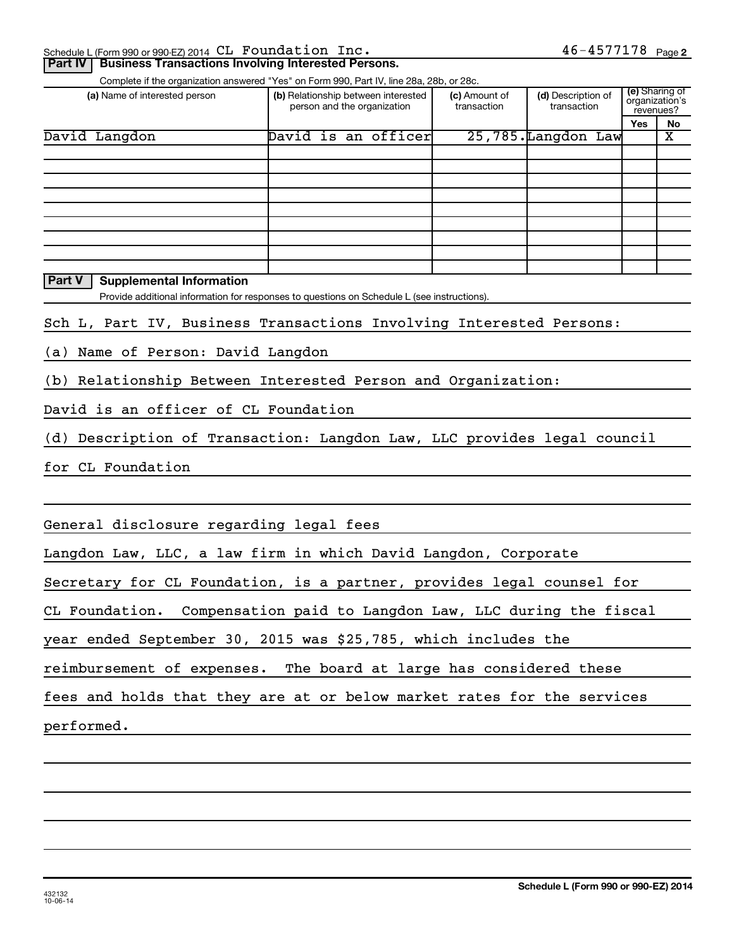| Schedule L (Form 990 or 990-EZ) 2014 CL Foundation Inc. |  | $77178$ Pau<br>Page 2 |  |
|---------------------------------------------------------|--|-----------------------|--|
|                                                         |  |                       |  |

| Part IV   Business Transactions Involving Interested Persons. |
|---------------------------------------------------------------|
|---------------------------------------------------------------|

Complete if the organization answered "Yes" on Form 990, Part IV, line 28a, 28b, or 28c.

| (a) Name of interested person | (b) Relationship between interested<br>person and the organization | (c) Amount of<br>transaction | (d) Description of<br>transaction | (e) Sharing of<br>organization's<br>revenues? |    |
|-------------------------------|--------------------------------------------------------------------|------------------------------|-----------------------------------|-----------------------------------------------|----|
|                               |                                                                    |                              |                                   | <b>Yes</b>                                    | No |
| David Langdon                 | David is an officer                                                |                              | 25,785.Langdon Law                |                                               | х  |
|                               |                                                                    |                              |                                   |                                               |    |
|                               |                                                                    |                              |                                   |                                               |    |
|                               |                                                                    |                              |                                   |                                               |    |
|                               |                                                                    |                              |                                   |                                               |    |
|                               |                                                                    |                              |                                   |                                               |    |
|                               |                                                                    |                              |                                   |                                               |    |
|                               |                                                                    |                              |                                   |                                               |    |
|                               |                                                                    |                              |                                   |                                               |    |
|                               |                                                                    |                              |                                   |                                               |    |

 $|$  Part V  $|$  Supplemental Information

Provide additional information for responses to questions on Schedule L (see instructions).

Sch L, Part IV, Business Transactions Involving Interested Persons:

(a) Name of Person: David Langdon

(b) Relationship Between Interested Person and Organization:

David is an officer of CL Foundation

(d) Description of Transaction: Langdon Law, LLC provides legal council

for CL Foundation

General disclosure regarding legal fees

Langdon Law, LLC, a law firm in which David Langdon, Corporate

Secretary for CL Foundation, is a partner, provides legal counsel for

CL Foundation. Compensation paid to Langdon Law, LLC during the fiscal

year ended September 30, 2015 was  $$25,785$ , which includes the

reimbursement of expenses. The board at large has considered these

fees and holds that they are at or below market rates for the services

performed.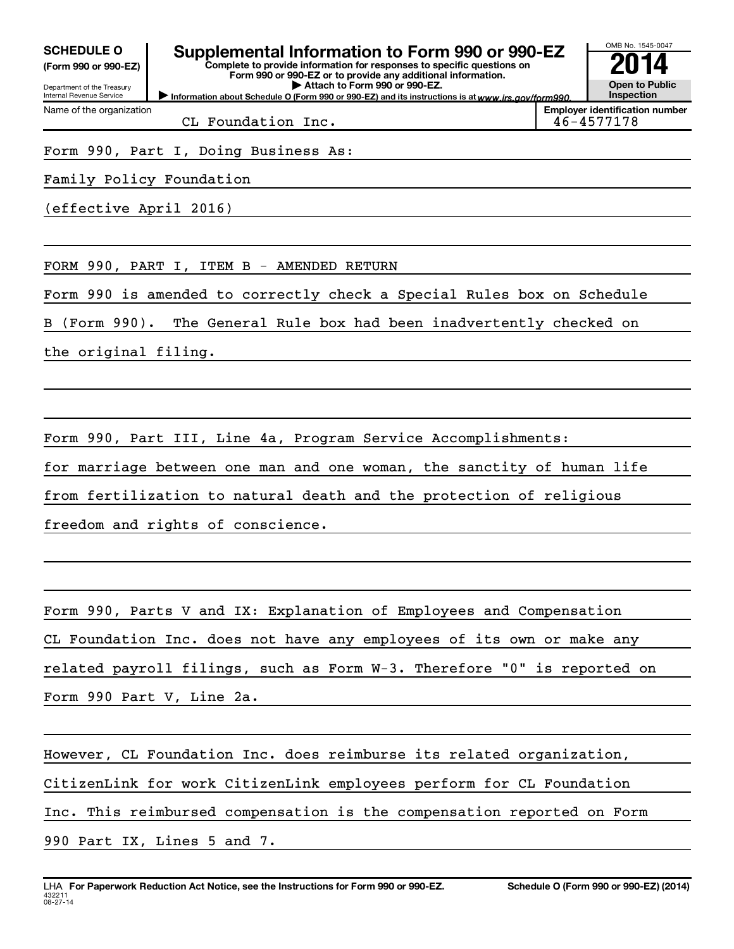(Form 990 or 990-EZ)

Department of the Treasury

Name of the organization

Internal Revenue Service

## SCHEDULE 0  $\parallel$  Supplemental Information to Form 990 or 990-EZ

Complete to provide information for responses to specific questions on Form 990 or 990-EZ or to provide any additional information.  $\blacktriangleright$  Attach to Form 990 or 990-EZ.

Information about Schedule O (Form 990 or 990-EZ) and its instructions is at www.irs.gov/form990.

CL Foundation Inc.  $\vert$  46-4577178

**Employer identification number** 

OMB No 1545-0047

**Open to Public** Inspection

014

Form 990, Part I, Doing Business As:

Family Policy Foundation

(effective April 2016)

FORM 990, PART I, ITEM  $B$  - AMENDED RETURN

Form 990 is amended to correctly check a Special Rules box on Schedule

B (Form 990). The General Rule box had been inadvertently checked on

the original filing.

Form 990, Part III, Line 4a, Program Service Accomplishments:

for marriage between one man and one woman, the sanctity of human life

from fertilization to natural death and the protection of religious

freedom and rights of conscience.

Form 990, Parts V and IX: Explanation of Employees and Compensation

CL Foundation Inc. does not have any employees of its own or make any

related payroll filings, such as Form  $W-3$ . Therefore "0" is reported on

Form 990 Part V, Line 2a.

However, CL Foundation Inc. does reimburse its related organization,

CitizenLink for work CitizenLink employees perform for CL Foundation

Inc. This reimbursed compensation is the compensation reported on Form

990 Part IX, Lines 5 and 7.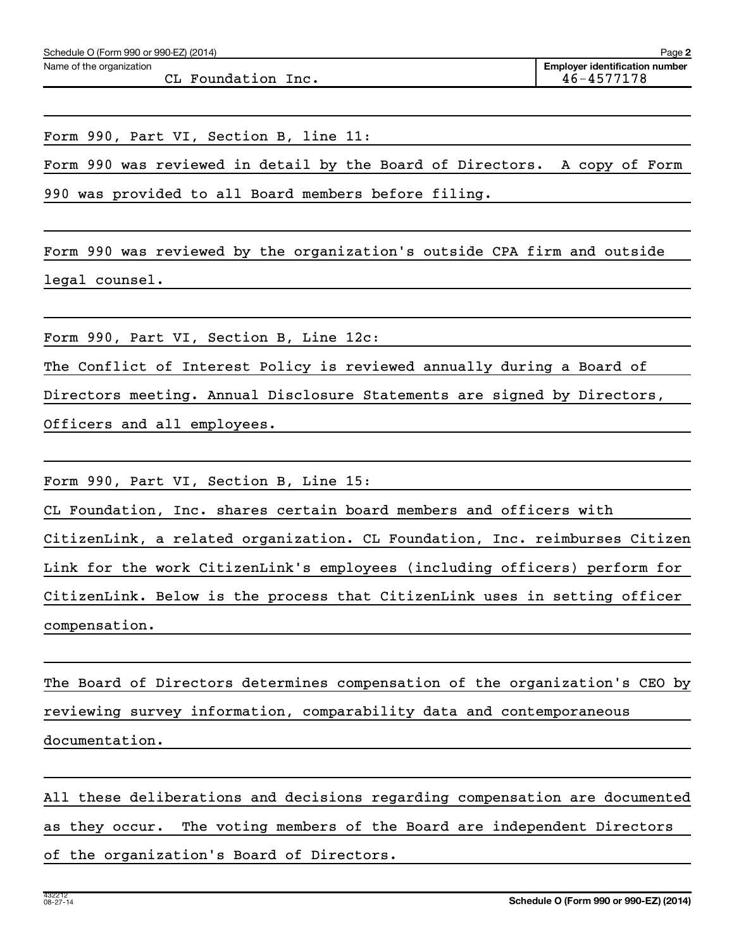Name of the organization

 $CL$  Foundation Inc.  $46-4577178$ 

Form 990, Part VI, Section B, line 11:

Form 990 was reviewed in detail by the Board of Directors. A copy of Form 990 was provided to all Board members before filing.

Form 990 was reviewed by the organization's outside CPA firm and outside legal counsel.

Form 990, Part VI, Section B, Line 12c:

The Conflict of Interest Policy is reviewed annually during a Board of

Directors meeting. Annual Disclosure Statements are signed by Directors,

Officers and all employees.

Form 990, Part VI, Section B, Line 15:

CL Foundation, Inc. shares certain board members and officers with

CitizenLink, a related organization. CL Foundation, Inc. reimburses Citizen Link for the work CitizenLink's employees (including officers) perform for CitizenLink. Below is the process that CitizenLink uses in setting officer

compensation.

The Board of Directors determines compensation of the organization's CEO by reviewing survey information, comparability data and contemporaneous documentation.

All these deliberations and decisions regarding compensation are documented as they occur. The voting members of the Board are independent Directors of the organization's Board of Directors.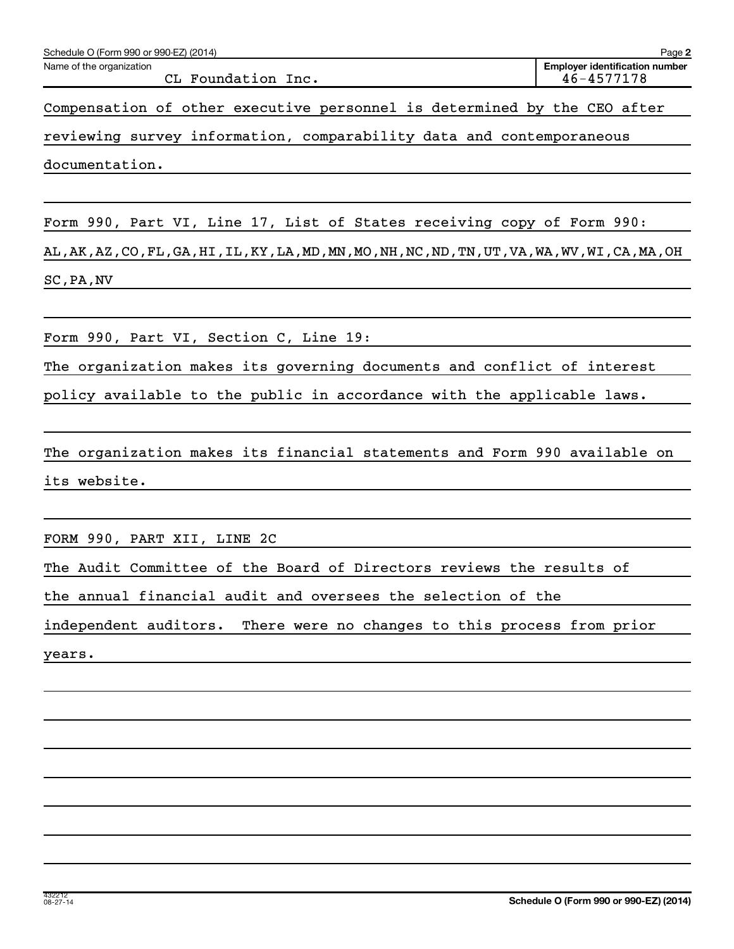| Schedule O (Form 990 or 990-EZ) (2014)                                                                                     | Page 2                                              |
|----------------------------------------------------------------------------------------------------------------------------|-----------------------------------------------------|
| Name of the organization<br>CL Foundation Inc.                                                                             | <b>Employer identification number</b><br>46-4577178 |
| Compensation of other executive personnel is determined by the CEO after                                                   |                                                     |
| reviewing survey information, comparability data and contemporaneous                                                       |                                                     |
| documentation.                                                                                                             |                                                     |
|                                                                                                                            |                                                     |
| Form 990, Part VI, Line 17, List of States receiving copy of Form 990:                                                     |                                                     |
| AL , AK , AZ , CO , FL , GA , HI , IL , KY , LA , MD , MN , MO , NH , NC , ND , TN , UT , VA , WA , WV , WI , CA , MA , OH |                                                     |
| SC, PA, NV                                                                                                                 |                                                     |
|                                                                                                                            |                                                     |
| Form 990, Part VI, Section C, Line 19:                                                                                     |                                                     |
| The organization makes its governing documents and conflict of interest                                                    |                                                     |
| policy available to the public in accordance with the applicable laws.                                                     |                                                     |
| The organization makes its financial statements and Form 990 available on                                                  |                                                     |
| its website.                                                                                                               |                                                     |
|                                                                                                                            |                                                     |
| FORM 990, PART XII, LINE 2C                                                                                                |                                                     |
| The Audit Committee of the Board of Directors reviews the results of                                                       |                                                     |
| the annual financial audit and oversees the selection of the                                                               |                                                     |
| independent auditors. There were no changes to this process from prior                                                     |                                                     |
| years.                                                                                                                     |                                                     |
|                                                                                                                            |                                                     |
|                                                                                                                            |                                                     |
|                                                                                                                            |                                                     |
|                                                                                                                            |                                                     |
|                                                                                                                            |                                                     |
|                                                                                                                            |                                                     |
|                                                                                                                            |                                                     |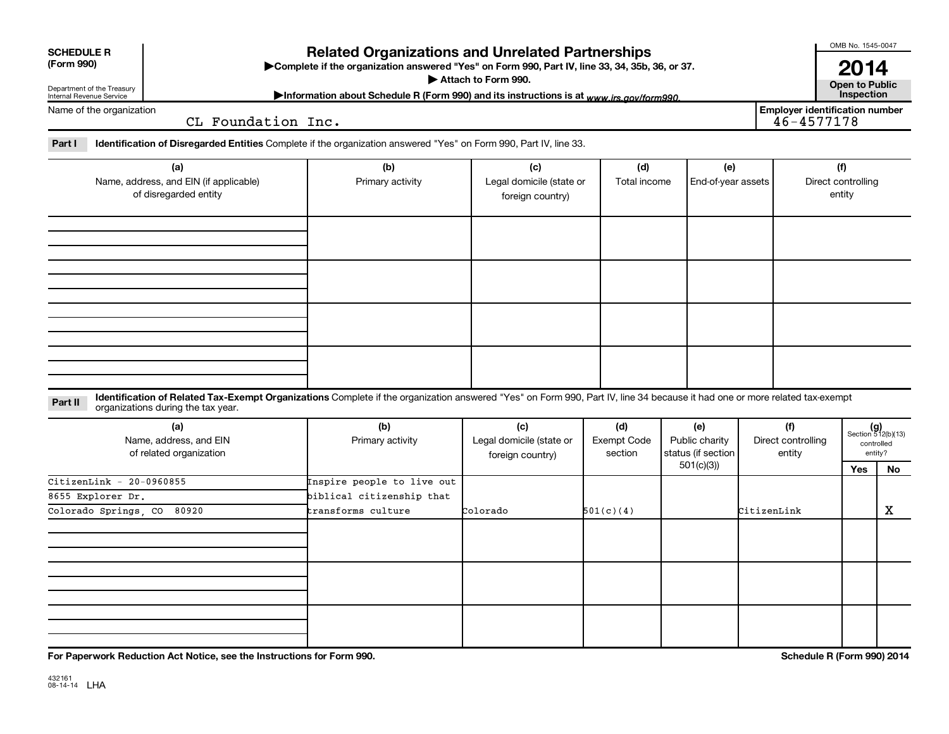| <b>SCHEDULE R</b><br>(Form 990)                                                    |                                                                                                                                                                                                                  | <b>Related Organizations and Unrelated Partnerships</b><br>>Complete if the organization answered "Yes" on Form 990, Part IV, line 33, 34, 35b, 36, or 37. | Attach to Form 990.                                 |                               |                                                          |             |                                       | OMB No. 1545-0047<br>2014<br><b>Open to Public</b> |                                                            |
|------------------------------------------------------------------------------------|------------------------------------------------------------------------------------------------------------------------------------------------------------------------------------------------------------------|------------------------------------------------------------------------------------------------------------------------------------------------------------|-----------------------------------------------------|-------------------------------|----------------------------------------------------------|-------------|---------------------------------------|----------------------------------------------------|------------------------------------------------------------|
| Department of the Treasury<br>Internal Revenue Service<br>Name of the organization |                                                                                                                                                                                                                  | Information about Schedule R (Form 990) and its instructions is at www.irs.gov/form990.                                                                    |                                                     |                               |                                                          |             | <b>Employer identification number</b> | Inspection                                         |                                                            |
|                                                                                    | CL Foundation Inc.                                                                                                                                                                                               |                                                                                                                                                            |                                                     |                               |                                                          |             | $46 - 4577178$                        |                                                    |                                                            |
| Part I                                                                             | Identification of Disregarded Entities Complete if the organization answered "Yes" on Form 990, Part IV, line 33.                                                                                                |                                                                                                                                                            |                                                     |                               |                                                          |             |                                       |                                                    |                                                            |
|                                                                                    | (a)<br>Name, address, and EIN (if applicable)<br>of disregarded entity                                                                                                                                           | (b)<br>Primary activity                                                                                                                                    | (c)<br>Legal domicile (state or<br>foreign country) | (d)<br>Total income           | (e)<br>End-of-year assets                                |             |                                       | (f)<br>Direct controlling<br>entity                |                                                            |
|                                                                                    |                                                                                                                                                                                                                  |                                                                                                                                                            |                                                     |                               |                                                          |             |                                       |                                                    |                                                            |
|                                                                                    |                                                                                                                                                                                                                  |                                                                                                                                                            |                                                     |                               |                                                          |             |                                       |                                                    |                                                            |
| Part II                                                                            | Identification of Related Tax-Exempt Organizations Complete if the organization answered "Yes" on Form 990, Part IV, line 34 because it had one or more related tax-exempt<br>organizations during the tax year. |                                                                                                                                                            |                                                     |                               |                                                          |             |                                       |                                                    |                                                            |
|                                                                                    | (a)<br>Name, address, and EIN<br>of related organization                                                                                                                                                         | (b)<br>Primary activity                                                                                                                                    | (c)<br>Legal domicile (state or<br>foreign country) | (d)<br>Exempt Code<br>section | (e)<br>Public charity<br>status (if section<br>501(c)(3) |             | (f)<br>Direct controlling<br>entity   | Yes                                                | $(g)$<br>Section 512(b)(13)<br>controlled<br>entity?<br>No |
| $CitizenLink - 20-0960855$<br>8655 Explorer Dr.<br>Colorado Springs, CO            | 80920                                                                                                                                                                                                            | Inspire people to live out<br>biblical citizenship that<br>transforms culture                                                                              | Colorado                                            | 501(c)(4)                     |                                                          | CitizenLink |                                       |                                                    | X                                                          |
|                                                                                    |                                                                                                                                                                                                                  |                                                                                                                                                            |                                                     |                               |                                                          |             |                                       |                                                    |                                                            |
|                                                                                    |                                                                                                                                                                                                                  |                                                                                                                                                            |                                                     |                               |                                                          |             |                                       |                                                    |                                                            |
|                                                                                    |                                                                                                                                                                                                                  |                                                                                                                                                            |                                                     |                               |                                                          |             |                                       |                                                    |                                                            |

For Paperwork Reduction Act Notice, see the Instructions for Form<br>.

Schedule R (Form 990) 2014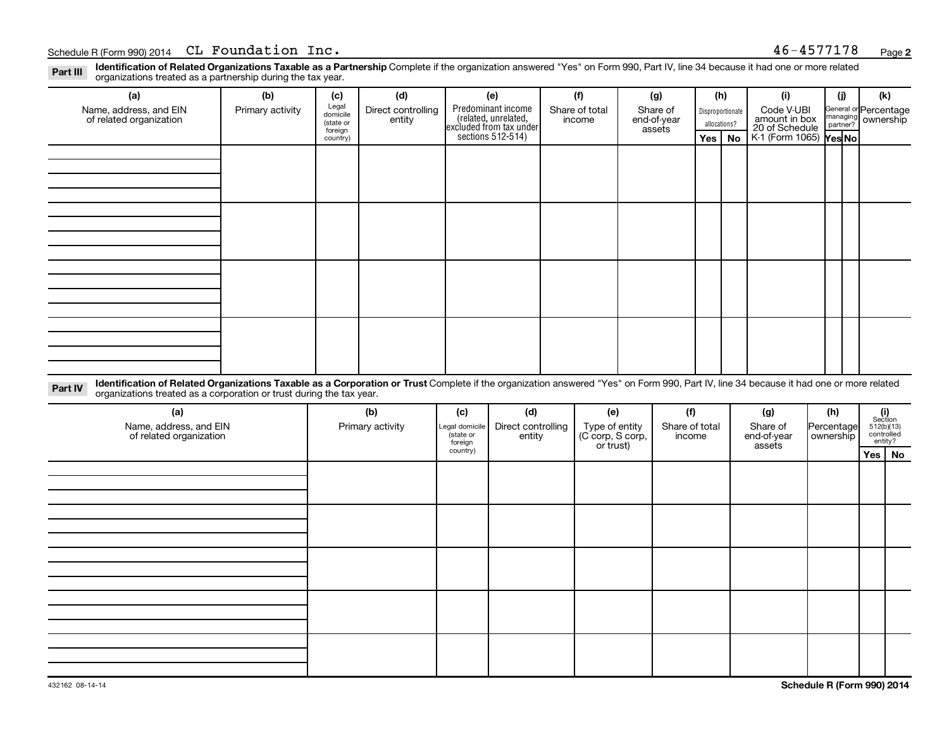Part III Identification of Related Organizations Taxable as a Partnership<br>Part III Increasizations treated as a partnership during the tax vear Part III Variance of Networkship Complete if the organization answered "Yes" on Form 990, Part IV, line 34 because it had one or more related in a complete as a **Partnership** Complete if the organization answered "Yes" on Form 990,

| (a)                                                                                                                                                                                                                                                                       | (b)              | (c)                                       | (d)                          | (e)                                                                   | (f)                      | (g)                               | (h)                              |           | (i)                                           | (i) | (k)                                         |
|---------------------------------------------------------------------------------------------------------------------------------------------------------------------------------------------------------------------------------------------------------------------------|------------------|-------------------------------------------|------------------------------|-----------------------------------------------------------------------|--------------------------|-----------------------------------|----------------------------------|-----------|-----------------------------------------------|-----|---------------------------------------------|
| Name, address, and EIN<br>of related organization                                                                                                                                                                                                                         | Primary activity | Legal<br>domicile<br>(state or<br>foreign | Direct controlling<br>entity | Predominant income<br>(related, unrelated,<br>excluded from tax under | Share of total<br>income | Share of<br>end-of-year<br>assets | Disproportionate<br>allocations? |           | Code V-UBI<br>amount in box<br>20 of Schedule |     | General or Percentage<br>managing ownership |
|                                                                                                                                                                                                                                                                           |                  | country)                                  |                              | sections 512-514)                                                     |                          |                                   | Yes                              | <b>No</b> | K-1 (Form 1065) Yes No                        |     |                                             |
|                                                                                                                                                                                                                                                                           |                  |                                           |                              |                                                                       |                          |                                   |                                  |           |                                               |     |                                             |
|                                                                                                                                                                                                                                                                           |                  |                                           |                              |                                                                       |                          |                                   |                                  |           |                                               |     |                                             |
|                                                                                                                                                                                                                                                                           |                  |                                           |                              |                                                                       |                          |                                   |                                  |           |                                               |     |                                             |
|                                                                                                                                                                                                                                                                           |                  |                                           |                              |                                                                       |                          |                                   |                                  |           |                                               |     |                                             |
|                                                                                                                                                                                                                                                                           |                  |                                           |                              |                                                                       |                          |                                   |                                  |           |                                               |     |                                             |
|                                                                                                                                                                                                                                                                           |                  |                                           |                              |                                                                       |                          |                                   |                                  |           |                                               |     |                                             |
|                                                                                                                                                                                                                                                                           |                  |                                           |                              |                                                                       |                          |                                   |                                  |           |                                               |     |                                             |
|                                                                                                                                                                                                                                                                           |                  |                                           |                              |                                                                       |                          |                                   |                                  |           |                                               |     |                                             |
|                                                                                                                                                                                                                                                                           |                  |                                           |                              |                                                                       |                          |                                   |                                  |           |                                               |     |                                             |
|                                                                                                                                                                                                                                                                           |                  |                                           |                              |                                                                       |                          |                                   |                                  |           |                                               |     |                                             |
|                                                                                                                                                                                                                                                                           |                  |                                           |                              |                                                                       |                          |                                   |                                  |           |                                               |     |                                             |
|                                                                                                                                                                                                                                                                           |                  |                                           |                              |                                                                       |                          |                                   |                                  |           |                                               |     |                                             |
|                                                                                                                                                                                                                                                                           |                  |                                           |                              |                                                                       |                          |                                   |                                  |           |                                               |     |                                             |
|                                                                                                                                                                                                                                                                           |                  |                                           |                              |                                                                       |                          |                                   |                                  |           |                                               |     |                                             |
|                                                                                                                                                                                                                                                                           |                  |                                           |                              |                                                                       |                          |                                   |                                  |           |                                               |     |                                             |
|                                                                                                                                                                                                                                                                           |                  |                                           |                              |                                                                       |                          |                                   |                                  |           |                                               |     |                                             |
| Identification of Related Organizations Taxable as a Corporation or Trust Complete if the organization answered "Yes" on Form 990, Part IV, line 34 because it had one or more related<br>Part IV<br>organizations treated as a corporation or trust during the tax year. |                  |                                           |                              |                                                                       |                          |                                   |                                  |           |                                               |     |                                             |

| (a)<br>Name, address, and EIN<br>of related organization | (b)<br>Primary activity | (c)<br>Legal domicile<br>(state or<br>foreign | (d)<br>Direct controlling<br>entity | (e)<br>Type of entity<br>(C corp, S corp,<br>or trust) | (f)<br>Share of total<br>income | (g)<br>Share of<br>end-of-year<br>assets | (h)<br>Percentage<br>ownership | $\begin{array}{c} \textbf{(i)}\\ \text{Section}\\ 512 \text{(b)} \text{(13)}\\ \text{controlled} \\ \text{entity?} \end{array}$ |  |
|----------------------------------------------------------|-------------------------|-----------------------------------------------|-------------------------------------|--------------------------------------------------------|---------------------------------|------------------------------------------|--------------------------------|---------------------------------------------------------------------------------------------------------------------------------|--|
|                                                          |                         | country)                                      |                                     |                                                        |                                 |                                          |                                | Yes No                                                                                                                          |  |
|                                                          |                         |                                               |                                     |                                                        |                                 |                                          |                                |                                                                                                                                 |  |
|                                                          |                         |                                               |                                     |                                                        |                                 |                                          |                                |                                                                                                                                 |  |
|                                                          |                         |                                               |                                     |                                                        |                                 |                                          |                                |                                                                                                                                 |  |
|                                                          |                         |                                               |                                     |                                                        |                                 |                                          |                                |                                                                                                                                 |  |
|                                                          |                         |                                               |                                     |                                                        |                                 |                                          |                                |                                                                                                                                 |  |
|                                                          |                         |                                               |                                     |                                                        |                                 |                                          |                                |                                                                                                                                 |  |
|                                                          |                         |                                               |                                     |                                                        |                                 |                                          |                                |                                                                                                                                 |  |
|                                                          |                         |                                               |                                     |                                                        |                                 |                                          |                                |                                                                                                                                 |  |
|                                                          |                         |                                               |                                     |                                                        |                                 |                                          |                                |                                                                                                                                 |  |
|                                                          |                         |                                               |                                     |                                                        |                                 |                                          |                                |                                                                                                                                 |  |
|                                                          |                         |                                               |                                     |                                                        |                                 |                                          |                                |                                                                                                                                 |  |
|                                                          |                         |                                               |                                     |                                                        |                                 |                                          |                                |                                                                                                                                 |  |
|                                                          |                         |                                               |                                     |                                                        |                                 |                                          |                                |                                                                                                                                 |  |
|                                                          |                         |                                               |                                     |                                                        |                                 |                                          |                                |                                                                                                                                 |  |
|                                                          |                         |                                               |                                     |                                                        |                                 |                                          |                                |                                                                                                                                 |  |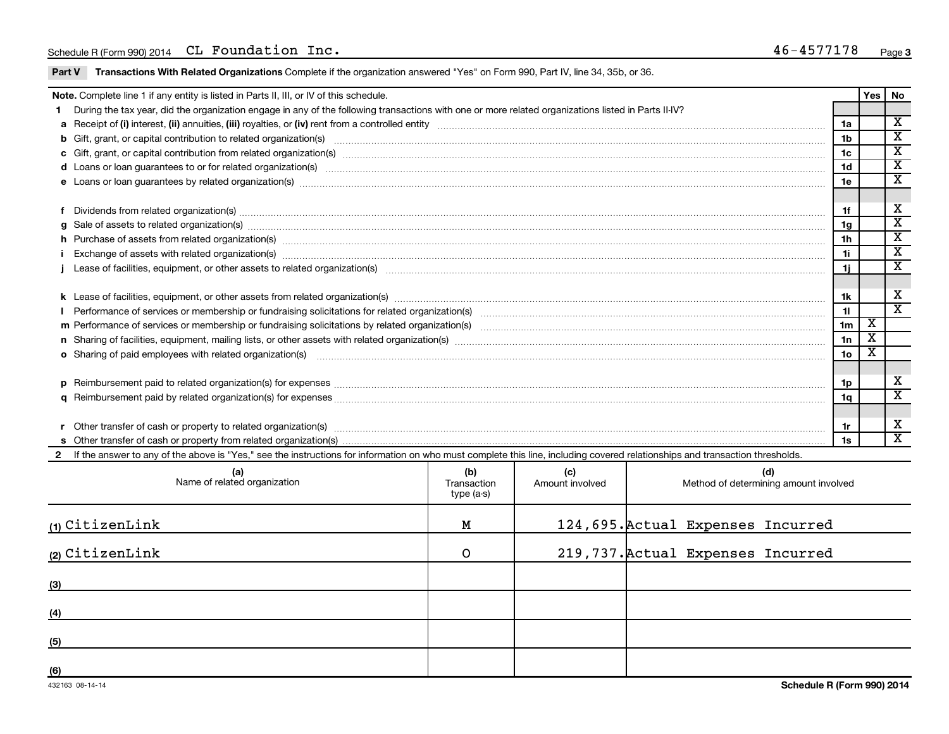**Part V Transactions With Related Organizations** Complete if the organization answered "Yes" on Form 990, Part IV, line 34, 35b, or 36.<br>

| Note. Complete line 1 if any entity is listed in Parts II, III, or IV of this schedule. |                                                                                                                                                                                                                                |                 |                         |                             |  |  |  |
|-----------------------------------------------------------------------------------------|--------------------------------------------------------------------------------------------------------------------------------------------------------------------------------------------------------------------------------|-----------------|-------------------------|-----------------------------|--|--|--|
|                                                                                         | During the tax year, did the organization engage in any of the following transactions with one or more related organizations listed in Parts II-IV?                                                                            |                 | Yes                     | <b>No</b>                   |  |  |  |
|                                                                                         |                                                                                                                                                                                                                                | 1a              |                         | $\overline{\textbf{x}}$     |  |  |  |
|                                                                                         | b Gift, grant, or capital contribution to related organization(s) encourance contains an example and contribution to related organization(s) encourance contains and contribution to related organization(s)                   | 1b              |                         | $\overline{\textbf{x}}$     |  |  |  |
|                                                                                         | c Gift, grant, or capital contribution from related organization(s) www.communities.com/www.communities.com/www.communities.com/www.communities.com/www.communities.com/www.communities.com/www.communities.com/www.communitie | 1c              |                         | $\overline{\textbf{x}}$     |  |  |  |
|                                                                                         | d Loans or loan guarantees to or for related organization(s) www.communically.com/www.communically.com/www.communically.com/www.communically.com/www.communically.com/www.communically.com/www.communically.com/www.communical | 1 <sub>d</sub>  |                         | $\overline{\mathbf{X}}$     |  |  |  |
|                                                                                         | e Loans or loan guarantees by related organization(s) material content and content to content the content of the content of the content of the content of the content of the content of the content of the content of the cont | 1e              |                         | х                           |  |  |  |
|                                                                                         |                                                                                                                                                                                                                                |                 |                         |                             |  |  |  |
|                                                                                         | f Dividends from related organization(s) manufactured and contract and contract or produced and contract and contract and contract and contract and contract and contract and contract and contract and contract and contract  | 1f              |                         | х                           |  |  |  |
|                                                                                         | g Sale of assets to related organization(s) www.assettion.com/www.assettion.com/www.assettion.com/www.assettion.com/www.assettion.com/www.assettion.com/www.assettion.com/www.assettion.com/www.assettion.com/www.assettion.co | 1 <sub>q</sub>  |                         | $\overline{\textbf{x}}$     |  |  |  |
|                                                                                         | h Purchase of assets from related organization(s) manufactured and content and content and content and content and content and content and content and content and content and content and content and content and content and | 1 <sub>h</sub>  |                         | $\overline{\textnormal{x}}$ |  |  |  |
|                                                                                         | Exchange of assets with related organization(s) www.wallen.com/www.wallen.com/www.wallen.com/www.wallen.com/www.wallen.com/www.wallen.com/www.wallen.com/www.wallen.com/www.wallen.com/www.wallen.com/www.wallen.com/www.walle | 1i              |                         | $\overline{\textbf{X}}$     |  |  |  |
|                                                                                         |                                                                                                                                                                                                                                | 1j              |                         | $\overline{\texttt{x}}$     |  |  |  |
|                                                                                         |                                                                                                                                                                                                                                |                 |                         |                             |  |  |  |
|                                                                                         |                                                                                                                                                                                                                                | 1k              |                         | х                           |  |  |  |
|                                                                                         |                                                                                                                                                                                                                                | 11              |                         | $\overline{\texttt{x}}$     |  |  |  |
|                                                                                         |                                                                                                                                                                                                                                | 1 <sub>m</sub>  | х                       |                             |  |  |  |
|                                                                                         | n Sharing of facilities, equipment, mailing lists, or other assets with related organization(s) marror manufactured manufactured manufactured manufactured manufactured manufactured manufactured manufactured manufactured ma | 1n              | $\overline{\texttt{x}}$ |                             |  |  |  |
|                                                                                         | o Sharing of paid employees with related organization(s) encourance and contain an account of the state or starting of paid employees with related organization(s)                                                             | 10 <sub>o</sub> | X                       |                             |  |  |  |
|                                                                                         |                                                                                                                                                                                                                                |                 |                         |                             |  |  |  |
|                                                                                         | p Reimbursement paid to related organization(s) for expenses [111] All and the content of the content of the content of the content of the content of the content of the content of the content of the content of the content  | 1p              |                         | х                           |  |  |  |
|                                                                                         |                                                                                                                                                                                                                                | 1q              |                         | X                           |  |  |  |
|                                                                                         |                                                                                                                                                                                                                                |                 |                         |                             |  |  |  |
|                                                                                         | Other transfer of cash or property to related organization(s) with an example and continuum contract of cash or property to related organization(s)                                                                            | 1r              |                         | х                           |  |  |  |
|                                                                                         |                                                                                                                                                                                                                                |                 |                         | X                           |  |  |  |
|                                                                                         | If the answer to any of the above is "Yes," see the instructions for information on who must complete this line, including covered relationships and transaction thresholds.                                                   |                 |                         |                             |  |  |  |

| (a)<br>Name of related organization | (b)<br>Transaction<br>type (a-s) | (c)<br>Amount involved | (d)<br>Method of determining amount involved |
|-------------------------------------|----------------------------------|------------------------|----------------------------------------------|
| $(1)$ CitizenLink                   | М                                |                        | 124,695. Actual Expenses Incurred            |
| (2) CitizenLink                     | O                                |                        | 219,737. Actual Expenses Incurred            |
| (3)                                 |                                  |                        |                                              |
| (4)                                 |                                  |                        |                                              |
| (5)                                 |                                  |                        |                                              |
| (6)                                 |                                  |                        |                                              |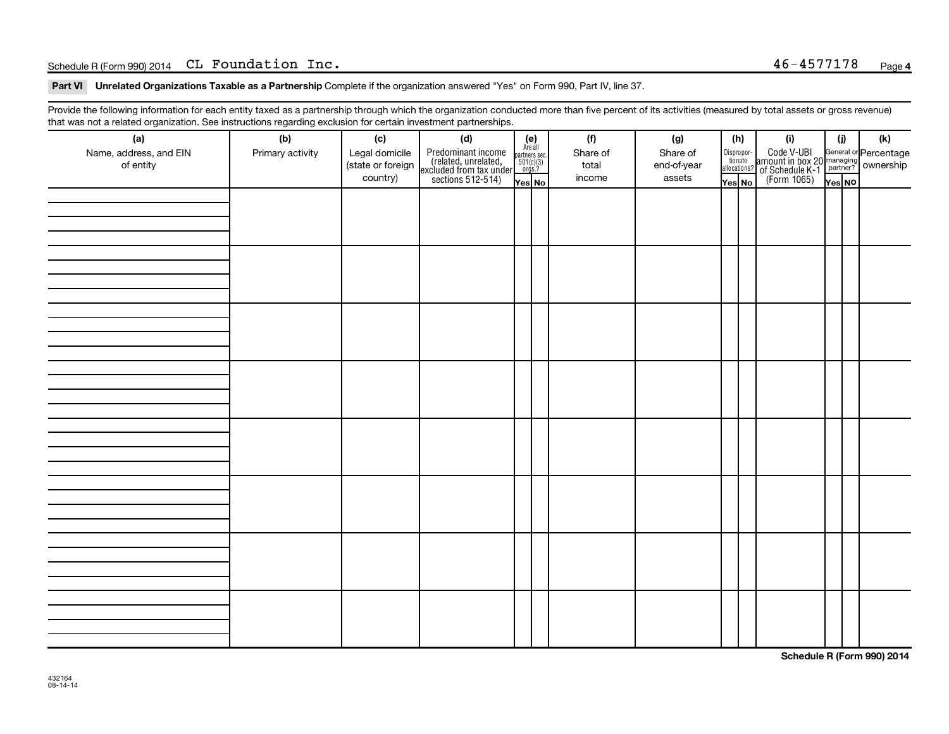# p o Ec VVMF OMNQ m~ `i c~ fK QSJQRTTNTU

Part VI Dnrelated Organizations Taxable as a Partnership Complete if the organization answered "Yes" on Form 990, Part IV, line 37.<br>

Provide the following information for each entity taxed as a partnership through which the organization conducted more than five percent of its activities (measured by total assets or gross revenue)<br>Het was ast a whited ex

| (a)                                 | (b)              | (c)                                             | (d)                                                                                        |                                                                      | (f)                         | (g)                               |  | (h)                                        | (i)                                                                                                                         | (j)    | (k) |
|-------------------------------------|------------------|-------------------------------------------------|--------------------------------------------------------------------------------------------|----------------------------------------------------------------------|-----------------------------|-----------------------------------|--|--------------------------------------------|-----------------------------------------------------------------------------------------------------------------------------|--------|-----|
| Name, address, and EIN<br>of entity | Primary activity | Legal domicile<br>(state or foreign<br>country) | Predominant income<br>(related, unrelated,<br>excluded from tax under<br>sections 512-514) | $(e)$<br>Are all<br>partners sec.<br>$501(c)(3)$<br>orgs.?<br>Yes No | Share of<br>total<br>income | Share of<br>end-of-year<br>assets |  | Disproportionate<br>allocations?<br>Yes No | Code V-UBI<br>amount in box 20 managing<br>2 of Schedule K-1<br>Person of The Code of Schedule K-1<br>(Form 1065)<br>Tes No | Yes NO |     |
|                                     |                  |                                                 |                                                                                            |                                                                      |                             |                                   |  |                                            |                                                                                                                             |        |     |
|                                     |                  |                                                 |                                                                                            |                                                                      |                             |                                   |  |                                            |                                                                                                                             |        |     |
|                                     |                  |                                                 |                                                                                            |                                                                      |                             |                                   |  |                                            |                                                                                                                             |        |     |
|                                     |                  |                                                 |                                                                                            |                                                                      |                             |                                   |  |                                            |                                                                                                                             |        |     |
|                                     |                  |                                                 |                                                                                            |                                                                      |                             |                                   |  |                                            |                                                                                                                             |        |     |
|                                     |                  |                                                 |                                                                                            |                                                                      |                             |                                   |  |                                            |                                                                                                                             |        |     |
|                                     |                  |                                                 |                                                                                            |                                                                      |                             |                                   |  |                                            |                                                                                                                             |        |     |
|                                     |                  |                                                 |                                                                                            |                                                                      |                             |                                   |  |                                            |                                                                                                                             |        |     |
|                                     |                  |                                                 |                                                                                            |                                                                      |                             |                                   |  |                                            |                                                                                                                             |        |     |
|                                     |                  |                                                 |                                                                                            |                                                                      |                             |                                   |  |                                            |                                                                                                                             |        |     |
|                                     |                  |                                                 |                                                                                            |                                                                      |                             |                                   |  |                                            |                                                                                                                             |        |     |
|                                     |                  |                                                 |                                                                                            |                                                                      |                             |                                   |  |                                            |                                                                                                                             |        |     |

Schedule R (Form 990) 2014<br>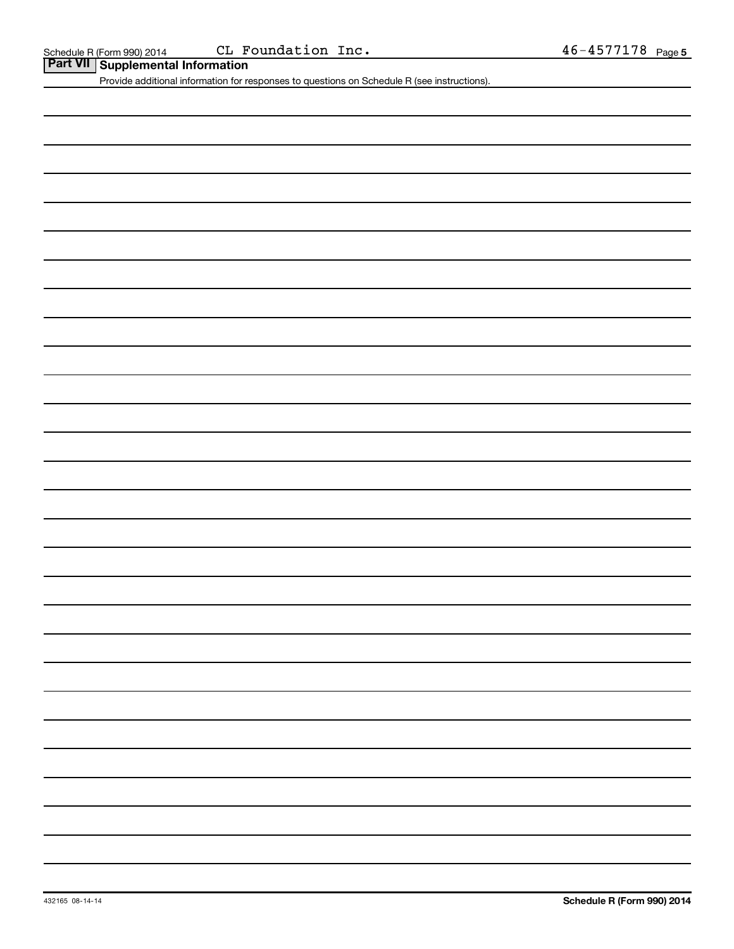Schedule R (Form 990) 2014 CL F<br>**Part VII** Supplemental Information

Provide additional information for responses to questions on Schedule R (see instructions).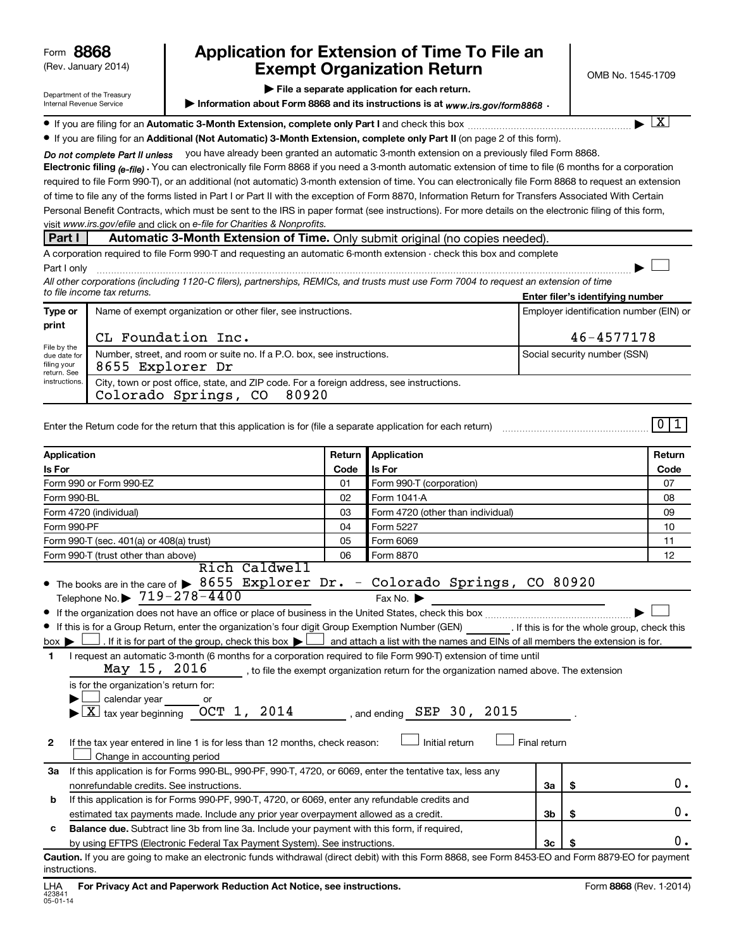(Rev. January 2014)

Department of the Treasury Internal Revenue Service

### Application for Extension of Time To File an **Exempt Organization Return**

 $\blacktriangleright$  File a separate application for each return.

Information about Form 8868 and its instructions is at  $www.irs.gov/form8868$ .

 $\boxed{\text{X}}$ 

 $\begin{array}{c} \hline \end{array}$ 

|  | A Research of the color and accept A Model Presenter in constanting the Post I and all |  |
|--|----------------------------------------------------------------------------------------|--|
|  |                                                                                        |  |

 $\bullet$  If you are filing for an Automatic 3-Month Extension, complete only Part I and check this box  $\ldots$  $\ldots$  $\ldots$ 

● If you are filing for an Additional (Not Automatic) 3-Month Extension, complete only Part II (on page 2 of this form).

Do not complete Part II unless you have already been granted an automatic 3-month extension on a previously filed Form 8868.

**Electronic filing <sub>(e-file) .** You can electronically file Form 8868 if you need a 3-month automatic extension of time to file (6 months for a corporation</sub> visit www.irs.gov/efile and click on e-file for Charities & Nonprofits. required to file Form 990-T), or an additional (not automatic) 3-month extension of time. You can electronically file Form 8868 to request an extension of time to file any of the forms listed in Part I or Part II with the exception of Form 8870, Information Return for Transfers Associated With Certain Personal Benefit Contracts, which must be sent to the IRS in paper format (see instructions). For more details on the electronic filing of this form,

### **Part I** Automatic 3-Month Extension of Time. Only submit original (no copies needed)

A corporation required to file Form 990-T and requesting an automatic 6-month extension - check this box and complete m~ f

Enter filer's identifying number All other corporations (including 1120-C filers), partnerships, REMICs, and trusts must use Form 7004 to request an extension of time to file income tax returns.

| Type or                                                                    | Name of exempt organization or other filer, see instructions.                                                             | Employer identification number (EIN) or |  |  |  |
|----------------------------------------------------------------------------|---------------------------------------------------------------------------------------------------------------------------|-----------------------------------------|--|--|--|
| print                                                                      | CL Foundation Inc.                                                                                                        | $46 - 4577178$                          |  |  |  |
| File by the<br>due date for<br>filing your<br>return. See<br>instructions. | Number, street, and room or suite no. If a P.O. box, see instructions.<br>8655 Explorer Dr                                | Social security number (SSN)            |  |  |  |
|                                                                            | City, town or post office, state, and ZIP code. For a foreign address, see instructions.<br>Colorado Springs, CO<br>80920 |                                         |  |  |  |

| Enter the Return code for the return that this application is for (file a separate application for each return) |  |  |
|-----------------------------------------------------------------------------------------------------------------|--|--|
|                                                                                                                 |  |  |

| Application                                                                                                                                                                                                                                                                                                                                                                                                                                                                                                                                                                                                                                                                                                                                                        |    | <b>Application</b><br>Return      |                | Return |      |  |
|--------------------------------------------------------------------------------------------------------------------------------------------------------------------------------------------------------------------------------------------------------------------------------------------------------------------------------------------------------------------------------------------------------------------------------------------------------------------------------------------------------------------------------------------------------------------------------------------------------------------------------------------------------------------------------------------------------------------------------------------------------------------|----|-----------------------------------|----------------|--------|------|--|
| <b>Is For</b>                                                                                                                                                                                                                                                                                                                                                                                                                                                                                                                                                                                                                                                                                                                                                      |    | Is For                            |                |        | Code |  |
| Form 990 or Form 990-EZ                                                                                                                                                                                                                                                                                                                                                                                                                                                                                                                                                                                                                                                                                                                                            |    | Form 990-T (corporation)          |                |        | 07   |  |
| Form 990-BL                                                                                                                                                                                                                                                                                                                                                                                                                                                                                                                                                                                                                                                                                                                                                        |    | Form 1041-A                       |                |        | 08   |  |
| Form 4720 (individual)                                                                                                                                                                                                                                                                                                                                                                                                                                                                                                                                                                                                                                                                                                                                             | 03 | Form 4720 (other than individual) |                |        | 09   |  |
| Form 990-PF                                                                                                                                                                                                                                                                                                                                                                                                                                                                                                                                                                                                                                                                                                                                                        | 04 | Form 5227                         |                |        | 10   |  |
| Form 990-T (sec. 401(a) or 408(a) trust)                                                                                                                                                                                                                                                                                                                                                                                                                                                                                                                                                                                                                                                                                                                           | 05 | Form 6069                         |                |        | 11   |  |
| Form 990-T (trust other than above)                                                                                                                                                                                                                                                                                                                                                                                                                                                                                                                                                                                                                                                                                                                                | 06 | Form 8870                         |                |        | 12   |  |
| Rich Caldwell<br>• The books are in the care of $\triangleright$ 8655 Explorer Dr. - Colorado Springs, CO 80920<br>Telephone No. ▶ $719 - 278 - 4400$                                                                                                                                                                                                                                                                                                                                                                                                                                                                                                                                                                                                              |    | Fax No.                           |                |        |      |  |
|                                                                                                                                                                                                                                                                                                                                                                                                                                                                                                                                                                                                                                                                                                                                                                    |    |                                   |                |        |      |  |
| If this is for a Group Return, enter the organization's four digit Group Exemption Number (GEN) [If this is for the whole group, check this<br>If it is for part of the group, check this box $\blacktriangleright$ $\Box$ and attach a list with the names and EINs of all members the extension is for.<br>$box \triangleright$<br>I request an automatic 3-month (6 months for a corporation required to file Form 990-T) extension of time until<br>$\mathbf{1}$<br>May $15$ , $2016$ ______, to file the exempt organization return for the organization named above. The extension<br>is for the organization's return for:<br>$\Box$ calendar year ________ or<br>$\overline{\mathrm{X}}$ tax year beginning __OCT _ 1, 2014<br>, and ending $SEP$ 30, 2015 |    |                                   |                |        |      |  |
| If the tax year entered in line 1 is for less than 12 months, check reason:<br>2<br>Change in accounting period                                                                                                                                                                                                                                                                                                                                                                                                                                                                                                                                                                                                                                                    |    | Initial return                    | Final return   |        |      |  |
| If this application is for Forms 990-BL, 990-PF, 990-T, 4720, or 6069, enter the tentative tax, less any<br>За                                                                                                                                                                                                                                                                                                                                                                                                                                                                                                                                                                                                                                                     |    |                                   |                |        |      |  |
| nonrefundable credits. See instructions.                                                                                                                                                                                                                                                                                                                                                                                                                                                                                                                                                                                                                                                                                                                           |    |                                   | За             | \$     | 0.   |  |
| If this application is for Forms 990-PF, 990-T, 4720, or 6069, enter any refundable credits and<br>b                                                                                                                                                                                                                                                                                                                                                                                                                                                                                                                                                                                                                                                               |    |                                   |                |        |      |  |
| estimated tax payments made. Include any prior year overpayment allowed as a credit.                                                                                                                                                                                                                                                                                                                                                                                                                                                                                                                                                                                                                                                                               |    |                                   | 3 <sub>b</sub> | \$     | 0.   |  |
| Balance due. Subtract line 3b from line 3a. Include your payment with this form, if required,<br>c                                                                                                                                                                                                                                                                                                                                                                                                                                                                                                                                                                                                                                                                 |    |                                   |                |        |      |  |
|                                                                                                                                                                                                                                                                                                                                                                                                                                                                                                                                                                                                                                                                                                                                                                    |    |                                   |                |        | 0.   |  |

Caution. If you are going to make an electronic funds withdrawal (direct debit) with this Form 8868, see Form 8453-EO and Form 8879-EO for payment instructions.